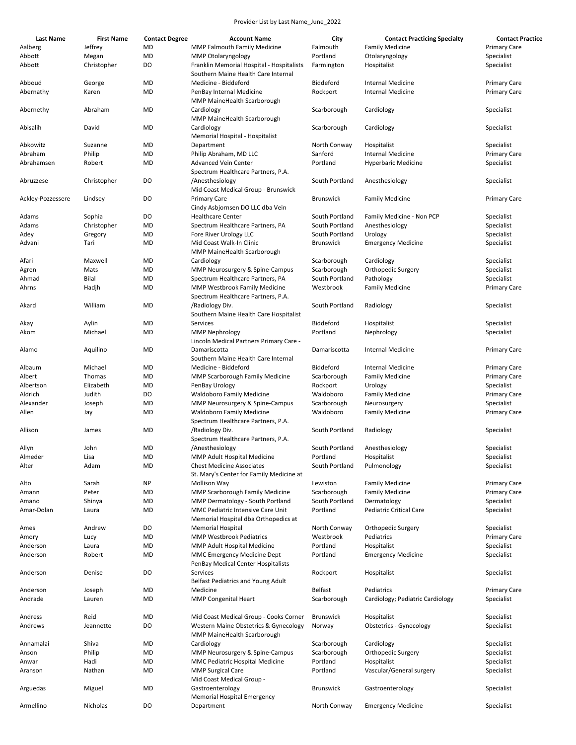| <b>Last Name</b>  | <b>First Name</b>    | <b>Contact Degree</b> | <b>Account Name</b>                                                          | City                   | <b>Contact Practicing Specialty</b> | <b>Contact Practice</b>  |
|-------------------|----------------------|-----------------------|------------------------------------------------------------------------------|------------------------|-------------------------------------|--------------------------|
| Aalberg           | Jeffrey              | MD                    | <b>MMP Falmouth Family Medicine</b>                                          | Falmouth               | <b>Family Medicine</b>              | <b>Primary Care</b>      |
|                   |                      |                       |                                                                              |                        |                                     |                          |
| Abbott<br>Abbott  | Megan<br>Christopher | MD<br>DO              | <b>MMP Otolaryngology</b><br>Franklin Memorial Hospital - Hospitalists       | Portland<br>Farmington | Otolaryngology<br>Hospitalist       | Specialist<br>Specialist |
|                   |                      |                       | Southern Maine Health Care Internal                                          |                        |                                     |                          |
| Abboud            | George               | MD                    | Medicine - Biddeford                                                         | Biddeford              | <b>Internal Medicine</b>            | <b>Primary Care</b>      |
| Abernathy         | Karen                | MD                    | PenBay Internal Medicine<br>MMP MaineHealth Scarborough                      | Rockport               | <b>Internal Medicine</b>            | <b>Primary Care</b>      |
| Abernethy         | Abraham              | MD                    | Cardiology<br>MMP MaineHealth Scarborough                                    | Scarborough            | Cardiology                          | Specialist               |
| Abisalih          | David                | MD                    | Cardiology                                                                   | Scarborough            | Cardiology                          | Specialist               |
| Abkowitz          | Suzanne              | MD                    | Memorial Hospital - Hospitalist<br>Department                                | North Conway           | Hospitalist                         | Specialist               |
| Abraham           | Philip               | MD                    | Philip Abraham, MD LLC                                                       | Sanford                | <b>Internal Medicine</b>            | Primary Care             |
|                   |                      |                       |                                                                              |                        |                                     |                          |
| Abrahamsen        | Robert               | MD                    | <b>Advanced Vein Center</b><br>Spectrum Healthcare Partners, P.A.            | Portland               | <b>Hyperbaric Medicine</b>          | Specialist               |
| Abruzzese         | Christopher          | DO                    | /Anesthesiology<br>Mid Coast Medical Group - Brunswick                       | South Portland         | Anesthesiology                      | Specialist               |
| Ackley-Pozzessere | Lindsey              | DO                    | <b>Primary Care</b><br>Cindy Asbjornsen DO LLC dba Vein                      | <b>Brunswick</b>       | <b>Family Medicine</b>              | Primary Care             |
|                   |                      | DO                    |                                                                              | South Portland         |                                     |                          |
| Adams             | Sophia               |                       | <b>Healthcare Center</b>                                                     |                        | Family Medicine - Non PCP           | Specialist               |
| Adams             | Christopher          | MD                    | Spectrum Healthcare Partners, PA                                             | South Portland         | Anesthesiology                      | Specialist               |
| Adey              | Gregory              | MD                    | Fore River Urology LLC                                                       | South Portland         | Urology                             | Specialist               |
| Advani            | Tari                 | MD                    | Mid Coast Walk-In Clinic<br>MMP MaineHealth Scarborough                      | <b>Brunswick</b>       | <b>Emergency Medicine</b>           | Specialist               |
| Afari             | Maxwell              | MD                    | Cardiology                                                                   | Scarborough            | Cardiology                          | Specialist               |
|                   |                      | MD                    |                                                                              | Scarborough            |                                     | Specialist               |
| Agren             | Mats                 |                       | MMP Neurosurgery & Spine-Campus                                              |                        | Orthopedic Surgery                  |                          |
| Ahmad             | Bilal                | MD                    | Spectrum Healthcare Partners, PA                                             | South Portland         | Pathology                           | Specialist               |
| Ahrns             | Hadjh                | MD                    | MMP Westbrook Family Medicine<br>Spectrum Healthcare Partners, P.A.          | Westbrook              | <b>Family Medicine</b>              | <b>Primary Care</b>      |
| Akard             | William              | MD                    | /Radiology Div.<br>Southern Maine Health Care Hospitalist                    | South Portland         | Radiology                           | Specialist               |
| Akay              | Aylin                | MD                    | Services                                                                     | Biddeford              | Hospitalist                         | Specialist               |
| Akom              | Michael              | MD                    | <b>MMP Nephrology</b><br>Lincoln Medical Partners Primary Care -             | Portland               | Nephrology                          | Specialist               |
| Alamo             | Aquilino             | MD                    | Damariscotta                                                                 | Damariscotta           | <b>Internal Medicine</b>            | Primary Care             |
| Albaum            | Michael              | MD                    | Southern Maine Health Care Internal<br>Medicine - Biddeford                  | Biddeford              | Internal Medicine                   | <b>Primary Care</b>      |
| Albert            | Thomas               | MD                    | MMP Scarborough Family Medicine                                              | Scarborough            | <b>Family Medicine</b>              | <b>Primary Care</b>      |
|                   |                      |                       |                                                                              |                        |                                     |                          |
| Albertson         | Elizabeth            | MD                    | PenBay Urology                                                               | Rockport               | Urology                             | Specialist               |
| Aldrich           | Judith               | DO                    | <b>Waldoboro Family Medicine</b>                                             | Waldoboro              | <b>Family Medicine</b>              | <b>Primary Care</b>      |
| Alexander         | Joseph               | MD                    | MMP Neurosurgery & Spine-Campus                                              | Scarborough            | Neurosurgery                        | Specialist               |
| Allen             | Jay                  | MD                    | <b>Waldoboro Family Medicine</b><br>Spectrum Healthcare Partners, P.A.       | Waldoboro              | <b>Family Medicine</b>              | Primary Care             |
| Allison           | James                | MD                    | /Radiology Div.<br>Spectrum Healthcare Partners, P.A.                        | South Portland         | Radiology                           | Specialist               |
|                   |                      |                       |                                                                              |                        |                                     |                          |
| Allyn             | John                 | MD                    | /Anesthesiology                                                              | South Portland         | Anesthesiology                      | Specialist               |
| Almeder           | Lisa                 | MD                    | MMP Adult Hospital Medicine                                                  | Portland               | Hospitalist                         | Specialist               |
| Alter             | Adam                 | MD                    | <b>Chest Medicine Associates</b><br>St. Mary's Center for Family Medicine at | South Portland         | Pulmonology                         | Specialist               |
| Alto              | Sarah                | NP                    | <b>Mollison Way</b>                                                          | Lewiston               | <b>Family Medicine</b>              | Primary Care             |
| Amann             | Peter                | MD                    | <b>MMP Scarborough Family Medicine</b>                                       | Scarborough            | <b>Family Medicine</b>              | <b>Primary Care</b>      |
| Amano             | Shinya               | MD                    | MMP Dermatology - South Portland                                             | South Portland         | Dermatology                         | Specialist               |
|                   |                      |                       |                                                                              | Portland               | <b>Pediatric Critical Care</b>      |                          |
| Amar-Dolan        | Laura                | MD                    | MMC Pediatric Intensive Care Unit<br>Memorial Hospital dba Orthopedics at    |                        |                                     | Specialist               |
| Ames              | Andrew               | DO                    | <b>Memorial Hospital</b>                                                     | North Conway           | Orthopedic Surgery                  | Specialist               |
| Amory             | Lucy                 | MD                    | <b>MMP Westbrook Pediatrics</b>                                              | Westbrook              | Pediatrics                          | <b>Primary Care</b>      |
| Anderson          | Laura                | MD                    | MMP Adult Hospital Medicine                                                  | Portland               | Hospitalist                         | Specialist               |
| Anderson          | Robert               | MD                    | MMC Emergency Medicine Dept<br>PenBay Medical Center Hospitalists            | Portland               | <b>Emergency Medicine</b>           | Specialist               |
| Anderson          | Denise               | DO                    | Services                                                                     | Rockport               | Hospitalist                         | Specialist               |
|                   |                      |                       | Belfast Pediatrics and Young Adult                                           |                        |                                     |                          |
| Anderson          | Joseph               | MD                    | Medicine                                                                     | Belfast                | Pediatrics                          | <b>Primary Care</b>      |
| Andrade           | Lauren               | MD                    | <b>MMP Congenital Heart</b>                                                  | Scarborough            | Cardiology; Pediatric Cardiology    | Specialist               |
| Andress           | Reid                 | MD                    | Mid Coast Medical Group - Cooks Corner                                       | <b>Brunswick</b>       | Hospitalist                         | Specialist               |
| Andrews           | Jeannette            | DO                    | Western Maine Obstetrics & Gynecology                                        | Norway                 | <b>Obstetrics - Gynecology</b>      | Specialist               |
|                   |                      |                       | MMP MaineHealth Scarborough                                                  |                        |                                     |                          |
| Annamalai         | Shiva                | MD                    | Cardiology                                                                   | Scarborough            | Cardiology                          | Specialist               |
| Anson             | Philip               | MD                    | MMP Neurosurgery & Spine-Campus                                              | Scarborough            | Orthopedic Surgery                  | Specialist               |
|                   |                      |                       |                                                                              | Portland               |                                     |                          |
| Anwar             | Hadi                 | MD                    | MMC Pediatric Hospital Medicine                                              |                        | Hospitalist                         | Specialist               |
| Aranson           | Nathan               | MD                    | <b>MMP Surgical Care</b><br>Mid Coast Medical Group -                        | Portland               | Vascular/General surgery            | Specialist               |
| Arguedas          | Miguel               | MD                    | Gastroenterology<br>Memorial Hospital Emergency                              | <b>Brunswick</b>       | Gastroenterology                    | Specialist               |
| Armellino         | Nicholas             | DO                    | Department                                                                   | North Conway           | <b>Emergency Medicine</b>           | Specialist               |
|                   |                      |                       |                                                                              |                        |                                     |                          |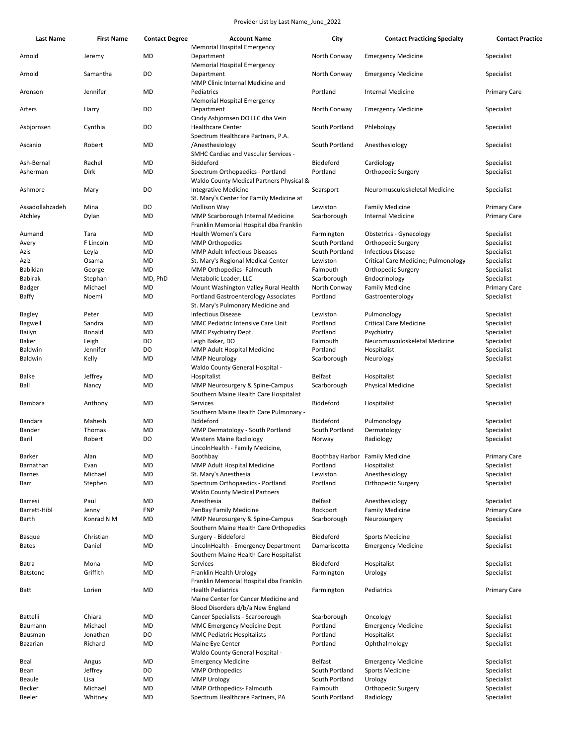| <b>Last Name</b> | <b>First Name</b> | <b>Contact Degree</b> | <b>Account Name</b>                                                                  | City                            | <b>Contact Practicing Specialty</b> | <b>Contact Practice</b> |
|------------------|-------------------|-----------------------|--------------------------------------------------------------------------------------|---------------------------------|-------------------------------------|-------------------------|
| Arnold           | Jeremy            | MD                    | <b>Memorial Hospital Emergency</b><br>Department                                     | North Conway                    | <b>Emergency Medicine</b>           | Specialist              |
| Arnold           | Samantha          | DO                    | <b>Memorial Hospital Emergency</b><br>Department<br>MMP Clinic Internal Medicine and | North Conway                    | <b>Emergency Medicine</b>           | Specialist              |
| Aronson          | Jennifer          | MD                    | Pediatrics                                                                           | Portland                        | <b>Internal Medicine</b>            | <b>Primary Care</b>     |
| Arters           | Harry             | DO                    | <b>Memorial Hospital Emergency</b><br>Department                                     | North Conway                    | <b>Emergency Medicine</b>           | Specialist              |
| Asbiornsen       | Cynthia           | DO                    | Cindy Asbjornsen DO LLC dba Vein<br><b>Healthcare Center</b>                         | South Portland                  | Phlebology                          | Specialist              |
| Ascanio          | Robert            | MD                    | Spectrum Healthcare Partners, P.A.<br>/Anesthesiology                                | South Portland                  | Anesthesiology                      | Specialist              |
|                  |                   |                       | <b>SMHC Cardiac and Vascular Services -</b>                                          |                                 |                                     |                         |
| Ash-Bernal       | Rachel            | <b>MD</b>             | Biddeford                                                                            | Biddeford                       | Cardiology                          | Specialist              |
| Asherman         | Dirk              | MD                    | Spectrum Orthopaedics - Portland                                                     | Portland                        | Orthopedic Surgery                  | Specialist              |
|                  |                   |                       | Waldo County Medical Partners Physical &                                             |                                 |                                     |                         |
| Ashmore          | Mary              | DO                    | <b>Integrative Medicine</b><br>St. Mary's Center for Family Medicine at              | Searsport                       | Neuromusculoskeletal Medicine       | Specialist              |
| Assadollahzadeh  | Mina              | DO                    | <b>Mollison Way</b>                                                                  | Lewiston                        | <b>Family Medicine</b>              | <b>Primary Care</b>     |
| Atchley          | Dylan             | MD                    | MMP Scarborough Internal Medicine<br>Franklin Memorial Hospital dba Franklin         | Scarborough                     | <b>Internal Medicine</b>            | <b>Primary Care</b>     |
| Aumand           | Tara              | MD                    | Health Women's Care                                                                  | Farmington                      | <b>Obstetrics - Gynecology</b>      | Specialist              |
| Avery            | F Lincoln         | MD                    | <b>MMP Orthopedics</b>                                                               | South Portland                  | Orthopedic Surgery                  | Specialist              |
| Azis             | Leyla             | MD                    | <b>MMP Adult Infectious Diseases</b>                                                 | South Portland                  | <b>Infectious Disease</b>           | Specialist              |
| Aziz             | Osama             | MD                    | St. Mary's Regional Medical Center                                                   | Lewiston                        | Critical Care Medicine; Pulmonology | Specialist              |
| Babikian         | George            | MD                    | MMP Orthopedics- Falmouth                                                            | Falmouth                        | Orthopedic Surgery                  | Specialist              |
| <b>Babirak</b>   | Stephan           | MD, PhD               | Metabolic Leader, LLC                                                                | Scarborough                     | Endocrinology                       | Specialist              |
| Badger           | Michael           | MD                    | Mount Washington Valley Rural Health                                                 | North Conway                    | <b>Family Medicine</b>              | <b>Primary Care</b>     |
| Baffy            | Noemi             | MD                    | <b>Portland Gastroenterology Associates</b><br>St. Mary's Pulmonary Medicine and     | Portland                        | Gastroenterology                    | Specialist              |
| Bagley           | Peter             | MD                    | <b>Infectious Disease</b>                                                            | Lewiston                        | Pulmonology                         | Specialist              |
| Bagwell          | Sandra            | MD                    | MMC Pediatric Intensive Care Unit                                                    | Portland                        | <b>Critical Care Medicine</b>       | Specialist              |
| Bailyn           | Ronald            | MD                    | MMC Psychiatry Dept.                                                                 | Portland                        | Psychiatry                          | Specialist              |
| Baker            | Leigh             | DO                    | Leigh Baker, DO                                                                      | Falmouth                        | Neuromusculoskeletal Medicine       | Specialist              |
| Baldwin          | Jennifer          | DO                    | MMP Adult Hospital Medicine                                                          | Portland                        | Hospitalist                         | Specialist              |
| Baldwin          | Kelly             | MD                    | <b>MMP Neurology</b>                                                                 | Scarborough                     | Neurology                           | Specialist              |
|                  |                   |                       | Waldo County General Hospital -                                                      |                                 |                                     |                         |
| Balke            | Jeffrey           | MD                    | Hospitalist                                                                          | Belfast                         | Hospitalist                         | Specialist              |
| Ball             | Nancy             | MD                    | MMP Neurosurgery & Spine-Campus<br>Southern Maine Health Care Hospitalist            | Scarborough                     | <b>Physical Medicine</b>            | Specialist              |
| Bambara          | Anthony           | MD                    | Services<br>Southern Maine Health Care Pulmonary -                                   | Biddeford                       | Hospitalist                         | Specialist              |
| Bandara          | Mahesh            | MD                    | Biddeford                                                                            | Biddeford                       | Pulmonology                         | Specialist              |
| Bander           | Thomas            | MD                    | MMP Dermatology - South Portland                                                     | South Portland                  | Dermatology                         | Specialist              |
| Baril            | Robert            | DO                    | Western Maine Radiology<br>LincolnHealth - Family Medicine,                          | Norway                          | Radiology                           | Specialist              |
| Barker           | Alan              | MD                    | Boothbay                                                                             | Boothbay Harbor Family Medicine |                                     | <b>Primary Care</b>     |
| Barnathan        | Evan              | MD                    | MMP Adult Hospital Medicine                                                          | Portland                        | Hospitalist                         | Specialist              |
| <b>Barnes</b>    | Michael           | MD                    | St. Mary's Anesthesia                                                                | Lewiston                        | Anesthesiology                      | Specialist              |
| Barr             | Stephen           | MD                    | Spectrum Orthopaedics - Portland                                                     | Portland                        | Orthopedic Surgery                  | Specialist              |
|                  |                   |                       | <b>Waldo County Medical Partners</b>                                                 |                                 |                                     |                         |
| Barresi          | Paul              | MD                    | Anesthesia                                                                           | Belfast                         | Anesthesiology                      | Specialist              |
| Barrett-Hibl     | Jenny             | <b>FNP</b>            | PenBay Family Medicine                                                               | Rockport                        | <b>Family Medicine</b>              | <b>Primary Care</b>     |
| Barth            | Konrad N M        | MD                    | MMP Neurosurgery & Spine-Campus<br>Southern Maine Health Care Orthopedics            | Scarborough                     | Neurosurgery                        | Specialist              |
| Basque           | Christian         | MD                    | Surgery - Biddeford                                                                  | Biddeford                       | <b>Sports Medicine</b>              | Specialist              |
| <b>Bates</b>     | Daniel            | MD                    | LincolnHealth - Emergency Department                                                 | Damariscotta                    | <b>Emergency Medicine</b>           | Specialist              |
|                  |                   |                       | Southern Maine Health Care Hospitalist<br>Services                                   |                                 | Hospitalist                         |                         |
| Batra            | Mona              | MD                    |                                                                                      | Biddeford                       |                                     | Specialist              |
| <b>Batstone</b>  | Griffith          | MD                    | Franklin Health Urology<br>Franklin Memorial Hospital dba Franklin                   | Farmington                      | Urology                             | Specialist              |
| Batt             | Lorien            | MD                    | <b>Health Pediatrics</b><br>Maine Center for Cancer Medicine and                     | Farmington                      | Pediatrics                          | <b>Primary Care</b>     |
|                  |                   |                       | Blood Disorders d/b/a New England                                                    |                                 |                                     |                         |
| Battelli         | Chiara            | MD                    | Cancer Specialists - Scarborough                                                     | Scarborough                     | Oncology                            | Specialist              |
| Baumann          | Michael           | MD                    | MMC Emergency Medicine Dept                                                          | Portland                        | <b>Emergency Medicine</b>           | Specialist              |
| Bausman          | Jonathan          | DO                    | <b>MMC Pediatric Hospitalists</b>                                                    | Portland                        | Hospitalist                         | Specialist              |
| Bazarian         | Richard           | MD                    | Maine Eye Center<br>Waldo County General Hospital -                                  | Portland                        | Ophthalmology                       | Specialist              |
| Beal             | Angus             | MD                    | <b>Emergency Medicine</b>                                                            | <b>Belfast</b>                  | <b>Emergency Medicine</b>           | Specialist              |
| Bean             | Jeffrey           | DO                    | <b>MMP Orthopedics</b>                                                               | South Portland                  | <b>Sports Medicine</b>              | Specialist              |
| Beaule           | Lisa              | MD                    | <b>MMP Urology</b>                                                                   | South Portland                  | Urology                             | Specialist              |
| Becker           | Michael           | MD                    | MMP Orthopedics- Falmouth                                                            | Falmouth                        | Orthopedic Surgery                  | Specialist              |
| Beeler           | Whitney           | MD                    | Spectrum Healthcare Partners, PA                                                     | South Portland                  | Radiology                           | Specialist              |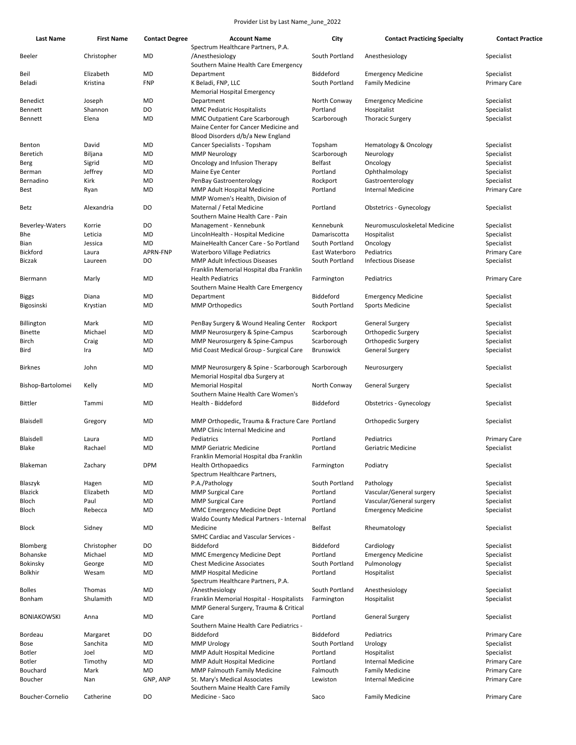| <b>Last Name</b>   | <b>First Name</b> | <b>Contact Degree</b> | <b>Account Name</b>                                     | City             | <b>Contact Practicing Specialty</b> | <b>Contact Practice</b> |
|--------------------|-------------------|-----------------------|---------------------------------------------------------|------------------|-------------------------------------|-------------------------|
|                    |                   |                       | Spectrum Healthcare Partners, P.A.                      |                  |                                     |                         |
| Beeler             | Christopher       | MD                    | /Anesthesiology<br>Southern Maine Health Care Emergency | South Portland   | Anesthesiology                      | Specialist              |
| Beil               | Elizabeth         | MD                    | Department                                              | Biddeford        | <b>Emergency Medicine</b>           | Specialist              |
| Beladi             | Kristina          | <b>FNP</b>            | K Beladi, FNP, LLC                                      | South Portland   | <b>Family Medicine</b>              | <b>Primary Care</b>     |
|                    |                   |                       | Memorial Hospital Emergency                             |                  |                                     |                         |
| Benedict           | Joseph            | MD                    | Department                                              | North Conway     | <b>Emergency Medicine</b>           | Specialist              |
| Bennett            | Shannon           | DO                    | <b>MMC Pediatric Hospitalists</b>                       | Portland         | Hospitalist                         | Specialist              |
| Bennett            | Elena             | MD                    | MMC Outpatient Care Scarborough                         | Scarborough      | <b>Thoracic Surgery</b>             | Specialist              |
|                    |                   |                       | Maine Center for Cancer Medicine and                    |                  |                                     |                         |
|                    |                   |                       | Blood Disorders d/b/a New England                       |                  |                                     |                         |
| Benton             | David             | MD                    | Cancer Specialists - Topsham                            | Topsham          | Hematology & Oncology               | Specialist              |
| Beretich           | Biljana           | MD                    | <b>MMP Neurology</b>                                    | Scarborough      | Neurology                           | Specialist              |
| Berg               | Sigrid            | MD                    | Oncology and Infusion Therapy                           | Belfast          | Oncology                            | Specialist              |
| Berman             | Jeffrey           | MD                    | Maine Eye Center                                        | Portland         | Ophthalmology                       | Specialist              |
| Bernadino          | Kirk              | MD                    | PenBay Gastroenterology                                 | Rockport         | Gastroenterology                    | Specialist              |
| Best               | Ryan              | MD                    | MMP Adult Hospital Medicine                             | Portland         | <b>Internal Medicine</b>            | <b>Primary Care</b>     |
|                    |                   |                       | MMP Women's Health, Division of                         |                  |                                     |                         |
| Betz               | Alexandria        | DO                    | Maternal / Fetal Medicine                               | Portland         | <b>Obstetrics - Gynecology</b>      | Specialist              |
|                    |                   |                       | Southern Maine Health Care - Pain                       |                  |                                     |                         |
| Beverley-Waters    | Korrie            | DO                    | Management - Kennebunk                                  | Kennebunk        | Neuromusculoskeletal Medicine       | Specialist              |
| Bhe                | Leticia           | MD                    | LincolnHealth - Hospital Medicine                       | Damariscotta     | Hospitalist                         | Specialist              |
| Bian               | Jessica           | MD                    | MaineHealth Cancer Care - So Portland                   | South Portland   | Oncology                            | Specialist              |
| <b>Bickford</b>    | Laura             | <b>APRN-FNP</b>       | <b>Waterboro Village Pediatrics</b>                     | East Waterboro   | Pediatrics                          | Primary Care            |
|                    |                   |                       |                                                         |                  |                                     |                         |
| Biczak             | Laureen           | DO                    | <b>MMP Adult Infectious Diseases</b>                    | South Portland   | <b>Infectious Disease</b>           | Specialist              |
|                    |                   |                       | Franklin Memorial Hospital dba Franklin                 |                  |                                     |                         |
| Biermann           | Marly             | MD                    | <b>Health Pediatrics</b>                                | Farmington       | Pediatrics                          | <b>Primary Care</b>     |
|                    |                   |                       | Southern Maine Health Care Emergency                    |                  |                                     |                         |
| <b>Biggs</b>       | Diana             | MD                    | Department                                              | Biddeford        | <b>Emergency Medicine</b>           | Specialist              |
| Bigosinski         | Krystian          | MD                    | <b>MMP Orthopedics</b>                                  | South Portland   | Sports Medicine                     | Specialist              |
|                    |                   |                       |                                                         |                  |                                     |                         |
| Billington         | Mark              | MD                    | PenBay Surgery & Wound Healing Center                   | Rockport         | <b>General Surgery</b>              | Specialist              |
| Binette            | Michael           | MD                    | MMP Neurosurgery & Spine-Campus                         | Scarborough      | Orthopedic Surgery                  | Specialist              |
| Birch              | Craig             | MD                    | MMP Neurosurgery & Spine-Campus                         | Scarborough      | Orthopedic Surgery                  | Specialist              |
| Bird               | Ira               | MD                    | Mid Coast Medical Group - Surgical Care                 | <b>Brunswick</b> | <b>General Surgery</b>              | Specialist              |
|                    |                   |                       |                                                         |                  |                                     |                         |
| <b>Birknes</b>     | John              | MD                    | MMP Neurosurgery & Spine - Scarborough Scarborough      |                  | Neurosurgery                        | Specialist              |
|                    |                   |                       | Memorial Hospital dba Surgery at                        |                  |                                     |                         |
| Bishop-Bartolomei  | Kelly             | MD                    | <b>Memorial Hospital</b>                                | North Conway     | General Surgery                     | Specialist              |
|                    |                   |                       | Southern Maine Health Care Women's                      |                  |                                     |                         |
| <b>Bittler</b>     | Tammi             | MD                    | Health - Biddeford                                      | Biddeford        | Obstetrics - Gynecology             | Specialist              |
|                    |                   |                       |                                                         |                  |                                     |                         |
| Blaisdell          | Gregory           | MD                    | MMP Orthopedic, Trauma & Fracture Care Portland         |                  | Orthopedic Surgery                  | Specialist              |
|                    |                   |                       | MMP Clinic Internal Medicine and                        |                  |                                     |                         |
| Blaisdell          | Laura             | MD                    | Pediatrics                                              | Portland         | Pediatrics                          | <b>Primary Care</b>     |
| Blake              | Rachael           | MD                    | <b>MMP Geriatric Medicine</b>                           | Portland         | Geriatric Medicine                  | Specialist              |
|                    |                   |                       | Franklin Memorial Hospital dba Franklin                 |                  |                                     |                         |
| Blakeman           | Zachary           | <b>DPM</b>            | <b>Health Orthopaedics</b>                              | Farmington       | Podiatry                            | Specialist              |
|                    |                   |                       | Spectrum Healthcare Partners,                           |                  |                                     |                         |
| Blaszyk            | Hagen             | MD                    | P.A./Pathology                                          | South Portland   | Pathology                           | Specialist              |
| <b>Blazick</b>     | Elizabeth         | MD                    | <b>MMP Surgical Care</b>                                | Portland         | Vascular/General surgery            | Specialist              |
| Bloch              | Paul              | MD                    | <b>MMP Surgical Care</b>                                | Portland         | Vascular/General surgery            | Specialist              |
| Bloch              | Rebecca           | MD                    | MMC Emergency Medicine Dept                             | Portland         | <b>Emergency Medicine</b>           | Specialist              |
|                    |                   |                       | Waldo County Medical Partners - Internal                |                  |                                     |                         |
|                    |                   | MD                    | Medicine                                                |                  |                                     |                         |
| Block              | Sidney            |                       |                                                         | Belfast          | Rheumatology                        | Specialist              |
|                    |                   |                       | <b>SMHC Cardiac and Vascular Services -</b>             |                  |                                     |                         |
| Blomberg           | Christopher       | DO                    | Biddeford                                               | Biddeford        | Cardiology                          | Specialist              |
| Bohanske           | Michael           | MD                    | MMC Emergency Medicine Dept                             | Portland         | <b>Emergency Medicine</b>           | Specialist              |
| Bokinsky           | George            | MD                    | <b>Chest Medicine Associates</b>                        | South Portland   | Pulmonology                         | Specialist              |
| <b>Bolkhir</b>     | Wesam             | MD                    | <b>MMP Hospital Medicine</b>                            | Portland         | Hospitalist                         | Specialist              |
|                    |                   |                       | Spectrum Healthcare Partners, P.A.                      |                  |                                     |                         |
| <b>Bolles</b>      | Thomas            | MD                    | /Anesthesiology                                         | South Portland   | Anesthesiology                      | Specialist              |
| Bonham             | Shulamith         | MD                    | Franklin Memorial Hospital - Hospitalists               | Farmington       | Hospitalist                         | Specialist              |
|                    |                   |                       | MMP General Surgery, Trauma & Critical                  |                  |                                     |                         |
| <b>BONIAKOWSKI</b> | Anna              | MD                    | Care                                                    | Portland         | <b>General Surgery</b>              | Specialist              |
|                    |                   |                       | Southern Maine Health Care Pediatrics -                 |                  |                                     |                         |
| Bordeau            | Margaret          | DO                    | Biddeford                                               | Biddeford        | Pediatrics                          | <b>Primary Care</b>     |
| Bose               | Sanchita          | MD                    | <b>MMP Urology</b>                                      | South Portland   | Urology                             | Specialist              |
| <b>Botler</b>      | Joel              | MD                    | MMP Adult Hospital Medicine                             | Portland         | Hospitalist                         | Specialist              |
| Botler             | Timothy           | MD                    | MMP Adult Hospital Medicine                             | Portland         | Internal Medicine                   | <b>Primary Care</b>     |
| Bouchard           | Mark              | MD                    | <b>MMP Falmouth Family Medicine</b>                     | Falmouth         | <b>Family Medicine</b>              | <b>Primary Care</b>     |
| Boucher            | Nan               | GNP, ANP              | St. Mary's Medical Associates                           | Lewiston         | Internal Medicine                   | Primary Care            |
|                    |                   |                       | Southern Maine Health Care Family                       |                  |                                     |                         |
| Boucher-Cornelio   | Catherine         | DO                    | Medicine - Saco                                         | Saco             | <b>Family Medicine</b>              | Primary Care            |
|                    |                   |                       |                                                         |                  |                                     |                         |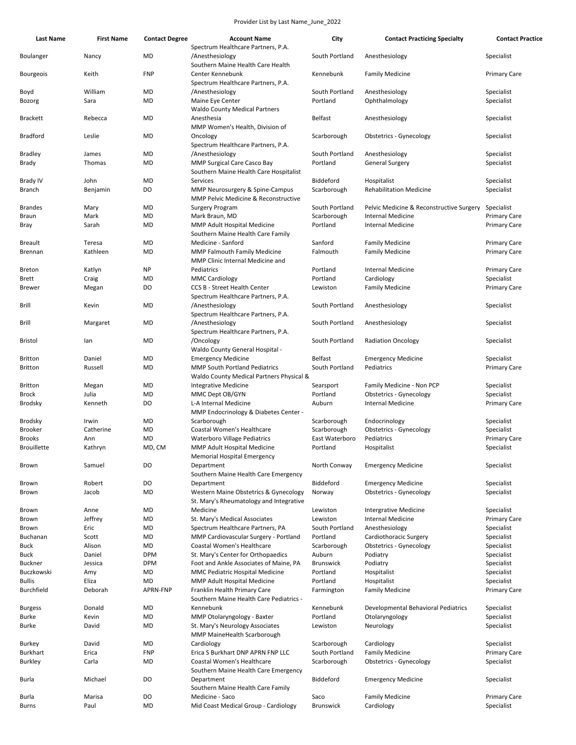| <b>Last Name</b>   | <b>First Name</b> | <b>Contact Degree</b> | <b>Account Name</b>                                                                        | City             | <b>Contact Practicing Specialty</b>      | <b>Contact Practice</b> |
|--------------------|-------------------|-----------------------|--------------------------------------------------------------------------------------------|------------------|------------------------------------------|-------------------------|
| Boulanger          | Nancy             | MD                    | Spectrum Healthcare Partners, P.A.<br>/Anesthesiology<br>Southern Maine Health Care Health | South Portland   | Anesthesiology                           | Specialist              |
| <b>Bourgeois</b>   | Keith             | <b>FNP</b>            | Center Kennebunk<br>Spectrum Healthcare Partners, P.A.                                     | Kennebunk        | <b>Family Medicine</b>                   | <b>Primary Care</b>     |
| Boyd               | William           | MD                    | /Anesthesiology                                                                            | South Portland   | Anesthesiology                           | Specialist              |
| Bozorg             | Sara              | MD                    | Maine Eye Center<br><b>Waldo County Medical Partners</b>                                   | Portland         | Ophthalmology                            | Specialist              |
| <b>Brackett</b>    | Rebecca           | MD                    | Anesthesia<br>MMP Women's Health, Division of                                              | <b>Belfast</b>   | Anesthesiology                           | Specialist              |
| <b>Bradford</b>    | Leslie            | MD                    | Oncology<br>Spectrum Healthcare Partners, P.A.                                             | Scarborough      | Obstetrics - Gynecology                  | Specialist              |
| Bradley            | James             | MD                    | /Anesthesiology                                                                            | South Portland   | Anesthesiology                           | Specialist              |
| Brady              | Thomas            | MD                    | MMP Surgical Care Casco Bay                                                                | Portland         | <b>General Surgery</b>                   | Specialist              |
|                    |                   |                       | Southern Maine Health Care Hospitalist                                                     |                  |                                          |                         |
| Brady IV           | John              | MD                    | Services                                                                                   | Biddeford        | Hospitalist                              | Specialist              |
| Branch             | Benjamin          | DO                    | MMP Neurosurgery & Spine-Campus<br><b>MMP Pelvic Medicine &amp; Reconstructive</b>         | Scarborough      | <b>Rehabilitation Medicine</b>           | Specialist              |
| <b>Brandes</b>     | Mary              | MD                    | <b>Surgery Program</b>                                                                     | South Portland   | Pelvic Medicine & Reconstructive Surgery | Specialist              |
| Braun              | Mark              | MD                    | Mark Braun, MD                                                                             | Scarborough      | <b>Internal Medicine</b>                 | <b>Primary Care</b>     |
| Bray               | Sarah             | MD                    | MMP Adult Hospital Medicine<br>Southern Maine Health Care Family                           | Portland         | <b>Internal Medicine</b>                 | <b>Primary Care</b>     |
| <b>Breault</b>     | Teresa            | MD                    | Medicine - Sanford                                                                         | Sanford          | <b>Family Medicine</b>                   | <b>Primary Care</b>     |
| <b>Brennan</b>     | Kathleen          | MD                    | <b>MMP Falmouth Family Medicine</b><br>MMP Clinic Internal Medicine and                    | Falmouth         | <b>Family Medicine</b>                   | <b>Primary Care</b>     |
| <b>Breton</b>      | Katlyn            | NP                    | Pediatrics                                                                                 | Portland         | <b>Internal Medicine</b>                 | <b>Primary Care</b>     |
| Brett              | Craig             | MD                    | <b>MMC Cardiology</b>                                                                      | Portland         | Cardiology                               | Specialist              |
| <b>Brewer</b>      | Megan             | DO                    | <b>CCS B - Street Health Center</b><br>Spectrum Healthcare Partners, P.A.                  | Lewiston         | <b>Family Medicine</b>                   | <b>Primary Care</b>     |
| Brill              | Kevin             | MD                    | /Anesthesiology<br>Spectrum Healthcare Partners, P.A.                                      | South Portland   | Anesthesiology                           | Specialist              |
| Brill              | Margaret          | MD                    | /Anesthesiology<br>Spectrum Healthcare Partners, P.A.                                      | South Portland   | Anesthesiology                           | Specialist              |
| Bristol            | lan               | MD                    | /Oncology<br>Waldo County General Hospital -                                               | South Portland   | <b>Radiation Oncology</b>                | Specialist              |
| <b>Britton</b>     | Daniel            | MD                    | <b>Emergency Medicine</b>                                                                  | <b>Belfast</b>   | <b>Emergency Medicine</b>                | Specialist              |
| <b>Britton</b>     | Russell           | MD                    | <b>MMP South Portland Pediatrics</b>                                                       | South Portland   | Pediatrics                               | <b>Primary Care</b>     |
|                    |                   |                       | Waldo County Medical Partners Physical &                                                   |                  |                                          |                         |
| <b>Britton</b>     | Megan             | MD                    | Integrative Medicine                                                                       | Searsport        | Family Medicine - Non PCP                | Specialist              |
| Brock              | Julia             | MD                    | MMC Dept OB/GYN                                                                            | Portland         | <b>Obstetrics - Gynecology</b>           | Specialist              |
| Brodsky            | Kenneth           | DO                    | L-A Internal Medicine<br>MMP Endocrinology & Diabetes Center -                             | Auburn           | <b>Internal Medicine</b>                 | <b>Primary Care</b>     |
| Brodsky            | Irwin             | MD                    | Scarborough                                                                                | Scarborough      | Endocrinology                            | Specialist              |
| <b>Brooker</b>     | Catherine         | MD                    | Coastal Women's Healthcare                                                                 | Scarborough      | <b>Obstetrics - Gynecology</b>           | Specialist              |
| <b>Brooks</b>      | Ann               | MD                    | <b>Waterboro Village Pediatrics</b>                                                        | East Waterboro   | Pediatrics                               | <b>Primary Care</b>     |
| <b>Brouillette</b> | Kathryn           | MD, CM                | MMP Adult Hospital Medicine<br><b>Memorial Hospital Emergency</b>                          | Portland         | Hospitalist                              | Specialist              |
| Brown              | Samuel            | DO                    | Department<br>Southern Maine Health Care Emergency                                         | North Conway     | <b>Emergency Medicine</b>                | Specialist              |
| Brown              | Robert            | DO                    | Department                                                                                 | Biddeford        | <b>Emergency Medicine</b>                | Specialist              |
| Brown              | Jacob             | MD                    | Western Maine Obstetrics & Gynecology<br>St. Mary's Rheumatology and Integrative           | Norway           | <b>Obstetrics - Gynecology</b>           | Specialist              |
| Brown              | Anne              | MD                    | Medicine                                                                                   | Lewiston         | <b>Intergrative Medicine</b>             | Specialist              |
| Brown              | Jeffrey           | MD                    | St. Mary's Medical Associates                                                              | Lewiston         | <b>Internal Medicine</b>                 | <b>Primary Care</b>     |
| Brown              | Eric              | MD                    | Spectrum Healthcare Partners, PA                                                           | South Portland   | Anesthesiology                           | Specialist              |
| Buchanan           | Scott             | MD                    | MMP Cardiovascular Surgery - Portland                                                      | Portland         | Cardiothoracic Surgery                   | Specialist              |
| Buck               | Alison            | <b>MD</b>             | Coastal Women's Healthcare                                                                 | Scarborough      | <b>Obstetrics - Gynecology</b>           | Specialist              |
| Buck               | Daniel            | <b>DPM</b>            | St. Mary's Center for Orthopaedics                                                         | Auburn           | Podiatry                                 | Specialist              |
| Buckner            | Jessica           | <b>DPM</b>            | Foot and Ankle Associates of Maine, PA                                                     | <b>Brunswick</b> | Podiatry                                 | Specialist              |
| Buczkowski         | Amy               | MD                    | MMC Pediatric Hospital Medicine                                                            | Portland         | Hospitalist                              | Specialist              |
| <b>Bullis</b>      | Eliza             | MD                    | MMP Adult Hospital Medicine                                                                | Portland         | Hospitalist                              | Specialist              |
| Burchfield         | Deborah           | APRN-FNP              | Franklin Health Primary Care<br>Southern Maine Health Care Pediatrics -                    | Farmington       | <b>Family Medicine</b>                   | <b>Primary Care</b>     |
| <b>Burgess</b>     | Donald            | MD                    | Kennebunk                                                                                  | Kennebunk        | Developmental Behavioral Pediatrics      | Specialist              |
| <b>Burke</b>       | Kevin             | MD                    | MMP Otolaryngology - Baxter                                                                | Portland         | Otolaryngology                           | Specialist              |
| Burke              | David             | MD                    | St. Mary's Neurology Associates<br>MMP MaineHealth Scarborough                             | Lewiston         | Neurology                                | Specialist              |
| Burkey             | David             | MD                    | Cardiology                                                                                 | Scarborough      | Cardiology                               | Specialist              |
| Burkhart           | Erica             | <b>FNP</b>            | Erica S Burkhart DNP APRN FNP LLC                                                          | South Portland   | <b>Family Medicine</b>                   | <b>Primary Care</b>     |
| <b>Burkley</b>     | Carla             | MD                    | Coastal Women's Healthcare                                                                 | Scarborough      | <b>Obstetrics - Gynecology</b>           | Specialist              |
| Burla              | Michael           | DO                    | Southern Maine Health Care Emergency<br>Department                                         | Biddeford        | <b>Emergency Medicine</b>                | Specialist              |
|                    |                   |                       | Southern Maine Health Care Family                                                          |                  |                                          |                         |
| <b>Burla</b>       | Marisa            | DO                    | Medicine - Saco                                                                            | Saco             | <b>Family Medicine</b>                   | <b>Primary Care</b>     |
| Burns              | Paul              | MD                    | Mid Coast Medical Group - Cardiology                                                       | <b>Brunswick</b> | Cardiology                               | Specialist              |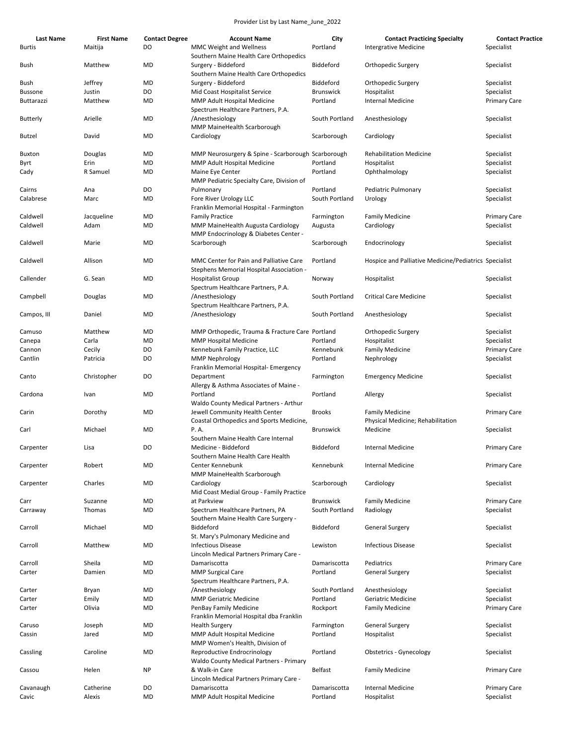| Last Name     | <b>First Name</b> | <b>Contact Degree</b> | <b>Account Name</b>                                                                 | City             | <b>Contact Practicing Specialty</b>                         | <b>Contact Practice</b> |
|---------------|-------------------|-----------------------|-------------------------------------------------------------------------------------|------------------|-------------------------------------------------------------|-------------------------|
| <b>Burtis</b> | Maitija           | DO                    | MMC Weight and Wellness<br>Southern Maine Health Care Orthopedics                   | Portland         | <b>Intergrative Medicine</b>                                | Specialist              |
| Bush          | Matthew           | MD                    | Surgery - Biddeford<br>Southern Maine Health Care Orthopedics                       | Biddeford        | Orthopedic Surgery                                          | Specialist              |
| Bush          | Jeffrey           | MD                    | Surgery - Biddeford                                                                 | Biddeford        | Orthopedic Surgery                                          | Specialist              |
| Bussone       | Justin            | DO                    | Mid Coast Hospitalist Service                                                       | <b>Brunswick</b> | Hospitalist                                                 | Specialist              |
| Buttarazzi    | Matthew           | MD                    | MMP Adult Hospital Medicine                                                         | Portland         | <b>Internal Medicine</b>                                    | <b>Primary Care</b>     |
| Butterly      | Arielle           | MD                    | Spectrum Healthcare Partners, P.A.<br>/Anesthesiology                               | South Portland   | Anesthesiology                                              | Specialist              |
| Butzel        | David             | MD                    | MMP MaineHealth Scarborough<br>Cardiology                                           | Scarborough      | Cardiology                                                  | Specialist              |
| <b>Buxton</b> | Douglas           | MD                    | MMP Neurosurgery & Spine - Scarborough Scarborough                                  |                  | <b>Rehabilitation Medicine</b>                              | Specialist              |
| Byrt          | Erin              | MD                    | MMP Adult Hospital Medicine                                                         | Portland         | Hospitalist                                                 | Specialist              |
| Cady          | R Samuel          | MD                    | Maine Eye Center<br>MMP Pediatric Specialty Care, Division of                       | Portland         | Ophthalmology                                               | Specialist              |
| Cairns        | Ana               | DO                    | Pulmonary                                                                           | Portland         | Pediatric Pulmonary                                         | Specialist              |
| Calabrese     | Marc              | MD                    | Fore River Urology LLC                                                              | South Portland   | Urology                                                     | Specialist              |
|               |                   |                       | Franklin Memorial Hospital - Farmington                                             |                  |                                                             |                         |
| Caldwell      | Jacqueline        | MD                    | <b>Family Practice</b>                                                              | Farmington       | <b>Family Medicine</b>                                      | <b>Primary Care</b>     |
| Caldwell      | Adam              | MD                    | MMP MaineHealth Augusta Cardiology                                                  | Augusta          | Cardiology                                                  | Specialist              |
|               |                   |                       | MMP Endocrinology & Diabetes Center -                                               |                  |                                                             |                         |
| Caldwell      | Marie             | MD                    | Scarborough                                                                         | Scarborough      | Endocrinology                                               | Specialist              |
| Caldwell      | Allison           | MD                    | MMC Center for Pain and Palliative Care<br>Stephens Memorial Hospital Association - | Portland         | Hospice and Palliative Medicine/Pediatrics Specialist       |                         |
| Callender     | G. Sean           | MD                    | <b>Hospitalist Group</b><br>Spectrum Healthcare Partners, P.A.                      | Norway           | Hospitalist                                                 | Specialist              |
| Campbell      | Douglas           | MD                    | /Anesthesiology<br>Spectrum Healthcare Partners, P.A.                               | South Portland   | <b>Critical Care Medicine</b>                               | Specialist              |
| Campos, III   | Daniel            | MD                    | /Anesthesiology                                                                     | South Portland   | Anesthesiology                                              | Specialist              |
| Camuso        | Matthew           | MD                    | MMP Orthopedic, Trauma & Fracture Care Portland                                     |                  | Orthopedic Surgery                                          | Specialist              |
| Canepa        | Carla             | MD                    | <b>MMP Hospital Medicine</b>                                                        | Portland         | Hospitalist                                                 | Specialist              |
| Cannon        | Cecily            | DO                    | Kennebunk Family Practice, LLC                                                      | Kennebunk        | <b>Family Medicine</b>                                      | <b>Primary Care</b>     |
| Cantlin       | Patricia          | DO                    | <b>MMP Nephrology</b><br>Franklin Memorial Hospital- Emergency                      | Portland         | Nephrology                                                  | Specialist              |
| Canto         | Christopher       | DO                    | Department<br>Allergy & Asthma Associates of Maine -                                | Farmington       | <b>Emergency Medicine</b>                                   | Specialist              |
| Cardona       | Ivan              | MD                    | Portland<br>Waldo County Medical Partners - Arthur                                  | Portland         | Allergy                                                     | Specialist              |
| Carin         | Dorothy           | MD                    | Jewell Community Health Center<br>Coastal Orthopedics and Sports Medicine,          | <b>Brooks</b>    | <b>Family Medicine</b><br>Physical Medicine; Rehabilitation | <b>Primary Care</b>     |
| Carl          | Michael           | MD                    | P. A.<br>Southern Maine Health Care Internal                                        | <b>Brunswick</b> | Medicine                                                    | Specialist              |
| Carpenter     | Lisa              | DO                    | Medicine - Biddeford<br>Southern Maine Health Care Health                           | Biddeford        | Internal Medicine                                           | <b>Primary Care</b>     |
| Carpenter     | Robert            | MD                    | Center Kennebunk<br>MMP MaineHealth Scarborough                                     | Kennebunk        | <b>Internal Medicine</b>                                    | <b>Primary Care</b>     |
| Carpenter     | Charles           | MD                    | Cardiology<br>Mid Coast Medial Group - Family Practice                              | Scarborough      | Cardiology                                                  | Specialist              |
| Carr          | Suzanne           | <b>MD</b>             | at Parkview                                                                         | <b>Brunswick</b> | <b>Family Medicine</b>                                      | <b>Primary Care</b>     |
| Carraway      | Thomas            | MD                    | Spectrum Healthcare Partners, PA<br>Southern Maine Health Care Surgery -            | South Portland   | Radiology                                                   | Specialist              |
| Carroll       | Michael           | <b>MD</b>             | Biddeford<br>St. Mary's Pulmonary Medicine and                                      | Biddeford        | <b>General Surgery</b>                                      | Specialist              |
| Carroll       | Matthew           | MD                    | <b>Infectious Disease</b><br>Lincoln Medical Partners Primary Care -                | Lewiston         | <b>Infectious Disease</b>                                   | Specialist              |
| Carroll       | Sheila            | MD                    | Damariscotta                                                                        | Damariscotta     | Pediatrics                                                  | <b>Primary Care</b>     |
| Carter        | Damien            | MD                    | <b>MMP Surgical Care</b>                                                            | Portland         | <b>General Surgery</b>                                      | Specialist              |
| Carter        | Bryan             | <b>MD</b>             | Spectrum Healthcare Partners, P.A.<br>/Anesthesiology                               | South Portland   | Anesthesiology                                              | Specialist              |
| Carter        | Emily             | MD                    | <b>MMP Geriatric Medicine</b>                                                       | Portland         | Geriatric Medicine                                          | Specialist              |
| Carter        | Olivia            | MD                    | PenBay Family Medicine<br>Franklin Memorial Hospital dba Franklin                   | Rockport         | <b>Family Medicine</b>                                      | <b>Primary Care</b>     |
| Caruso        | Joseph            | MD                    | <b>Health Surgery</b>                                                               | Farmington       | <b>General Surgery</b>                                      | Specialist              |
| Cassin        | Jared             | MD                    | MMP Adult Hospital Medicine<br>MMP Women's Health, Division of                      | Portland         | Hospitalist                                                 | Specialist              |
| Cassling      | Caroline          | MD                    | Reproductive Endrocrinology<br>Waldo County Medical Partners - Primary              | Portland         | <b>Obstetrics - Gynecology</b>                              | Specialist              |
| Cassou        | Helen             | <b>NP</b>             | & Walk-in Care<br>Lincoln Medical Partners Primary Care -                           | Belfast          | <b>Family Medicine</b>                                      | <b>Primary Care</b>     |
| Cavanaugh     | Catherine         | DO                    | Damariscotta                                                                        | Damariscotta     | <b>Internal Medicine</b>                                    | <b>Primary Care</b>     |
| Cavic         | Alexis            | MD                    | MMP Adult Hospital Medicine                                                         | Portland         | Hospitalist                                                 | Specialist              |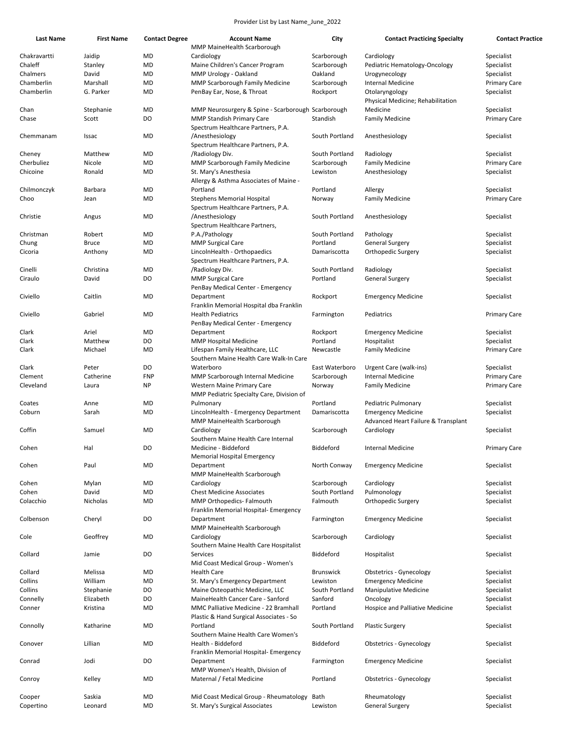| <b>Last Name</b> | <b>First Name</b> | <b>Contact Degree</b> | <b>Account Name</b>                                | City             | <b>Contact Practicing Specialty</b>                 | <b>Contact Practice</b> |
|------------------|-------------------|-----------------------|----------------------------------------------------|------------------|-----------------------------------------------------|-------------------------|
|                  |                   |                       | MMP MaineHealth Scarborough                        |                  |                                                     |                         |
| Chakravartti     | Jaidip            | MD                    | Cardiology                                         | Scarborough      | Cardiology                                          | Specialist              |
| Chaleff          | Stanley           | MD                    | Maine Children's Cancer Program                    | Scarborough      | Pediatric Hematology-Oncology                       | Specialist              |
| Chalmers         | David             | MD                    | MMP Urology - Oakland                              | Oakland          | Urogynecology                                       | Specialist              |
| Chamberlin       | Marshall          | MD                    | <b>MMP Scarborough Family Medicine</b>             | Scarborough      | <b>Internal Medicine</b>                            | <b>Primary Care</b>     |
| Chamberlin       | G. Parker         | MD                    | PenBay Ear, Nose, & Throat                         | Rockport         | Otolaryngology<br>Physical Medicine; Rehabilitation | Specialist              |
| Chan             | Stephanie         | <b>MD</b>             | MMP Neurosurgery & Spine - Scarborough Scarborough |                  | Medicine                                            | Specialist              |
| Chase            | Scott             | DO                    | <b>MMP Standish Primary Care</b>                   | Standish         | <b>Family Medicine</b>                              | <b>Primary Care</b>     |
|                  |                   |                       | Spectrum Healthcare Partners, P.A.                 |                  |                                                     |                         |
| Chemmanam        | Issac             | MD                    | /Anesthesiology                                    | South Portland   | Anesthesiology                                      | Specialist              |
|                  |                   |                       | Spectrum Healthcare Partners, P.A.                 |                  |                                                     |                         |
| Cheney           | Matthew           | MD                    | /Radiology Div.                                    | South Portland   | Radiology                                           | Specialist              |
| Cherbuliez       | Nicole            | MD                    | MMP Scarborough Family Medicine                    | Scarborough      | <b>Family Medicine</b>                              | <b>Primary Care</b>     |
| Chicoine         | Ronald            | MD                    | St. Mary's Anesthesia                              | Lewiston         | Anesthesiology                                      | Specialist              |
|                  |                   |                       | Allergy & Asthma Associates of Maine -             |                  |                                                     |                         |
| Chilmonczyk      | Barbara           | MD                    | Portland                                           | Portland         | Allergy                                             | Specialist              |
| Choo             | Jean              | MD                    | <b>Stephens Memorial Hospital</b>                  | Norway           | <b>Family Medicine</b>                              | <b>Primary Care</b>     |
|                  |                   |                       | Spectrum Healthcare Partners, P.A.                 |                  |                                                     |                         |
| Christie         | Angus             | MD                    | /Anesthesiology                                    | South Portland   | Anesthesiology                                      | Specialist              |
|                  |                   |                       | Spectrum Healthcare Partners,                      |                  |                                                     |                         |
| Christman        | Robert            | MD                    | P.A./Pathology                                     | South Portland   | Pathology                                           | Specialist              |
| Chung            | <b>Bruce</b>      | MD                    | <b>MMP Surgical Care</b>                           | Portland         | <b>General Surgery</b>                              | Specialist              |
| Cicoria          | Anthony           | MD                    | LincolnHealth - Orthopaedics                       | Damariscotta     | Orthopedic Surgery                                  | Specialist              |
|                  |                   |                       | Spectrum Healthcare Partners, P.A.                 |                  |                                                     |                         |
| Cinelli          | Christina         | MD                    | /Radiology Div.                                    | South Portland   | Radiology                                           | Specialist              |
| Ciraulo          | David             | DO                    | <b>MMP Surgical Care</b>                           | Portland         | <b>General Surgery</b>                              | Specialist              |
|                  |                   |                       | PenBay Medical Center - Emergency                  |                  |                                                     |                         |
| Civiello         | Caitlin           | MD                    | Department                                         | Rockport         | <b>Emergency Medicine</b>                           | Specialist              |
|                  |                   |                       | Franklin Memorial Hospital dba Franklin            |                  |                                                     |                         |
| Civiello         | Gabriel           | MD                    | <b>Health Pediatrics</b>                           | Farmington       | Pediatrics                                          | <b>Primary Care</b>     |
|                  |                   |                       | PenBay Medical Center - Emergency                  |                  |                                                     |                         |
| Clark            | Ariel             | MD                    | Department                                         | Rockport         | <b>Emergency Medicine</b>                           | Specialist              |
| Clark            | Matthew           | DO                    | <b>MMP Hospital Medicine</b>                       | Portland         | Hospitalist                                         | Specialist              |
| Clark            | Michael           | MD                    | Lifespan Family Healthcare, LLC                    | Newcastle        | <b>Family Medicine</b>                              | <b>Primary Care</b>     |
|                  |                   |                       | Southern Maine Health Care Walk-In Care            |                  |                                                     |                         |
| Clark            | Peter             | DO                    | Waterboro                                          | East Waterboro   | Urgent Care (walk-ins)                              | Specialist              |
| Clement          | Catherine         | <b>FNP</b>            | MMP Scarborough Internal Medicine                  | Scarborough      | <b>Internal Medicine</b>                            | <b>Primary Care</b>     |
| Cleveland        | Laura             | <b>NP</b>             | Western Maine Primary Care                         | Norway           | <b>Family Medicine</b>                              | <b>Primary Care</b>     |
|                  |                   |                       | MMP Pediatric Specialty Care, Division of          |                  |                                                     |                         |
| Coates           | Anne              | MD                    | Pulmonary                                          | Portland         | Pediatric Pulmonary                                 | Specialist              |
| Coburn           | Sarah             | MD                    | LincolnHealth - Emergency Department               | Damariscotta     | <b>Emergency Medicine</b>                           | Specialist              |
|                  |                   |                       | MMP MaineHealth Scarborough                        |                  | Advanced Heart Failure & Transplant                 |                         |
| Coffin           | Samuel            | MD                    | Cardiology                                         | Scarborough      | Cardiology                                          | Specialist              |
|                  |                   |                       | Southern Maine Health Care Internal                |                  |                                                     |                         |
| Cohen            | Hal               | D <sub>O</sub>        | Medicine - Biddeford                               | Biddeford        | <b>Internal Medicine</b>                            | <b>Primary Care</b>     |
|                  |                   |                       | Memorial Hospital Emergency                        |                  |                                                     |                         |
| Cohen            | Paul              | MD                    | Department                                         | North Conway     | <b>Emergency Medicine</b>                           | Specialist              |
|                  |                   |                       | MMP MaineHealth Scarborough                        |                  |                                                     |                         |
| Cohen            | Mylan             | MD                    | Cardiology                                         | Scarborough      | Cardiology                                          | Specialist              |
| Cohen            | David             | MD                    | <b>Chest Medicine Associates</b>                   | South Portland   | Pulmonology                                         | Specialist              |
| Colacchio        | Nicholas          | MD                    | MMP Orthopedics- Falmouth                          | Falmouth         | Orthopedic Surgery                                  | Specialist              |
|                  |                   |                       | Franklin Memorial Hospital- Emergency              |                  |                                                     |                         |
| Colbenson        | Cheryl            | DO                    | Department                                         | Farmington       | <b>Emergency Medicine</b>                           | Specialist              |
|                  |                   |                       | MMP MaineHealth Scarborough                        |                  |                                                     |                         |
| Cole             | Geoffrey          | MD                    | Cardiology                                         | Scarborough      | Cardiology                                          | Specialist              |
|                  |                   |                       | Southern Maine Health Care Hospitalist             |                  |                                                     |                         |
| Collard          | Jamie             | DO                    | Services                                           | Biddeford        | Hospitalist                                         | Specialist              |
|                  |                   |                       | Mid Coast Medical Group - Women's                  |                  |                                                     |                         |
| Collard          | Melissa           | MD                    | <b>Health Care</b>                                 | <b>Brunswick</b> | <b>Obstetrics - Gynecology</b>                      | Specialist              |
| Collins          | William           | MD                    | St. Mary's Emergency Department                    | Lewiston         | <b>Emergency Medicine</b>                           | Specialist              |
| Collins          | Stephanie         | DO                    | Maine Osteopathic Medicine, LLC                    | South Portland   | <b>Manipulative Medicine</b>                        | Specialist              |
| Connelly         | Elizabeth         | DO                    | MaineHealth Cancer Care - Sanford                  | Sanford          | Oncology                                            | Specialist              |
| Conner           | Kristina          | MD                    | MMC Palliative Medicine - 22 Bramhall              | Portland         | Hospice and Palliative Medicine                     | Specialist              |
|                  |                   |                       | Plastic & Hand Surgical Associates - So            |                  |                                                     |                         |
| Connolly         | Katharine         | MD                    | Portland                                           | South Portland   | <b>Plastic Surgery</b>                              | Specialist              |
|                  |                   |                       | Southern Maine Health Care Women's                 |                  |                                                     |                         |
| Conover          | Lillian           | MD                    | Health - Biddeford                                 | Biddeford        | Obstetrics - Gynecology                             | Specialist              |
|                  |                   |                       | Franklin Memorial Hospital- Emergency              |                  |                                                     |                         |
| Conrad           | Jodi              | DO                    | Department                                         | Farmington       | <b>Emergency Medicine</b>                           | Specialist              |
|                  |                   |                       | MMP Women's Health, Division of                    |                  |                                                     |                         |
| Conroy           | Kelley            | MD                    | Maternal / Fetal Medicine                          | Portland         | Obstetrics - Gynecology                             | Specialist              |
|                  |                   |                       |                                                    |                  |                                                     |                         |
| Cooper           | Saskia            | MD                    | Mid Coast Medical Group - Rheumatology             | Bath             | Rheumatology                                        | Specialist              |
| Copertino        | Leonard           | MD                    | St. Mary's Surgical Associates                     | Lewiston         | <b>General Surgery</b>                              | Specialist              |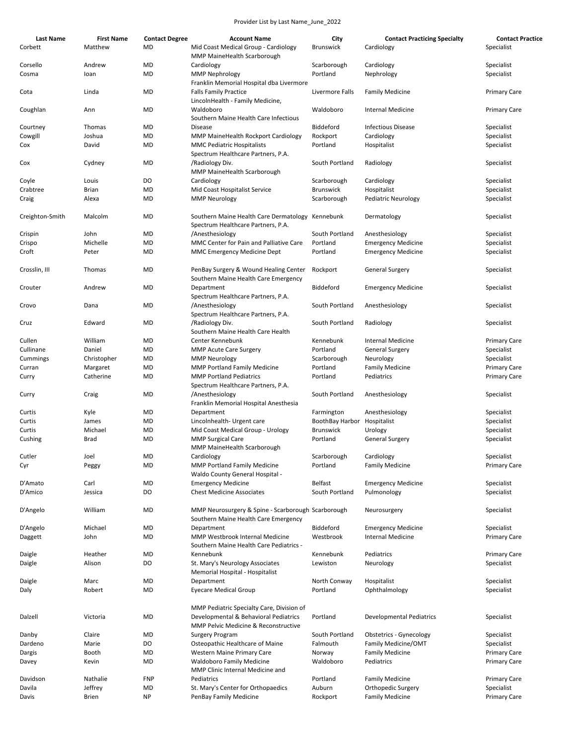| <b>Last Name</b> | <b>First Name</b> | <b>Contact Degree</b> | <b>Account Name</b>                                                                        | City                        | <b>Contact Practicing Specialty</b> | <b>Contact Practice</b> |
|------------------|-------------------|-----------------------|--------------------------------------------------------------------------------------------|-----------------------------|-------------------------------------|-------------------------|
| Corbett          | Matthew           | MD                    | Mid Coast Medical Group - Cardiology<br>MMP MaineHealth Scarborough                        | <b>Brunswick</b>            | Cardiology                          | Specialist              |
| Corsello         | Andrew            | MD                    | Cardiology                                                                                 | Scarborough                 | Cardiology                          | Specialist              |
| Cosma            | loan              | MD                    | <b>MMP Nephrology</b><br>Franklin Memorial Hospital dba Livermore                          | Portland                    | Nephrology                          | Specialist              |
| Cota             | Linda             | MD                    | <b>Falls Family Practice</b><br>LincolnHealth - Family Medicine,                           | Livermore Falls             | <b>Family Medicine</b>              | <b>Primary Care</b>     |
| Coughlan         | Ann               | MD                    | Waldoboro<br>Southern Maine Health Care Infectious                                         | Waldoboro                   | <b>Internal Medicine</b>            | <b>Primary Care</b>     |
| Courtney         | Thomas            | MD                    | <b>Disease</b>                                                                             | Biddeford                   | <b>Infectious Disease</b>           | Specialist              |
| Cowgill          | Joshua            | MD                    | MMP MaineHealth Rockport Cardiology                                                        | Rockport                    | Cardiology                          | Specialist              |
| Cox              | David             | MD                    | <b>MMC Pediatric Hospitalists</b>                                                          | Portland                    | Hospitalist                         | Specialist              |
|                  |                   |                       | Spectrum Healthcare Partners, P.A.                                                         |                             |                                     |                         |
| Cox              | Cydney            | MD                    | /Radiology Div.<br>MMP MaineHealth Scarborough                                             | South Portland              | Radiology                           | Specialist              |
| Coyle            | Louis             | DO                    | Cardiology                                                                                 | Scarborough                 | Cardiology                          | Specialist              |
| Crabtree         | <b>Brian</b>      | MD                    | Mid Coast Hospitalist Service                                                              | <b>Brunswick</b>            | Hospitalist                         | Specialist              |
| Craig            | Alexa             | MD                    | <b>MMP Neurology</b>                                                                       | Scarborough                 | <b>Pediatric Neurology</b>          | Specialist              |
| Creighton-Smith  | Malcolm           | MD                    | Southern Maine Health Care Dermatology Kennebunk<br>Spectrum Healthcare Partners, P.A.     |                             | Dermatology                         | Specialist              |
| Crispin          | John              | MD                    | /Anesthesiology                                                                            | South Portland              | Anesthesiology                      | Specialist              |
| Crispo           | Michelle          | MD                    | MMC Center for Pain and Palliative Care                                                    | Portland                    | <b>Emergency Medicine</b>           | Specialist              |
| Croft            | Peter             | MD                    | <b>MMC Emergency Medicine Dept</b>                                                         | Portland                    | <b>Emergency Medicine</b>           | Specialist              |
|                  |                   |                       |                                                                                            |                             |                                     |                         |
| Crosslin, III    | Thomas            | MD                    | PenBay Surgery & Wound Healing Center<br>Southern Maine Health Care Emergency              | Rockport                    | General Surgery                     | Specialist              |
| Crouter          | Andrew            | <b>MD</b>             | Department<br>Spectrum Healthcare Partners, P.A.                                           | Biddeford                   | <b>Emergency Medicine</b>           | Specialist              |
| Crovo            | Dana              | MD                    | /Anesthesiology<br>Spectrum Healthcare Partners, P.A.                                      | South Portland              | Anesthesiology                      | Specialist              |
| Cruz             | Edward            | MD                    | /Radiology Div.                                                                            | South Portland              | Radiology                           | Specialist              |
|                  |                   |                       | Southern Maine Health Care Health                                                          |                             |                                     |                         |
| Cullen           | William           | MD                    | Center Kennebunk                                                                           | Kennebunk                   | <b>Internal Medicine</b>            | <b>Primary Care</b>     |
| Cullinane        | Daniel            | MD                    | <b>MMP Acute Care Surgery</b>                                                              | Portland                    | General Surgery                     | Specialist              |
| Cummings         | Christopher       | MD                    | <b>MMP Neurology</b>                                                                       | Scarborough                 | Neurology                           | Specialist              |
| Curran           | Margaret          | MD                    | <b>MMP Portland Family Medicine</b>                                                        | Portland                    | <b>Family Medicine</b>              | <b>Primary Care</b>     |
| Curry            | Catherine         | MD                    | <b>MMP Portland Pediatrics</b><br>Spectrum Healthcare Partners, P.A.                       | Portland                    | Pediatrics                          | <b>Primary Care</b>     |
| Curry            | Craig             | MD                    | /Anesthesiology<br>Franklin Memorial Hospital Anesthesia                                   | South Portland              | Anesthesiology                      | Specialist              |
| Curtis           | Kyle              | MD                    | Department                                                                                 | Farmington                  | Anesthesiology                      | Specialist              |
| Curtis           | James             | MD                    | Lincolnhealth- Urgent care                                                                 | BoothBay Harbor Hospitalist |                                     | Specialist              |
| Curtis           | Michael           | MD                    | Mid Coast Medical Group - Urology                                                          | <b>Brunswick</b>            | Urology                             | Specialist              |
| Cushing          | Brad              | MD                    | <b>MMP Surgical Care</b>                                                                   | Portland                    | <b>General Surgery</b>              | Specialist              |
|                  |                   |                       | MMP MaineHealth Scarborough                                                                |                             |                                     |                         |
| Cutler           | Joel              | MD                    | Cardiology                                                                                 | Scarborough                 | Cardiology                          | Specialist              |
| Cyr              | Peggy             | MD                    | MMP Portland Family Medicine<br>Waldo County General Hospital -                            | Portland                    | <b>Family Medicine</b>              | <b>Primary Care</b>     |
| D'Amato          | Carl              | <b>MD</b>             | <b>Emergency Medicine</b>                                                                  | Belfast                     | <b>Emergency Medicine</b>           | Specialist              |
| D'Amico          | Jessica           | DO                    | <b>Chest Medicine Associates</b>                                                           | South Portland              | Pulmonology                         | Specialist              |
| D'Angelo         | William           | <b>MD</b>             | MMP Neurosurgery & Spine - Scarborough Scarborough<br>Southern Maine Health Care Emergency |                             | Neurosurgery                        | Specialist              |
| D'Angelo         | Michael           | MD                    | Department                                                                                 | Biddeford                   | <b>Emergency Medicine</b>           | Specialist              |
| Daggett          | John              | MD                    | MMP Westbrook Internal Medicine<br>Southern Maine Health Care Pediatrics -                 | Westbrook                   | <b>Internal Medicine</b>            | <b>Primary Care</b>     |
|                  | Heather           | MD                    | Kennebunk                                                                                  | Kennebunk                   | Pediatrics                          | <b>Primary Care</b>     |
| Daigle<br>Daigle | Alison            | DO                    | St. Mary's Neurology Associates                                                            | Lewiston                    | Neurology                           | Specialist              |
|                  |                   |                       | Memorial Hospital - Hospitalist                                                            |                             |                                     |                         |
| Daigle           | Marc              | MD                    | Department                                                                                 | North Conway                | Hospitalist                         | Specialist              |
| Daly             | Robert            | MD                    | <b>Eyecare Medical Group</b>                                                               | Portland                    | Ophthalmology                       | Specialist              |
|                  |                   |                       | MMP Pediatric Specialty Care, Division of                                                  |                             |                                     |                         |
| Dalzell          | Victoria          | MD                    | Developmental & Behavioral Pediatrics<br>MMP Pelvic Medicine & Reconstructive              | Portland                    | <b>Developmental Pediatrics</b>     | Specialist              |
| Danby            | Claire            | MD                    | <b>Surgery Program</b>                                                                     | South Portland              | <b>Obstetrics - Gynecology</b>      | Specialist              |
| Dardeno          | Marie             | DO                    | Osteopathic Healthcare of Maine                                                            | Falmouth                    | Family Medicine/OMT                 | Specialist              |
| Dargis           | Booth             | MD                    | Western Maine Primary Care                                                                 | Norway                      | <b>Family Medicine</b>              | <b>Primary Care</b>     |
| Davey            | Kevin             | MD                    | <b>Waldoboro Family Medicine</b><br>MMP Clinic Internal Medicine and                       | Waldoboro                   | Pediatrics                          | <b>Primary Care</b>     |
| Davidson         | Nathalie          | <b>FNP</b>            | Pediatrics                                                                                 | Portland                    | <b>Family Medicine</b>              | <b>Primary Care</b>     |
| Davila           | Jeffrey           | MD                    | St. Mary's Center for Orthopaedics                                                         | Auburn                      | Orthopedic Surgery                  | Specialist              |
| Davis            | <b>Brien</b>      | <b>NP</b>             | PenBay Family Medicine                                                                     | Rockport                    | <b>Family Medicine</b>              | <b>Primary Care</b>     |
|                  |                   |                       |                                                                                            |                             |                                     |                         |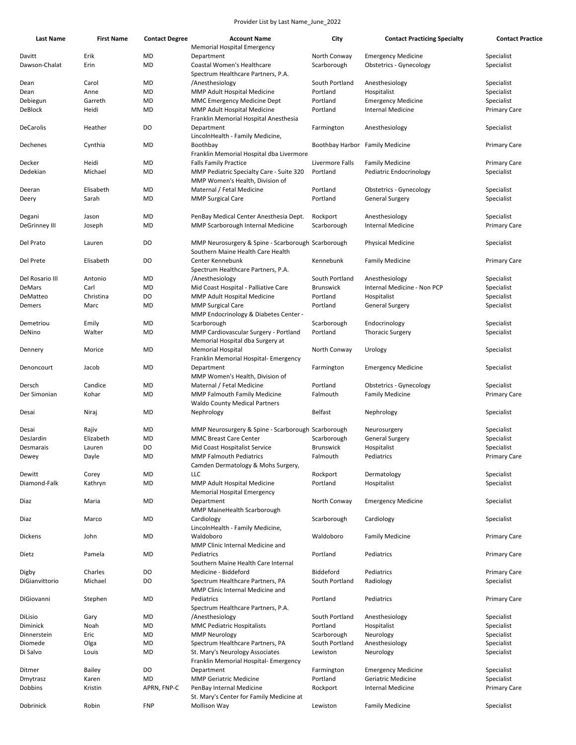| <b>Last Name</b>     | <b>First Name</b> | <b>Contact Degree</b> | <b>Account Name</b>                                | City                            | <b>Contact Practicing Specialty</b> | <b>Contact Practice</b> |
|----------------------|-------------------|-----------------------|----------------------------------------------------|---------------------------------|-------------------------------------|-------------------------|
|                      |                   |                       | <b>Memorial Hospital Emergency</b>                 |                                 |                                     |                         |
| Davitt               | Erik              | MD                    | Department                                         | North Conway                    | <b>Emergency Medicine</b>           | Specialist              |
| Dawson-Chalat        | Erin              | MD                    | Coastal Women's Healthcare                         | Scarborough                     | <b>Obstetrics - Gynecology</b>      | Specialist              |
|                      |                   |                       | Spectrum Healthcare Partners, P.A.                 |                                 |                                     |                         |
| Dean                 | Carol             | MD                    | /Anesthesiology                                    | South Portland                  | Anesthesiology                      | Specialist              |
| Dean                 | Anne              | MD                    | MMP Adult Hospital Medicine                        | Portland                        | Hospitalist                         | Specialist              |
| Debiegun             | Garreth           | MD                    | MMC Emergency Medicine Dept                        | Portland                        | <b>Emergency Medicine</b>           | Specialist              |
| DeBlock              | Heidi             | MD                    | MMP Adult Hospital Medicine                        | Portland                        | <b>Internal Medicine</b>            | <b>Primary Care</b>     |
|                      |                   |                       | Franklin Memorial Hospital Anesthesia              |                                 |                                     |                         |
| DeCarolis            | Heather           | DO                    | Department                                         | Farmington                      | Anesthesiology                      | Specialist              |
|                      |                   |                       | LincolnHealth - Family Medicine,                   |                                 |                                     |                         |
| Dechenes             | Cynthia           | MD                    | Boothbay                                           | Boothbay Harbor Family Medicine |                                     | <b>Primary Care</b>     |
|                      |                   |                       | Franklin Memorial Hospital dba Livermore           |                                 |                                     |                         |
| Decker               | Heidi             | MD                    | <b>Falls Family Practice</b>                       | Livermore Falls                 | <b>Family Medicine</b>              | <b>Primary Care</b>     |
| Dedekian             | Michael           | MD                    | MMP Pediatric Specialty Care - Suite 320           | Portland                        | Pediatric Endocrinology             | Specialist              |
|                      |                   |                       | MMP Women's Health, Division of                    |                                 |                                     |                         |
| Deeran               | Elisabeth         | MD                    | Maternal / Fetal Medicine                          | Portland                        | Obstetrics - Gynecology             | Specialist              |
| Deery                | Sarah             | MD                    | <b>MMP Surgical Care</b>                           | Portland                        | General Surgery                     | Specialist              |
|                      |                   |                       |                                                    |                                 |                                     |                         |
| Degani               | Jason             | MD                    | PenBay Medical Center Anesthesia Dept.             | Rockport                        | Anesthesiology                      | Specialist              |
| <b>DeGrinney III</b> | Joseph            | MD                    | MMP Scarborough Internal Medicine                  | Scarborough                     | <b>Internal Medicine</b>            | <b>Primary Care</b>     |
|                      |                   |                       |                                                    |                                 |                                     |                         |
| Del Prato            | Lauren            | DO                    | MMP Neurosurgery & Spine - Scarborough Scarborough |                                 | <b>Physical Medicine</b>            | Specialist              |
|                      |                   |                       | Southern Maine Health Care Health                  |                                 |                                     |                         |
| Del Prete            | Elisabeth         | DO                    | Center Kennebunk                                   | Kennebunk                       | <b>Family Medicine</b>              | <b>Primary Care</b>     |
|                      |                   |                       | Spectrum Healthcare Partners, P.A.                 |                                 |                                     |                         |
| Del Rosario III      | Antonio           | MD                    | /Anesthesiology                                    | South Portland                  | Anesthesiology                      | Specialist              |
| <b>DeMars</b>        | Carl              | MD                    | Mid Coast Hospital - Palliative Care               | <b>Brunswick</b>                | Internal Medicine - Non PCP         | Specialist              |
| DeMatteo             | Christina         | DO                    | MMP Adult Hospital Medicine                        | Portland                        | Hospitalist                         | Specialist              |
| Demers               | Marc              | MD                    | <b>MMP Surgical Care</b>                           | Portland                        | <b>General Surgery</b>              | Specialist              |
|                      |                   |                       | MMP Endocrinology & Diabetes Center -              |                                 |                                     |                         |
| Demetriou            | Emily             | MD                    | Scarborough                                        | Scarborough                     | Endocrinology                       | Specialist              |
| DeNino               | Walter            | MD                    | MMP Cardiovascular Surgery - Portland              | Portland                        | <b>Thoracic Surgery</b>             | Specialist              |
|                      |                   |                       | Memorial Hospital dba Surgery at                   |                                 |                                     |                         |
| Dennery              | Morice            | MD                    | <b>Memorial Hospital</b>                           | North Conway                    | Urology                             | Specialist              |
|                      |                   |                       | Franklin Memorial Hospital- Emergency              |                                 |                                     |                         |
| Denoncourt           | Jacob             | MD                    | Department                                         | Farmington                      | <b>Emergency Medicine</b>           | Specialist              |
|                      |                   |                       | MMP Women's Health, Division of                    |                                 |                                     |                         |
| Dersch               | Candice           | MD                    | Maternal / Fetal Medicine                          | Portland                        | Obstetrics - Gynecology             | Specialist              |
| Der Simonian         | Kohar             | MD                    | MMP Falmouth Family Medicine                       | Falmouth                        | <b>Family Medicine</b>              | <b>Primary Care</b>     |
|                      |                   |                       | <b>Waldo County Medical Partners</b>               |                                 |                                     |                         |
| Desai                | Niraj             | MD                    | Nephrology                                         | Belfast                         | Nephrology                          | Specialist              |
|                      |                   |                       |                                                    |                                 |                                     |                         |
| Desai                | Rajiv             | MD                    | MMP Neurosurgery & Spine - Scarborough Scarborough |                                 | Neurosurgery                        | Specialist              |
| DesJardin            | Elizabeth         | MD                    | <b>MMC Breast Care Center</b>                      | Scarborough                     | <b>General Surgery</b>              | Specialist              |
| Desmarais            | Lauren            | DO                    | Mid Coast Hospitalist Service                      | <b>Brunswick</b>                | Hospitalist                         | Specialist              |
| Dewey                | Dayle             | <b>MD</b>             | MMP Falmouth Pediatrics                            | Falmouth                        | Pediatrics                          | Primary Care            |
|                      |                   |                       | Camden Dermatology & Mohs Surgery,                 |                                 |                                     |                         |
| Dewitt               | Corey             | MD                    | LLC                                                | Rockport                        | Dermatology                         | Specialist              |
| Diamond-Falk         | Kathryn           | MD                    | MMP Adult Hospital Medicine                        | Portland                        | Hospitalist                         | Specialist              |
|                      |                   |                       | Memorial Hospital Emergency                        |                                 |                                     |                         |
| Diaz                 | Maria             | MD                    | Department                                         | North Conway                    | <b>Emergency Medicine</b>           | Specialist              |
|                      |                   |                       | MMP MaineHealth Scarborough                        |                                 |                                     |                         |
| Diaz                 | Marco             | MD                    | Cardiology                                         | Scarborough                     | Cardiology                          | Specialist              |
|                      |                   |                       | LincolnHealth - Family Medicine,                   |                                 |                                     |                         |
| Dickens              | John              | MD                    | Waldoboro                                          | Waldoboro                       | <b>Family Medicine</b>              | <b>Primary Care</b>     |
|                      |                   |                       |                                                    |                                 |                                     |                         |
|                      |                   |                       | MMP Clinic Internal Medicine and                   |                                 |                                     |                         |
| Dietz                | Pamela            | MD                    | Pediatrics                                         | Portland                        | Pediatrics                          | <b>Primary Care</b>     |
|                      |                   |                       | Southern Maine Health Care Internal                |                                 |                                     |                         |
| Digby                | Charles           | DO                    | Medicine - Biddeford                               | Biddeford                       | Pediatrics                          | Primary Care            |
| DiGianvittorio       | Michael           | DO                    | Spectrum Healthcare Partners, PA                   | South Portland                  | Radiology                           | Specialist              |
|                      |                   |                       | MMP Clinic Internal Medicine and                   |                                 |                                     |                         |
| DiGiovanni           | Stephen           | MD                    | Pediatrics                                         | Portland                        | Pediatrics                          | <b>Primary Care</b>     |
|                      |                   |                       | Spectrum Healthcare Partners, P.A.                 |                                 |                                     |                         |
| DiLisio              | Gary              | MD                    | /Anesthesiology                                    | South Portland                  | Anesthesiology                      | Specialist              |
| Diminick             | Noah              | MD                    | <b>MMC Pediatric Hospitalists</b>                  | Portland                        | Hospitalist                         | Specialist              |
| Dinnerstein          | Eric              | MD                    | <b>MMP Neurology</b>                               | Scarborough                     | Neurology                           | Specialist              |
| Diomede              | Olga              | MD                    | Spectrum Healthcare Partners, PA                   | South Portland                  | Anesthesiology                      | Specialist              |
| Di Salvo             | Louis             | MD                    | St. Mary's Neurology Associates                    | Lewiston                        | Neurology                           | Specialist              |
|                      |                   |                       | Franklin Memorial Hospital- Emergency              |                                 |                                     |                         |
| Ditmer               | Bailey            | DO                    | Department                                         | Farmington                      | <b>Emergency Medicine</b>           | Specialist              |
| Dmytrasz             | Karen             | MD                    | <b>MMP Geriatric Medicine</b>                      | Portland                        | Geriatric Medicine                  | Specialist              |
| Dobbins              | Kristin           | APRN, FNP-C           | PenBay Internal Medicine                           | Rockport                        | <b>Internal Medicine</b>            | <b>Primary Care</b>     |
|                      |                   |                       | St. Mary's Center for Family Medicine at           |                                 |                                     |                         |
| Dobrinick            | Robin             | <b>FNP</b>            | <b>Mollison Way</b>                                | Lewiston                        | <b>Family Medicine</b>              | Specialist              |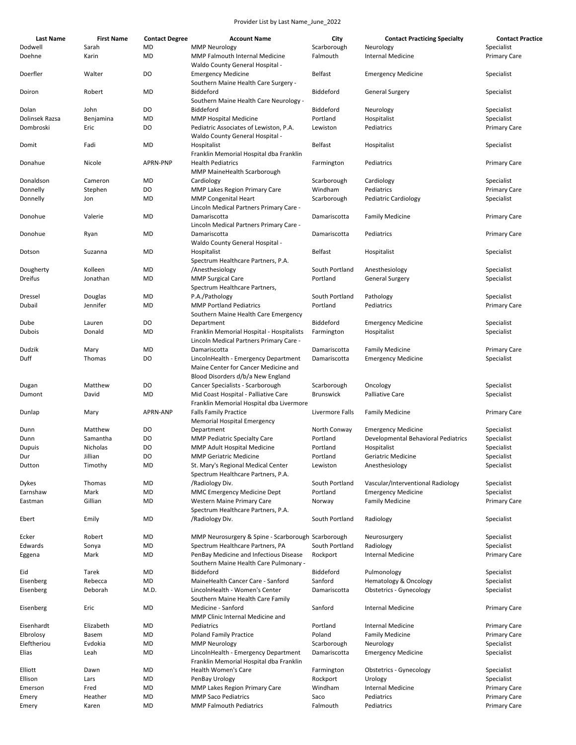| <b>Last Name</b> | <b>First Name</b> | <b>Contact Degree</b> | <b>Account Name</b>                                                                       | City             | <b>Contact Practicing Specialty</b> | <b>Contact Practice</b> |
|------------------|-------------------|-----------------------|-------------------------------------------------------------------------------------------|------------------|-------------------------------------|-------------------------|
| Dodwell          | Sarah             | MD                    | <b>MMP Neurology</b>                                                                      | Scarborough      | Neurology                           | Specialist              |
| Doehne           | Karin             | MD                    | MMP Falmouth Internal Medicine<br>Waldo County General Hospital -                         | Falmouth         | Internal Medicine                   | <b>Primary Care</b>     |
| Doerfler         | Walter            | DO                    | <b>Emergency Medicine</b><br>Southern Maine Health Care Surgery -                         | Belfast          | <b>Emergency Medicine</b>           | Specialist              |
| Doiron           | Robert            | <b>MD</b>             | Biddeford<br>Southern Maine Health Care Neurology -                                       | Biddeford        | <b>General Surgery</b>              | Specialist              |
| Dolan            | John              | DO                    | Biddeford                                                                                 | Biddeford        | Neurology                           | Specialist              |
| Dolinsek Razsa   | Benjamina         | <b>MD</b>             | <b>MMP Hospital Medicine</b>                                                              | Portland         | Hospitalist                         | Specialist              |
| Dombroski        | Eric              | DO                    | Pediatric Associates of Lewiston, P.A.                                                    | Lewiston         | Pediatrics                          | <b>Primary Care</b>     |
| Domit            | Fadi              | MD                    | Waldo County General Hospital -<br>Hospitalist<br>Franklin Memorial Hospital dba Franklin | Belfast          | Hospitalist                         | Specialist              |
| Donahue          | Nicole            | APRN-PNP              | <b>Health Pediatrics</b><br>MMP MaineHealth Scarborough                                   | Farmington       | Pediatrics                          | <b>Primary Care</b>     |
| Donaldson        | Cameron           | <b>MD</b>             | Cardiology                                                                                | Scarborough      | Cardiology                          | Specialist              |
| Donnelly         | Stephen           | DO                    | MMP Lakes Region Primary Care                                                             | Windham          | Pediatrics                          | <b>Primary Care</b>     |
| Donnelly         | Jon               | <b>MD</b>             | <b>MMP Congenital Heart</b>                                                               | Scarborough      | <b>Pediatric Cardiology</b>         | Specialist              |
|                  |                   |                       | Lincoln Medical Partners Primary Care -                                                   |                  |                                     |                         |
| Donohue          | Valerie           | MD                    | Damariscotta                                                                              | Damariscotta     | <b>Family Medicine</b>              | <b>Primary Care</b>     |
|                  |                   |                       | Lincoln Medical Partners Primary Care -                                                   |                  |                                     |                         |
| Donohue          | Ryan              | MD                    | Damariscotta<br>Waldo County General Hospital -                                           | Damariscotta     | Pediatrics                          | <b>Primary Care</b>     |
| Dotson           | Suzanna           | MD                    | Hospitalist<br>Spectrum Healthcare Partners, P.A.                                         | Belfast          | Hospitalist                         | Specialist              |
| Dougherty        | Kolleen           | MD                    | /Anesthesiology                                                                           | South Portland   | Anesthesiology                      | Specialist              |
| Dreifus          | Jonathan          | MD                    | <b>MMP Surgical Care</b>                                                                  | Portland         | <b>General Surgery</b>              | Specialist              |
|                  |                   |                       | Spectrum Healthcare Partners,                                                             |                  |                                     |                         |
| Dressel          | Douglas           | MD                    | P.A./Pathology                                                                            | South Portland   | Pathology                           | Specialist              |
| Dubail           | Jennifer          | MD                    | <b>MMP Portland Pediatrics</b><br>Southern Maine Health Care Emergency                    | Portland         | Pediatrics                          | <b>Primary Care</b>     |
| Dube             | Lauren            | DO                    | Department                                                                                | Biddeford        | <b>Emergency Medicine</b>           | Specialist              |
| Dubois           | Donald            | <b>MD</b>             | Franklin Memorial Hospital - Hospitalists                                                 | Farmington       | Hospitalist                         | Specialist              |
|                  |                   |                       | Lincoln Medical Partners Primary Care -                                                   |                  |                                     |                         |
| Dudzik           | Mary              | MD                    | Damariscotta                                                                              | Damariscotta     | <b>Family Medicine</b>              | <b>Primary Care</b>     |
| Duff             | Thomas            | DO                    | LincolnHealth - Emergency Department<br>Maine Center for Cancer Medicine and              | Damariscotta     | <b>Emergency Medicine</b>           | Specialist              |
|                  | Matthew           | DO                    | Blood Disorders d/b/a New England                                                         | Scarborough      |                                     | Specialist              |
| Dugan<br>Dumont  | David             | MD                    | Cancer Specialists - Scarborough<br>Mid Coast Hospital - Palliative Care                  | <b>Brunswick</b> | Oncology<br>Palliative Care         | Specialist              |
|                  |                   |                       | Franklin Memorial Hospital dba Livermore                                                  |                  |                                     |                         |
| Dunlap           | Mary              | APRN-ANP              | <b>Falls Family Practice</b>                                                              | Livermore Falls  | <b>Family Medicine</b>              | <b>Primary Care</b>     |
|                  |                   |                       | Memorial Hospital Emergency                                                               |                  |                                     |                         |
| Dunn             | Matthew           | DO                    | Department                                                                                | North Conway     | <b>Emergency Medicine</b>           | Specialist              |
| Dunn             | Samantha          | DO                    | <b>MMP Pediatric Specialty Care</b>                                                       | Portland         | Developmental Behavioral Pediatrics | Specialist              |
| Dupuis           | Nicholas          | DO                    | MMP Adult Hospital Medicine                                                               | Portland         | Hospitalist                         | Specialist              |
| Dur              | Jillian           | DO                    | <b>MMP Geriatric Medicine</b>                                                             | Portland         | Geriatric Medicine                  | Specialist              |
| Dutton           | Timothy           | MD                    | St. Mary's Regional Medical Center<br>Spectrum Healthcare Partners, P.A.                  | Lewiston         | Anesthesiology                      | Specialist              |
| Dykes            | Thomas            | MD                    | /Radiology Div.                                                                           | South Portland   | Vascular/Interventional Radiology   | Specialist              |
| Earnshaw         | Mark              | MD                    | MMC Emergency Medicine Dept                                                               | Portland         | <b>Emergency Medicine</b>           | Specialist              |
| Eastman          | Gillian           | MD                    | Western Maine Primary Care                                                                | Norway           | <b>Family Medicine</b>              | <b>Primary Care</b>     |
|                  |                   |                       | Spectrum Healthcare Partners, P.A.                                                        |                  |                                     |                         |
| Ebert            | Emily             | MD                    | /Radiology Div.                                                                           | South Portland   | Radiology                           | Specialist              |
| Ecker            | Robert            | MD                    | MMP Neurosurgery & Spine - Scarborough Scarborough                                        |                  | Neurosurgery                        | Specialist              |
| Edwards          | Sonya             | MD                    | Spectrum Healthcare Partners, PA                                                          | South Portland   | Radiology                           | Specialist              |
| Eggena           | Mark              | MD                    | PenBay Medicine and Infectious Disease<br>Southern Maine Health Care Pulmonary -          | Rockport         | <b>Internal Medicine</b>            | <b>Primary Care</b>     |
| Eid              | Tarek             | MD                    | Biddeford                                                                                 | Biddeford        | Pulmonology                         | Specialist              |
| Eisenberg        | Rebecca           | MD                    | MaineHealth Cancer Care - Sanford                                                         | Sanford          | Hematology & Oncology               | Specialist              |
| Eisenberg        | Deborah           | M.D.                  | LincolnHealth - Women's Center                                                            | Damariscotta     | <b>Obstetrics - Gynecology</b>      | Specialist              |
|                  |                   |                       | Southern Maine Health Care Family                                                         |                  |                                     |                         |
| Eisenberg        | Eric              | MD                    | Medicine - Sanford<br>MMP Clinic Internal Medicine and                                    | Sanford          | <b>Internal Medicine</b>            | <b>Primary Care</b>     |
| Eisenhardt       | Elizabeth         | MD                    | Pediatrics                                                                                | Portland         | <b>Internal Medicine</b>            | <b>Primary Care</b>     |
| Elbrolosy        | Basem             | MD                    | <b>Poland Family Practice</b>                                                             | Poland           | <b>Family Medicine</b>              | Primary Care            |
| Eleftheriou      | Evdokia           | MD                    | <b>MMP Neurology</b>                                                                      | Scarborough      | Neurology                           | Specialist              |
| Elias            | Leah              | MD                    | LincolnHealth - Emergency Department<br>Franklin Memorial Hospital dba Franklin           | Damariscotta     | <b>Emergency Medicine</b>           | Specialist              |
| Elliott          | Dawn              | MD                    | <b>Health Women's Care</b>                                                                | Farmington       | Obstetrics - Gynecology             | Specialist              |
| Ellison          | Lars              | MD                    | PenBay Urology                                                                            | Rockport         | Urology                             | Specialist              |
| Emerson          | Fred              | MD                    | MMP Lakes Region Primary Care                                                             | Windham          | Internal Medicine                   | Primary Care            |
| Emery            | Heather           | MD                    | <b>MMP Saco Pediatrics</b>                                                                | Saco             | Pediatrics                          | Primary Care            |
| Emery            | Karen             | MD                    | <b>MMP Falmouth Pediatrics</b>                                                            | Falmouth         | Pediatrics                          | Primary Care            |
|                  |                   |                       |                                                                                           |                  |                                     |                         |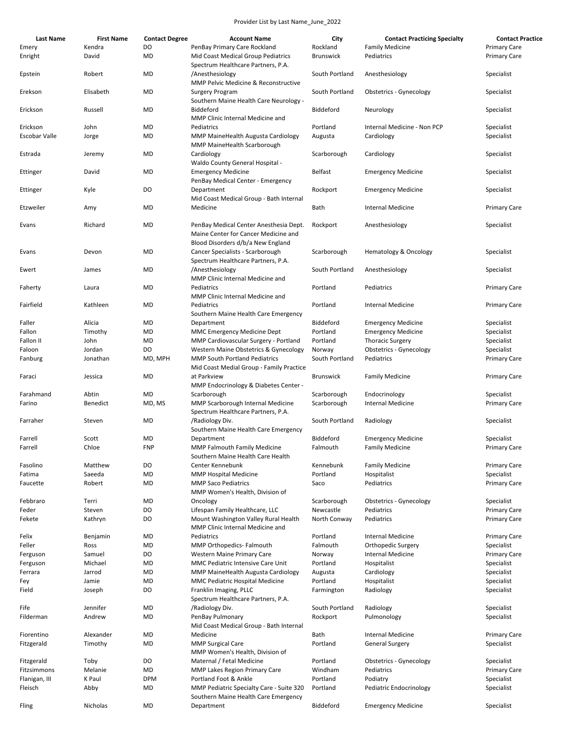| Last Name                 | <b>First Name</b> | <b>Contact Degree</b> | <b>Account Name</b>                                                                                                 | City                         | <b>Contact Practicing Specialty</b>                | <b>Contact Practice</b>                    |
|---------------------------|-------------------|-----------------------|---------------------------------------------------------------------------------------------------------------------|------------------------------|----------------------------------------------------|--------------------------------------------|
| Emery<br>Enright          | Kendra<br>David   | DO<br>MD              | PenBay Primary Care Rockland<br>Mid Coast Medical Group Pediatrics                                                  | Rockland<br><b>Brunswick</b> | <b>Family Medicine</b><br>Pediatrics               | <b>Primary Care</b><br><b>Primary Care</b> |
| Epstein                   | Robert            | MD                    | Spectrum Healthcare Partners, P.A.<br>/Anesthesiology                                                               | South Portland               | Anesthesiology                                     | Specialist                                 |
| Erekson                   | Elisabeth         | MD                    | MMP Pelvic Medicine & Reconstructive<br>Surgery Program                                                             | South Portland               | <b>Obstetrics - Gynecology</b>                     | Specialist                                 |
| Erickson                  | Russell           | MD                    | Southern Maine Health Care Neurology -<br>Biddeford                                                                 | Biddeford                    | Neurology                                          | Specialist                                 |
|                           |                   |                       | MMP Clinic Internal Medicine and                                                                                    |                              |                                                    |                                            |
| Erickson                  | John              | MD                    | Pediatrics                                                                                                          | Portland                     | Internal Medicine - Non PCP                        | Specialist                                 |
| Escobar Valle             | Jorge             | MD                    | MMP MaineHealth Augusta Cardiology<br>MMP MaineHealth Scarborough                                                   | Augusta                      | Cardiology                                         | Specialist                                 |
| Estrada                   | Jeremy            | MD                    | Cardiology<br>Waldo County General Hospital -                                                                       | Scarborough                  | Cardiology                                         | Specialist                                 |
| Ettinger                  | David             | MD                    | <b>Emergency Medicine</b><br>PenBay Medical Center - Emergency                                                      | Belfast                      | <b>Emergency Medicine</b>                          | Specialist                                 |
| Ettinger                  | Kyle              | DO                    | Department<br>Mid Coast Medical Group - Bath Internal                                                               | Rockport                     | <b>Emergency Medicine</b>                          | Specialist                                 |
| Etzweiler                 | Amy               | MD                    | Medicine                                                                                                            | Bath                         | <b>Internal Medicine</b>                           | <b>Primary Care</b>                        |
| Evans                     | Richard           | MD                    | PenBay Medical Center Anesthesia Dept.<br>Maine Center for Cancer Medicine and<br>Blood Disorders d/b/a New England | Rockport                     | Anesthesiology                                     | Specialist                                 |
| Evans                     | Devon             | MD                    | Cancer Specialists - Scarborough<br>Spectrum Healthcare Partners, P.A.                                              | Scarborough                  | Hematology & Oncology                              | Specialist                                 |
| Ewert                     | James             | MD                    | /Anesthesiology<br>MMP Clinic Internal Medicine and                                                                 | South Portland               | Anesthesiology                                     | Specialist                                 |
| Faherty                   | Laura             | MD                    | Pediatrics                                                                                                          | Portland                     | Pediatrics                                         | <b>Primary Care</b>                        |
| Fairfield                 | Kathleen          | MD                    | MMP Clinic Internal Medicine and<br>Pediatrics                                                                      | Portland                     | <b>Internal Medicine</b>                           | <b>Primary Care</b>                        |
|                           |                   |                       | Southern Maine Health Care Emergency                                                                                |                              |                                                    |                                            |
| Faller                    | Alicia            | MD                    | Department                                                                                                          | Biddeford                    | <b>Emergency Medicine</b>                          | Specialist                                 |
| Fallon                    | Timothy           | MD<br>MD              | MMC Emergency Medicine Dept                                                                                         | Portland<br>Portland         | <b>Emergency Medicine</b>                          | Specialist                                 |
| Fallon II<br>Faloon       | John<br>Jordan    | DO                    | MMP Cardiovascular Surgery - Portland<br>Western Maine Obstetrics & Gynecology                                      | Norway                       | <b>Thoracic Surgery</b><br>Obstetrics - Gynecology | Specialist<br>Specialist                   |
| Fanburg                   | Jonathan          | MD, MPH               | <b>MMP South Portland Pediatrics</b>                                                                                | South Portland               | Pediatrics                                         | <b>Primary Care</b>                        |
| Faraci                    | Jessica           | MD                    | Mid Coast Medial Group - Family Practice<br>at Parkview<br>MMP Endocrinology & Diabetes Center -                    | <b>Brunswick</b>             | <b>Family Medicine</b>                             | <b>Primary Care</b>                        |
| Farahmand                 | Abtin             | MD                    | Scarborough                                                                                                         | Scarborough                  | Endocrinology                                      | Specialist                                 |
| Farino                    | Benedict          | MD. MS                | MMP Scarborough Internal Medicine<br>Spectrum Healthcare Partners, P.A.                                             | Scarborough                  | <b>Internal Medicine</b>                           | Primary Care                               |
| Farraher                  | Steven            | MD                    | /Radiology Div.<br>Southern Maine Health Care Emergency                                                             | South Portland               | Radiology                                          | Specialist                                 |
| Farrell                   | Scott             | MD                    | Department                                                                                                          | Biddeford                    | <b>Emergency Medicine</b>                          | Specialist                                 |
| Farrell                   | Chloe             | <b>FNP</b>            | MMP Falmouth Family Medicine                                                                                        | Falmouth                     | <b>Family Medicine</b>                             | <b>Primary Care</b>                        |
|                           |                   |                       | Southern Maine Health Care Health                                                                                   |                              |                                                    |                                            |
| Fasolino                  | Matthew           | DO                    | Center Kennebunk                                                                                                    | Kennebunk                    | <b>Family Medicine</b>                             | <b>Primary Care</b>                        |
| Fatima                    | Saeeda            | MD                    | <b>MMP Hospital Medicine</b>                                                                                        | Portland                     | Hospitalist                                        | Specialist                                 |
| Faucette                  | Robert            | MD                    | <b>MMP Saco Pediatrics</b><br>MMP Women's Health, Division of                                                       | Saco                         | Pediatrics                                         | <b>Primary Care</b>                        |
| Febbraro                  | Terri             | MD                    | Oncology                                                                                                            | Scarborough                  | Obstetrics - Gynecology                            | Specialist                                 |
| Feder                     | Steven            | DO                    | Lifespan Family Healthcare, LLC                                                                                     | Newcastle                    | Pediatrics                                         | <b>Primary Care</b>                        |
| Fekete                    | Kathryn           | DO                    | Mount Washington Valley Rural Health<br>MMP Clinic Internal Medicine and                                            | North Conway                 | Pediatrics                                         | Primary Care                               |
| Felix                     | Benjamin          | MD                    | Pediatrics                                                                                                          | Portland                     | <b>Internal Medicine</b>                           | <b>Primary Care</b>                        |
| Feller                    | Ross              | MD                    | MMP Orthopedics- Falmouth                                                                                           | Falmouth                     | Orthopedic Surgery                                 | Specialist                                 |
| Ferguson                  | Samuel            | DO                    | Western Maine Primary Care                                                                                          | Norway                       | Internal Medicine                                  | <b>Primary Care</b>                        |
| Ferguson                  | Michael           | MD                    | MMC Pediatric Intensive Care Unit                                                                                   | Portland                     | Hospitalist                                        | Specialist                                 |
| Ferrara                   | Jarrod            | MD                    | MMP MaineHealth Augusta Cardiology                                                                                  | Augusta                      | Cardiology                                         | Specialist                                 |
| Fey                       | Jamie             | MD                    | MMC Pediatric Hospital Medicine                                                                                     | Portland                     | Hospitalist                                        | Specialist                                 |
| Field                     | Joseph            | DO                    | Franklin Imaging, PLLC<br>Spectrum Healthcare Partners, P.A.                                                        | Farmington                   | Radiology                                          | Specialist                                 |
| Fife                      | Jennifer          | MD                    | /Radiology Div.                                                                                                     | South Portland               | Radiology                                          | Specialist                                 |
| Filderman                 | Andrew            | MD                    | PenBay Pulmonary<br>Mid Coast Medical Group - Bath Internal                                                         | Rockport                     | Pulmonology                                        | Specialist                                 |
| Fiorentino                | Alexander         | MD                    | Medicine                                                                                                            | Bath                         | Internal Medicine                                  | <b>Primary Care</b>                        |
| Fitzgerald                | Timothy           | MD                    | <b>MMP Surgical Care</b>                                                                                            | Portland                     | <b>General Surgery</b>                             | Specialist                                 |
|                           | Toby              | DO                    | MMP Women's Health, Division of<br>Maternal / Fetal Medicine                                                        | Portland                     | <b>Obstetrics - Gynecology</b>                     | Specialist                                 |
| Fitzgerald<br>Fitzsimmons | Melanie           | MD                    | MMP Lakes Region Primary Care                                                                                       | Windham                      | Pediatrics                                         | <b>Primary Care</b>                        |
| Flanigan, III             | K Paul            | <b>DPM</b>            | Portland Foot & Ankle                                                                                               | Portland                     | Podiatry                                           | Specialist                                 |
| Fleisch                   | Abby              | MD                    | MMP Pediatric Specialty Care - Suite 320                                                                            | Portland                     | Pediatric Endocrinology                            | Specialist                                 |
|                           |                   |                       | Southern Maine Health Care Emergency                                                                                |                              |                                                    |                                            |
| Fling                     | Nicholas          | <b>MD</b>             | Department                                                                                                          | Biddeford                    | <b>Emergency Medicine</b>                          | Specialist                                 |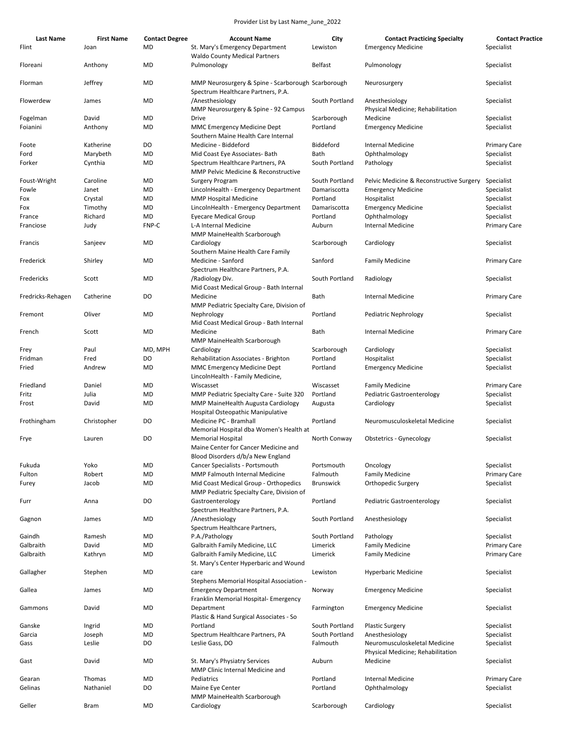| <b>Last Name</b>  | <b>First Name</b> | <b>Contact Degree</b> | <b>Account Name</b>                                                                                   | City             | <b>Contact Practicing Specialty</b>                                | <b>Contact Practice</b> |
|-------------------|-------------------|-----------------------|-------------------------------------------------------------------------------------------------------|------------------|--------------------------------------------------------------------|-------------------------|
| Flint             | Joan              | MD                    | St. Mary's Emergency Department<br><b>Waldo County Medical Partners</b>                               | Lewiston         | <b>Emergency Medicine</b>                                          | Specialist              |
| Floreani          | Anthony           | MD                    | Pulmonology                                                                                           | Belfast          | Pulmonology                                                        | Specialist              |
| Florman           | Jeffrey           | MD                    | MMP Neurosurgery & Spine - Scarborough Scarborough<br>Spectrum Healthcare Partners, P.A.              |                  | Neurosurgery                                                       | Specialist              |
| Flowerdew         | James             | MD                    | /Anesthesiology<br>MMP Neurosurgery & Spine - 92 Campus                                               | South Portland   | Anesthesiology<br>Physical Medicine; Rehabilitation                | Specialist              |
| Fogelman          | David             | MD                    | Drive                                                                                                 | Scarborough      | Medicine                                                           | Specialist              |
| Foianini          | Anthony           | MD                    | MMC Emergency Medicine Dept<br>Southern Maine Health Care Internal                                    | Portland         | <b>Emergency Medicine</b>                                          | Specialist              |
| Foote             | Katherine         | DO                    | Medicine - Biddeford                                                                                  | Biddeford        | <b>Internal Medicine</b>                                           | <b>Primary Care</b>     |
| Ford              | Marybeth          | MD                    | Mid Coast Eye Associates- Bath                                                                        | Bath             | Ophthalmology                                                      | Specialist              |
| Forker            | Cynthia           | MD                    | Spectrum Healthcare Partners, PA<br>MMP Pelvic Medicine & Reconstructive                              | South Portland   | Pathology                                                          | Specialist              |
| Foust-Wright      | Caroline          | MD                    | Surgery Program                                                                                       | South Portland   | Pelvic Medicine & Reconstructive Surgery                           | Specialist              |
| Fowle             | Janet             | MD                    | LincolnHealth - Emergency Department                                                                  | Damariscotta     | <b>Emergency Medicine</b>                                          | Specialist              |
| Fox               | Crystal           | MD                    | <b>MMP Hospital Medicine</b>                                                                          | Portland         | Hospitalist                                                        | Specialist              |
| Fox               | Timothy           | MD                    | LincolnHealth - Emergency Department                                                                  | Damariscotta     | <b>Emergency Medicine</b>                                          | Specialist              |
| France            | Richard           | MD                    | Eyecare Medical Group                                                                                 | Portland         | Ophthalmology                                                      | Specialist              |
| Franciose         | Judy              | FNP-C                 | L-A Internal Medicine<br>MMP MaineHealth Scarborough                                                  | Auburn           | <b>Internal Medicine</b>                                           | <b>Primary Care</b>     |
| Francis           | Sanjeev           | MD                    | Cardiology<br>Southern Maine Health Care Family                                                       | Scarborough      | Cardiology                                                         | Specialist              |
| Frederick         | Shirley           | MD                    | Medicine - Sanford<br>Spectrum Healthcare Partners, P.A.                                              | Sanford          | <b>Family Medicine</b>                                             | <b>Primary Care</b>     |
| Fredericks        | Scott             | MD                    | /Radiology Div.<br>Mid Coast Medical Group - Bath Internal                                            | South Portland   | Radiology                                                          | Specialist              |
| Fredricks-Rehagen | Catherine         | DO                    | Medicine<br>MMP Pediatric Specialty Care, Division of                                                 | Bath             | Internal Medicine                                                  | Primary Care            |
| Fremont           | Oliver            | MD                    | Nephrology<br>Mid Coast Medical Group - Bath Internal                                                 | Portland         | Pediatric Nephrology                                               | Specialist              |
| French            | Scott             | MD                    | Medicine<br>MMP MaineHealth Scarborough                                                               | Bath             | <b>Internal Medicine</b>                                           | <b>Primary Care</b>     |
| Frey              | Paul              | MD, MPH               | Cardiology                                                                                            | Scarborough      | Cardiology                                                         | Specialist              |
| Fridman           | Fred              | DO                    | Rehabilitation Associates - Brighton                                                                  | Portland         | Hospitalist                                                        | Specialist              |
| Fried             | Andrew            | MD                    | MMC Emergency Medicine Dept<br>LincolnHealth - Family Medicine,                                       | Portland         | <b>Emergency Medicine</b>                                          | Specialist              |
| Friedland         | Daniel            | MD                    | Wiscasset                                                                                             | Wiscasset        | <b>Family Medicine</b>                                             | <b>Primary Care</b>     |
| Fritz             | Julia             | MD                    | MMP Pediatric Specialty Care - Suite 320                                                              | Portland         | Pediatric Gastroenterology                                         | Specialist              |
| Frost             | David             | MD                    | MMP MaineHealth Augusta Cardiology<br><b>Hospital Osteopathic Manipulative</b>                        | Augusta          | Cardiology                                                         | Specialist              |
| Frothingham       | Christopher       | DO                    | Medicine PC - Bramhall<br>Memorial Hospital dba Women's Health at                                     | Portland         | Neuromusculoskeletal Medicine                                      | Specialist              |
| Frye              | Lauren            | DO                    | <b>Memorial Hospital</b><br>Maine Center for Cancer Medicine and<br>Blood Disorders d/b/a New England | North Conway     | <b>Obstetrics - Gynecology</b>                                     | Specialist              |
| Fukuda            | Yoko              | MD                    | Cancer Specialists - Portsmouth                                                                       | Portsmouth       | Oncology                                                           | Specialist              |
| Fulton            | Robert            | MD                    | MMP Falmouth Internal Medicine                                                                        | Falmouth         | <b>Family Medicine</b>                                             | <b>Primary Care</b>     |
| Furey             | Jacob             | MD                    | Mid Coast Medical Group - Orthopedics<br>MMP Pediatric Specialty Care, Division of                    | <b>Brunswick</b> | Orthopedic Surgery                                                 | Specialist              |
| Furr              | Anna              | DO                    | Gastroenterology<br>Spectrum Healthcare Partners, P.A.                                                | Portland         | Pediatric Gastroenterology                                         | Specialist              |
| Gagnon            | James             | MD                    | /Anesthesiology<br>Spectrum Healthcare Partners,                                                      | South Portland   | Anesthesiology                                                     | Specialist              |
| Gaindh            | Ramesh            | MD                    | P.A./Pathology                                                                                        | South Portland   | Pathology                                                          | Specialist              |
| Galbraith         | David             | MD                    | Galbraith Family Medicine, LLC                                                                        | Limerick         | <b>Family Medicine</b>                                             | Primary Care            |
| Galbraith         | Kathryn           | MD                    | Galbraith Family Medicine, LLC<br>St. Mary's Center Hyperbaric and Wound                              | Limerick         | <b>Family Medicine</b>                                             | Primary Care            |
| Gallagher         | Stephen           | MD                    | care<br>Stephens Memorial Hospital Association -                                                      | Lewiston         | <b>Hyperbaric Medicine</b>                                         | Specialist              |
| Gallea            | James             | MD                    | <b>Emergency Department</b><br>Franklin Memorial Hospital- Emergency                                  | Norway           | <b>Emergency Medicine</b>                                          | Specialist              |
| Gammons           | David             | MD                    | Department<br>Plastic & Hand Surgical Associates - So                                                 | Farmington       | <b>Emergency Medicine</b>                                          | Specialist              |
| Ganske            | Ingrid            | MD                    | Portland                                                                                              | South Portland   | <b>Plastic Surgery</b>                                             | Specialist              |
| Garcia            | Joseph            | MD                    | Spectrum Healthcare Partners, PA                                                                      | South Portland   | Anesthesiology                                                     | Specialist              |
| Gass              | Leslie            | DO                    | Leslie Gass, DO                                                                                       | Falmouth         | Neuromusculoskeletal Medicine<br>Physical Medicine; Rehabilitation | Specialist              |
| Gast              | David             | MD                    | St. Mary's Physiatry Services<br>MMP Clinic Internal Medicine and                                     | Auburn           | Medicine                                                           | Specialist              |
| Gearan            | Thomas            | MD                    | Pediatrics                                                                                            | Portland         | Internal Medicine                                                  | <b>Primary Care</b>     |
| Gelinas           | Nathaniel         | DO                    | Maine Eye Center<br>MMP MaineHealth Scarborough                                                       | Portland         | Ophthalmology                                                      | Specialist              |
| Geller            | <b>Bram</b>       | MD                    | Cardiology                                                                                            | Scarborough      | Cardiology                                                         | Specialist              |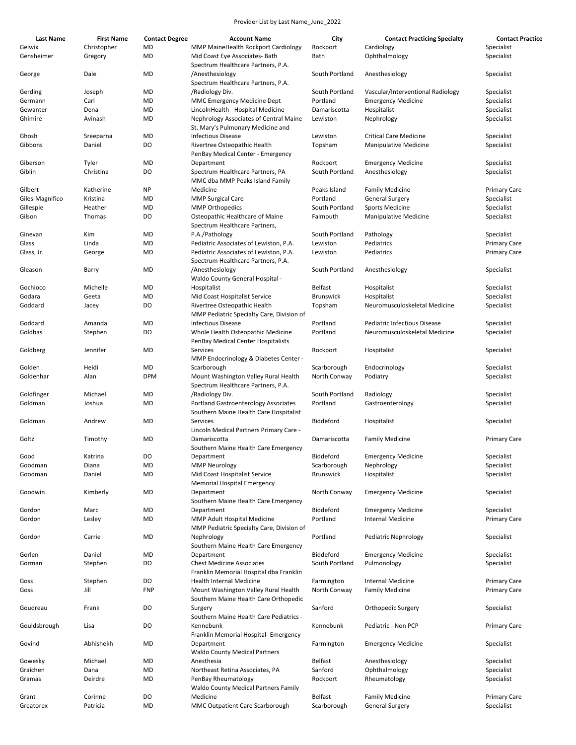| Last Name            | <b>First Name</b>      | <b>Contact Degree</b> | <b>Account Name</b>                                                            | City             | <b>Contact Practicing Specialty</b> | <b>Contact Practice</b>  |
|----------------------|------------------------|-----------------------|--------------------------------------------------------------------------------|------------------|-------------------------------------|--------------------------|
| Gelwix<br>Gensheimer | Christopher<br>Gregory | MD<br>MD              | MMP MaineHealth Rockport Cardiology<br>Mid Coast Eye Associates- Bath          | Rockport<br>Bath | Cardiology<br>Ophthalmology         | Specialist<br>Specialist |
| George               | Dale                   | MD                    | Spectrum Healthcare Partners, P.A.<br>/Anesthesiology                          | South Portland   | Anesthesiology                      | Specialist               |
|                      |                        |                       | Spectrum Healthcare Partners, P.A.                                             |                  |                                     |                          |
| Gerding              | Joseph                 | MD                    | /Radiology Div.                                                                | South Portland   | Vascular/Interventional Radiology   | Specialist               |
| Germann              | Carl                   | MD                    | <b>MMC Emergency Medicine Dept</b>                                             | Portland         | <b>Emergency Medicine</b>           | Specialist               |
| Gewanter             | Dena                   | MD                    | LincolnHealth - Hospital Medicine                                              | Damariscotta     | Hospitalist                         | Specialist               |
| Ghimire              | Avinash                | MD                    | Nephrology Associates of Central Maine<br>St. Mary's Pulmonary Medicine and    | Lewiston         | Nephrology                          | Specialist               |
| Ghosh                | Sreeparna              | MD                    | <b>Infectious Disease</b>                                                      | Lewiston         | <b>Critical Care Medicine</b>       | Specialist               |
| Gibbons              | Daniel                 | DO                    | Rivertree Osteopathic Health<br>PenBay Medical Center - Emergency              | Topsham          | <b>Manipulative Medicine</b>        | Specialist               |
| Giberson             | Tyler                  | MD                    | Department                                                                     | Rockport         | <b>Emergency Medicine</b>           | Specialist               |
| Giblin               | Christina              | DO                    | Spectrum Healthcare Partners, PA<br>MMC dba MMP Peaks Island Family            | South Portland   | Anesthesiology                      | Specialist               |
| Gilbert              | Katherine              | NP                    | Medicine                                                                       | Peaks Island     | <b>Family Medicine</b>              | <b>Primary Care</b>      |
| Giles-Magnifico      | Kristina               | MD                    | <b>MMP Surgical Care</b>                                                       | Portland         | <b>General Surgery</b>              | Specialist               |
| Gillespie            | Heather                | MD                    | <b>MMP Orthopedics</b>                                                         | South Portland   | <b>Sports Medicine</b>              | Specialist               |
| Gilson               | Thomas                 | DO                    | Osteopathic Healthcare of Maine<br>Spectrum Healthcare Partners,               | Falmouth         | <b>Manipulative Medicine</b>        | Specialist               |
| Ginevan              | Kim                    | MD                    | P.A./Pathology                                                                 | South Portland   | Pathology                           | Specialist               |
| Glass                | Linda                  | MD                    | Pediatric Associates of Lewiston, P.A.                                         | Lewiston         | Pediatrics                          | <b>Primary Care</b>      |
| Glass, Jr.           | George                 | MD                    | Pediatric Associates of Lewiston, P.A.                                         | Lewiston         | Pediatrics                          | Primary Care             |
|                      |                        |                       | Spectrum Healthcare Partners, P.A.                                             |                  |                                     |                          |
| Gleason              | Barry                  | MD                    | /Anesthesiology<br>Waldo County General Hospital -                             | South Portland   | Anesthesiology                      | Specialist               |
| Gochioco             | Michelle               | MD                    | Hospitalist                                                                    | Belfast          | Hospitalist                         | Specialist               |
| Godara               | Geeta                  | MD                    | Mid Coast Hospitalist Service                                                  | <b>Brunswick</b> | Hospitalist                         | Specialist               |
| Goddard              | Jacey                  | DO                    | Rivertree Osteopathic Health<br>MMP Pediatric Specialty Care, Division of      | Topsham          | Neuromusculoskeletal Medicine       | Specialist               |
| Goddard              | Amanda                 | MD                    | <b>Infectious Disease</b>                                                      | Portland         | <b>Pediatric Infectious Disease</b> | Specialist               |
| Goldbas              | Stephen                | DO                    | Whole Health Osteopathic Medicine<br>PenBay Medical Center Hospitalists        | Portland         | Neuromusculoskeletal Medicine       | Specialist               |
| Goldberg             | Jennifer               | MD                    | Services<br>MMP Endocrinology & Diabetes Center -                              | Rockport         | Hospitalist                         | Specialist               |
| Golden               | Heidi                  | MD                    | Scarborough                                                                    | Scarborough      | Endocrinology                       | Specialist               |
| Goldenhar            | Alan                   | <b>DPM</b>            | Mount Washington Valley Rural Health<br>Spectrum Healthcare Partners, P.A.     | North Conway     | Podiatry                            | Specialist               |
| Goldfinger           | Michael                | MD                    | /Radiology Div.                                                                | South Portland   | Radiology                           | Specialist               |
| Goldman              | Joshua                 | MD                    | Portland Gastroenterology Associates<br>Southern Maine Health Care Hospitalist | Portland         | Gastroenterology                    | Specialist               |
| Goldman              | Andrew                 | MD                    | Services<br>Lincoln Medical Partners Primary Care -                            | Biddeford        | Hospitalist                         | Specialist               |
| Goltz                | Timothy                | MD                    | Damariscotta                                                                   | Damariscotta     | <b>Family Medicine</b>              | <b>Primary Care</b>      |
|                      |                        |                       | Southern Maine Health Care Emergency                                           |                  |                                     |                          |
| Good                 | Katrina                | DO                    | Department                                                                     | Biddeford        | <b>Emergency Medicine</b>           | Specialist               |
| Goodman              | Diana                  | MD                    | <b>MMP Neurology</b>                                                           | Scarborough      | Nephrology                          | Specialist               |
| Goodman              | Daniel                 | <b>MD</b>             | Mid Coast Hospitalist Service<br><b>Memorial Hospital Emergency</b>            | <b>Brunswick</b> | Hospitalist                         | Specialist               |
| Goodwin              | Kimberly               | MD                    | Department<br>Southern Maine Health Care Emergency                             | North Conway     | <b>Emergency Medicine</b>           | Specialist               |
| Gordon               | Marc                   | MD                    | Department                                                                     | Biddeford        | <b>Emergency Medicine</b>           | Specialist               |
| Gordon               | Lesley                 | MD                    | MMP Adult Hospital Medicine<br>MMP Pediatric Specialty Care, Division of       | Portland         | <b>Internal Medicine</b>            | Primary Care             |
| Gordon               | Carrie                 | MD                    | Nephrology<br>Southern Maine Health Care Emergency                             | Portland         | Pediatric Nephrology                | Specialist               |
| Gorlen               | Daniel                 | MD                    | Department                                                                     | Biddeford        | <b>Emergency Medicine</b>           | Specialist               |
| Gorman               | Stephen                | DO                    | <b>Chest Medicine Associates</b><br>Franklin Memorial Hospital dba Franklin    | South Portland   | Pulmonology                         | Specialist               |
| Goss                 | Stephen                | DO                    | Health Internal Medicine                                                       | Farmington       | <b>Internal Medicine</b>            | <b>Primary Care</b>      |
| Goss                 | Jill                   | <b>FNP</b>            | Mount Washington Valley Rural Health                                           | North Conway     | <b>Family Medicine</b>              | Primary Care             |
|                      |                        |                       | Southern Maine Health Care Orthopedic                                          |                  |                                     |                          |
| Goudreau             | Frank                  | DO                    | Surgery<br>Southern Maine Health Care Pediatrics -                             | Sanford          | Orthopedic Surgery                  | Specialist               |
| Gouldsbrough         | Lisa                   | DO                    | Kennebunk                                                                      | Kennebunk        | Pediatric - Non PCP                 | <b>Primary Care</b>      |
| Govind               | Abhishekh              | MD                    | Franklin Memorial Hospital- Emergency<br>Department                            | Farmington       | <b>Emergency Medicine</b>           | Specialist               |
| Gowesky              | Michael                | MD                    | <b>Waldo County Medical Partners</b><br>Anesthesia                             | Belfast          | Anesthesiology                      | Specialist               |
| Graichen             | Dana                   | MD                    | Northeast Retina Associates, PA                                                | Sanford          | Ophthalmology                       | Specialist               |
| Gramas               | Deirdre                | MD                    | PenBay Rheumatology<br><b>Waldo County Medical Partners Family</b>             | Rockport         | Rheumatology                        | Specialist               |
| Grant                | Corinne                | DO                    | Medicine                                                                       | Belfast          | <b>Family Medicine</b>              | <b>Primary Care</b>      |
| Greatorex            | Patricia               | MD                    | MMC Outpatient Care Scarborough                                                | Scarborough      | <b>General Surgery</b>              | Specialist               |
|                      |                        |                       |                                                                                |                  |                                     |                          |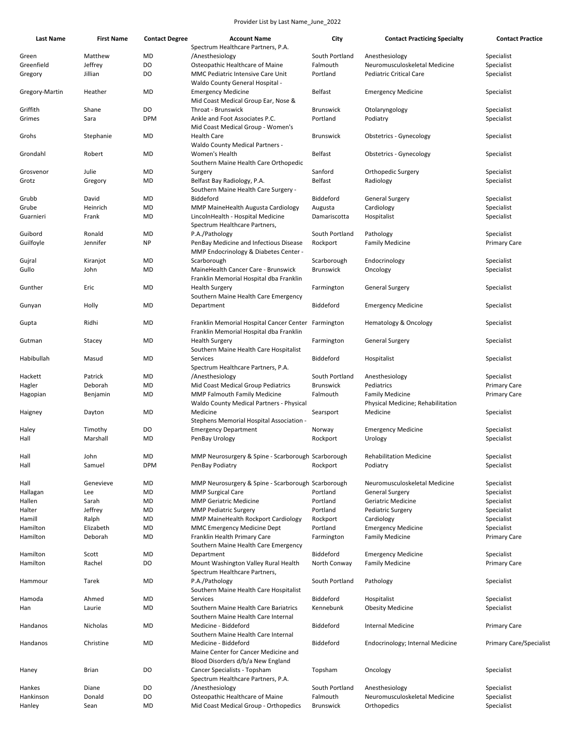| Last Name           | <b>First Name</b> | <b>Contact Degree</b> | <b>Account Name</b>                                                       | City                         | <b>Contact Practicing Specialty</b>  | <b>Contact Practice</b>                    |
|---------------------|-------------------|-----------------------|---------------------------------------------------------------------------|------------------------------|--------------------------------------|--------------------------------------------|
|                     |                   |                       | Spectrum Healthcare Partners, P.A.                                        |                              |                                      |                                            |
| Green               | Matthew           | MD                    | /Anesthesiology                                                           | South Portland               | Anesthesiology                       | Specialist                                 |
| Greenfield          | Jeffrey           | DO                    | Osteopathic Healthcare of Maine                                           | Falmouth                     | Neuromusculoskeletal Medicine        | Specialist                                 |
| Gregory             | Jillian           | DO                    | MMC Pediatric Intensive Care Unit<br>Waldo County General Hospital -      | Portland                     | <b>Pediatric Critical Care</b>       | Specialist                                 |
| Gregory-Martin      | Heather           | MD                    | <b>Emergency Medicine</b><br>Mid Coast Medical Group Ear, Nose &          | <b>Belfast</b>               | <b>Emergency Medicine</b>            | Specialist                                 |
| Griffith            | Shane             | DO                    | Throat - Brunswick                                                        | <b>Brunswick</b>             | Otolaryngology                       | Specialist                                 |
| Grimes              | Sara              | <b>DPM</b>            | Ankle and Foot Associates P.C.<br>Mid Coast Medical Group - Women's       | Portland                     | Podiatry                             | Specialist                                 |
| Grohs               | Stephanie         | MD                    | <b>Health Care</b>                                                        | <b>Brunswick</b>             | <b>Obstetrics - Gynecology</b>       | Specialist                                 |
|                     |                   |                       | <b>Waldo County Medical Partners -</b>                                    |                              |                                      |                                            |
| Grondahl            | Robert            | MD                    | Women's Health                                                            | Belfast                      | <b>Obstetrics - Gynecology</b>       | Specialist                                 |
|                     |                   |                       | Southern Maine Health Care Orthopedic                                     |                              |                                      |                                            |
| Grosvenor           | Julie             | MD                    | Surgery                                                                   | Sanford                      | Orthopedic Surgery                   | Specialist                                 |
| Grotz               | Gregory           | MD                    | Belfast Bay Radiology, P.A.                                               | Belfast                      | Radiology                            | Specialist                                 |
| Grubb               | David             | MD                    | Southern Maine Health Care Surgery -<br>Biddeford                         | Biddeford                    | <b>General Surgery</b>               | Specialist                                 |
| Grube               | Heinrich          | MD                    | MMP MaineHealth Augusta Cardiology                                        | Augusta                      | Cardiology                           | Specialist                                 |
| Guarnieri           | Frank             | MD                    | LincolnHealth - Hospital Medicine                                         | Damariscotta                 | Hospitalist                          | Specialist                                 |
|                     |                   |                       | Spectrum Healthcare Partners,                                             |                              |                                      |                                            |
| Guibord             | Ronald            | MD                    | P.A./Pathology                                                            | South Portland               | Pathology                            | Specialist                                 |
| Guilfoyle           | Jennifer          | NP                    | PenBay Medicine and Infectious Disease                                    | Rockport                     | <b>Family Medicine</b>               | <b>Primary Care</b>                        |
|                     |                   |                       | MMP Endocrinology & Diabetes Center -                                     |                              |                                      |                                            |
| Gujral              | Kiranjot          | MD                    | Scarborough                                                               | Scarborough                  | Endocrinology                        | Specialist                                 |
| Gullo               | John              | MD                    | MaineHealth Cancer Care - Brunswick                                       | <b>Brunswick</b>             | Oncology                             | Specialist                                 |
|                     |                   |                       | Franklin Memorial Hospital dba Franklin                                   |                              |                                      |                                            |
| Gunther             | Eric              | MD                    | <b>Health Surgery</b>                                                     | Farmington                   | General Surgery                      | Specialist                                 |
|                     |                   | MD                    | Southern Maine Health Care Emergency                                      | Biddeford                    | <b>Emergency Medicine</b>            | Specialist                                 |
| Gunyan              | Holly             |                       | Department                                                                |                              |                                      |                                            |
| Gupta               | Ridhi             | MD                    | Franklin Memorial Hospital Cancer Center Farmington                       |                              | <b>Hematology &amp; Oncology</b>     | Specialist                                 |
|                     |                   |                       | Franklin Memorial Hospital dba Franklin                                   |                              |                                      |                                            |
| Gutman              | Stacey            | MD                    | <b>Health Surgery</b>                                                     | Farmington                   | <b>General Surgery</b>               | Specialist                                 |
|                     |                   |                       | Southern Maine Health Care Hospitalist                                    |                              |                                      |                                            |
| Habibullah          | Masud             | MD                    | Services                                                                  | Biddeford                    | Hospitalist                          | Specialist                                 |
|                     |                   |                       | Spectrum Healthcare Partners, P.A.                                        |                              |                                      |                                            |
| Hackett             | Patrick           | MD                    | /Anesthesiology                                                           | South Portland               | Anesthesiology                       | Specialist                                 |
| Hagler              | Deborah           | MD<br>MD              | Mid Coast Medical Group Pediatrics<br><b>MMP Falmouth Family Medicine</b> | <b>Brunswick</b><br>Falmouth | Pediatrics<br><b>Family Medicine</b> | <b>Primary Care</b><br><b>Primary Care</b> |
| Hagopian            | Benjamin          |                       | Waldo County Medical Partners - Physical                                  |                              | Physical Medicine; Rehabilitation    |                                            |
| Haigney             | Dayton            | MD                    | Medicine                                                                  | Searsport                    | Medicine                             | Specialist                                 |
|                     |                   |                       | Stephens Memorial Hospital Association -                                  |                              |                                      |                                            |
| Haley               | Timothy           | DO                    | <b>Emergency Department</b>                                               | Norway                       | <b>Emergency Medicine</b>            | Specialist                                 |
| Hall                | Marshall          | <b>MD</b>             | PenBay Urology                                                            | Rockport                     | Urology                              | Specialist                                 |
|                     |                   |                       |                                                                           |                              |                                      |                                            |
| Hall                | John              | MD                    | MMP Neurosurgery & Spine - Scarborough Scarborough                        |                              | <b>Rehabilitation Medicine</b>       | Specialist                                 |
| Hall                | Samuel            | <b>DPM</b>            | PenBay Podiatry                                                           | Rockport                     | Podiatry                             | Specialist                                 |
| Hall                | Genevieve         | MD                    | MMP Neurosurgery & Spine - Scarborough Scarborough                        |                              | Neuromusculoskeletal Medicine        | Specialist                                 |
| Hallagan            | Lee               | MD                    | <b>MMP Surgical Care</b>                                                  | Portland                     | <b>General Surgery</b>               | Specialist                                 |
| Hallen              | Sarah             | MD                    | <b>MMP Geriatric Medicine</b>                                             | Portland                     | Geriatric Medicine                   | Specialist                                 |
| Halter              | Jeffrey           | MD                    | <b>MMP Pediatric Surgery</b>                                              | Portland                     | Pediatric Surgery                    | Specialist                                 |
| Hamill              | Ralph             | MD                    | <b>MMP MaineHealth Rockport Cardiology</b>                                | Rockport                     | Cardiology                           | Specialist                                 |
| Hamilton            | Elizabeth         | MD                    | MMC Emergency Medicine Dept                                               | Portland                     | <b>Emergency Medicine</b>            | Specialist                                 |
| Hamilton            | Deborah           | MD                    | Franklin Health Primary Care                                              | Farmington                   | <b>Family Medicine</b>               | <b>Primary Care</b>                        |
|                     |                   |                       | Southern Maine Health Care Emergency                                      |                              |                                      |                                            |
| Hamilton            | Scott             | MD                    | Department                                                                | Biddeford                    | <b>Emergency Medicine</b>            | Specialist                                 |
| Hamilton            | Rachel            | DO                    | Mount Washington Valley Rural Health                                      | North Conway                 | <b>Family Medicine</b>               | <b>Primary Care</b>                        |
| Hammour             | Tarek             | MD                    | Spectrum Healthcare Partners,<br>P.A./Pathology                           | South Portland               | Pathology                            | Specialist                                 |
|                     |                   |                       | Southern Maine Health Care Hospitalist                                    |                              |                                      |                                            |
| Hamoda              | Ahmed             | MD                    | Services                                                                  | Biddeford                    | Hospitalist                          | Specialist                                 |
| Han                 | Laurie            | MD                    | Southern Maine Health Care Bariatrics                                     | Kennebunk                    | <b>Obesity Medicine</b>              | Specialist                                 |
|                     |                   |                       | Southern Maine Health Care Internal                                       |                              |                                      |                                            |
| Handanos            | Nicholas          | MD                    | Medicine - Biddeford                                                      | Biddeford                    | <b>Internal Medicine</b>             | <b>Primary Care</b>                        |
|                     |                   |                       | Southern Maine Health Care Internal                                       |                              |                                      |                                            |
| Handanos            | Christine         | MD                    | Medicine - Biddeford                                                      | Biddeford                    | Endocrinology; Internal Medicine     | <b>Primary Care/Specialist</b>             |
|                     |                   |                       | Maine Center for Cancer Medicine and                                      |                              |                                      |                                            |
|                     |                   |                       | Blood Disorders d/b/a New England                                         |                              |                                      |                                            |
| Haney               | <b>Brian</b>      | DO                    | Cancer Specialists - Topsham                                              | Topsham                      | Oncology                             | Specialist                                 |
|                     | Diane             | DO                    | Spectrum Healthcare Partners, P.A.                                        | South Portland               | Anesthesiology                       | Specialist                                 |
| Hankes<br>Hankinson | Donald            | DO                    | /Anesthesiology<br>Osteopathic Healthcare of Maine                        | Falmouth                     | Neuromusculoskeletal Medicine        | Specialist                                 |
| Hanley              | Sean              | MD                    | Mid Coast Medical Group - Orthopedics                                     | <b>Brunswick</b>             | Orthopedics                          | Specialist                                 |
|                     |                   |                       |                                                                           |                              |                                      |                                            |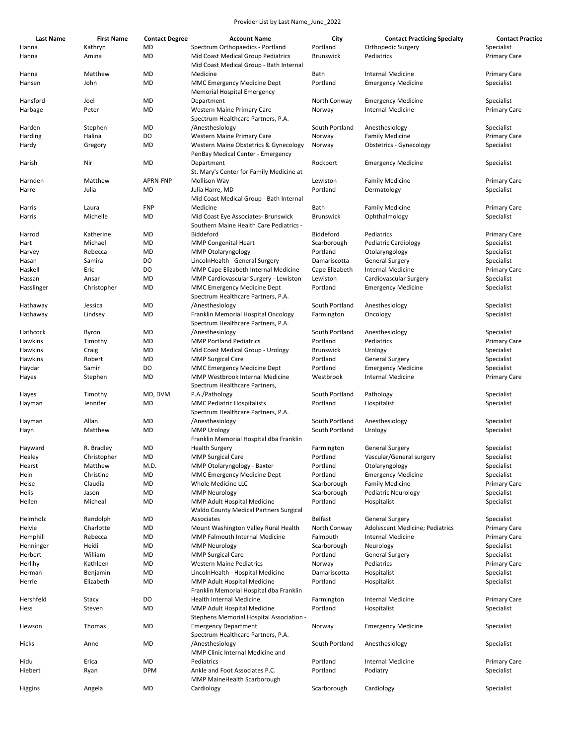| <b>Last Name</b>      | <b>First Name</b> | <b>Contact Degree</b> | <b>Account Name</b>                                 | City                     | <b>Contact Practicing Specialty</b>                         | <b>Contact Practice</b>           |
|-----------------------|-------------------|-----------------------|-----------------------------------------------------|--------------------------|-------------------------------------------------------------|-----------------------------------|
| Hanna                 | Kathryn           | MD                    | Spectrum Orthopaedics - Portland                    | Portland                 | Orthopedic Surgery                                          | Specialist                        |
| Hanna                 | Amina             | MD                    | Mid Coast Medical Group Pediatrics                  | <b>Brunswick</b>         | Pediatrics                                                  | <b>Primary Care</b>               |
| Hanna                 | Matthew           | MD                    | Mid Coast Medical Group - Bath Internal<br>Medicine | Bath                     | <b>Internal Medicine</b>                                    | <b>Primary Care</b>               |
| Hansen                | John              | MD                    | <b>MMC Emergency Medicine Dept</b>                  | Portland                 | <b>Emergency Medicine</b>                                   | Specialist                        |
|                       |                   |                       | <b>Memorial Hospital Emergency</b>                  |                          |                                                             |                                   |
| Hansford              | Joel              | MD                    | Department                                          | North Conway             | <b>Emergency Medicine</b>                                   | Specialist                        |
| Harbage               | Peter             | MD                    | Western Maine Primary Care                          | Norway                   | Internal Medicine                                           | <b>Primary Care</b>               |
|                       |                   |                       | Spectrum Healthcare Partners, P.A.                  |                          |                                                             |                                   |
| Harden                | Stephen           | MD                    | /Anesthesiology                                     | South Portland           | Anesthesiology                                              | Specialist                        |
| Harding               | Halina            | DO                    | Western Maine Primary Care                          | Norway                   | <b>Family Medicine</b>                                      | <b>Primary Care</b>               |
| Hardy                 | Gregory           | MD                    | Western Maine Obstetrics & Gynecology               | Norway                   | Obstetrics - Gynecology                                     | Specialist                        |
|                       |                   |                       | PenBay Medical Center - Emergency                   |                          |                                                             |                                   |
| Harish                | Nir               | MD                    | Department                                          | Rockport                 | <b>Emergency Medicine</b>                                   | Specialist                        |
|                       |                   |                       | St. Mary's Center for Family Medicine at            |                          |                                                             |                                   |
| Harnden               | Matthew           | APRN-FNP              | <b>Mollison Way</b>                                 | Lewiston                 | <b>Family Medicine</b>                                      | <b>Primary Care</b>               |
| Harre                 | Julia             | MD                    | Julia Harre, MD                                     | Portland                 | Dermatology                                                 | Specialist                        |
|                       |                   |                       | Mid Coast Medical Group - Bath Internal             |                          |                                                             |                                   |
| Harris                | Laura<br>Michelle | <b>FNP</b><br>MD      | Medicine<br>Mid Coast Eye Associates- Brunswick     | Bath<br><b>Brunswick</b> | <b>Family Medicine</b><br>Ophthalmology                     | <b>Primary Care</b><br>Specialist |
| Harris                |                   |                       | Southern Maine Health Care Pediatrics -             |                          |                                                             |                                   |
| Harrod                | Katherine         | MD                    | Biddeford                                           | Biddeford                | Pediatrics                                                  | <b>Primary Care</b>               |
| Hart                  | Michael           | MD                    | <b>MMP Congenital Heart</b>                         | Scarborough              | <b>Pediatric Cardiology</b>                                 | Specialist                        |
| Harvey                | Rebecca           | MD                    | <b>MMP Otolaryngology</b>                           | Portland                 | Otolaryngology                                              | Specialist                        |
| Hasan                 | Samira            | DO                    | LincolnHealth - General Surgery                     | Damariscotta             | General Surgery                                             | Specialist                        |
| Haskell               | Eric              | DO                    | MMP Cape Elizabeth Internal Medicine                | Cape Elizabeth           | Internal Medicine                                           | <b>Primary Care</b>               |
| Hassan                | Ansar             | MD                    | MMP Cardiovascular Surgery - Lewiston               | Lewiston                 | Cardiovascular Surgery                                      | Specialist                        |
| Hasslinger            | Christopher       | MD                    | <b>MMC Emergency Medicine Dept</b>                  | Portland                 | <b>Emergency Medicine</b>                                   | Specialist                        |
|                       |                   |                       | Spectrum Healthcare Partners, P.A.                  |                          |                                                             |                                   |
| Hathaway              | Jessica           | MD                    | /Anesthesiology                                     | South Portland           | Anesthesiology                                              | Specialist                        |
| Hathaway              | Lindsey           | MD                    | Franklin Memorial Hospital Oncology                 | Farmington               | Oncology                                                    | Specialist                        |
|                       |                   |                       | Spectrum Healthcare Partners, P.A.                  |                          |                                                             |                                   |
| Hathcock              | Byron             | MD                    | /Anesthesiology                                     | South Portland           | Anesthesiology                                              | Specialist                        |
| Hawkins               | Timothy           | MD                    | <b>MMP Portland Pediatrics</b>                      | Portland                 | Pediatrics                                                  | <b>Primary Care</b>               |
| Hawkins               | Craig             | MD                    | Mid Coast Medical Group - Urology                   | <b>Brunswick</b>         | Urology                                                     | Specialist                        |
| Hawkins               | Robert            | MD                    | <b>MMP Surgical Care</b>                            | Portland                 | <b>General Surgery</b>                                      | Specialist                        |
| Haydar                | Samir             | D <sub>O</sub>        | <b>MMC Emergency Medicine Dept</b>                  | Portland                 | <b>Emergency Medicine</b>                                   | Specialist                        |
| Hayes                 | Stephen           | MD                    | MMP Westbrook Internal Medicine                     | Westbrook                | <b>Internal Medicine</b>                                    | <b>Primary Care</b>               |
| Hayes                 | Timothy           | MD, DVM               | Spectrum Healthcare Partners,<br>P.A./Pathology     | South Portland           | Pathology                                                   | Specialist                        |
| Hayman                | Jennifer          | MD                    | <b>MMC Pediatric Hospitalists</b>                   | Portland                 | Hospitalist                                                 | Specialist                        |
|                       |                   |                       | Spectrum Healthcare Partners, P.A.                  |                          |                                                             |                                   |
| Hayman                | Allan             | MD                    | /Anesthesiology                                     | South Portland           | Anesthesiology                                              | Specialist                        |
| Hayn                  | Matthew           | MD                    | <b>MMP Urology</b>                                  | South Portland           | Urology                                                     | Specialist                        |
|                       |                   |                       | Franklin Memorial Hospital dba Franklin             |                          |                                                             |                                   |
| Hayward               | R. Bradley        | MD                    | <b>Health Surgery</b>                               | Farmington               | <b>General Surgery</b>                                      | Specialist                        |
| Healey                | Christopher       | MD                    | <b>MMP Surgical Care</b>                            | Portland                 | Vascular/General surgery                                    | Specialist                        |
| Hearst                | Matthew           | M.D.                  | MMP Otolaryngology - Baxter                         | Portland                 | Otolaryngology                                              | Specialist                        |
| Hein                  | Christine         | MD                    | <b>MMC Emergency Medicine Dept</b>                  | Portland                 | <b>Emergency Medicine</b>                                   | Specialist                        |
| Heise                 | Claudia           | MD                    | Whole Medicine LLC                                  | Scarborough              | <b>Family Medicine</b>                                      | <b>Primary Care</b>               |
| Helis                 | Jason             | MD                    | <b>MMP Neurology</b>                                | Scarborough              | <b>Pediatric Neurology</b>                                  | Specialist                        |
| Hellen                | Micheal           | MD                    | MMP Adult Hospital Medicine                         | Portland                 | Hospitalist                                                 | Specialist                        |
|                       |                   |                       | Waldo County Medical Partners Surgical              |                          |                                                             |                                   |
| Helmholz              | Randolph          | MD                    | Associates                                          | Belfast                  | General Surgery                                             | Specialist                        |
| Helvie                | Charlotte         | MD                    | Mount Washington Valley Rural Health                | North Conway             | Adolescent Medicine; Pediatrics<br><b>Internal Medicine</b> | <b>Primary Care</b>               |
| Hemphill<br>Henninger | Rebecca<br>Heidi  | MD<br>MD              | MMP Falmouth Internal Medicine                      | Falmouth<br>Scarborough  | Neurology                                                   | <b>Primary Care</b><br>Specialist |
| Herbert               | William           | MD                    | <b>MMP Neurology</b><br><b>MMP Surgical Care</b>    | Portland                 | General Surgery                                             | Specialist                        |
| Herlihy               | Kathleen          | MD                    | <b>Western Maine Pediatrics</b>                     | Norway                   | Pediatrics                                                  | <b>Primary Care</b>               |
| Herman                | Benjamin          | MD                    | LincolnHealth - Hospital Medicine                   | Damariscotta             | Hospitalist                                                 | Specialist                        |
| Herrle                | Elizabeth         | MD                    | MMP Adult Hospital Medicine                         | Portland                 | Hospitalist                                                 | Specialist                        |
|                       |                   |                       | Franklin Memorial Hospital dba Franklin             |                          |                                                             |                                   |
| Hershfeld             | Stacy             | DO                    | <b>Health Internal Medicine</b>                     | Farmington               | <b>Internal Medicine</b>                                    | <b>Primary Care</b>               |
| Hess                  | Steven            | MD                    | MMP Adult Hospital Medicine                         | Portland                 | Hospitalist                                                 | Specialist                        |
|                       |                   |                       | Stephens Memorial Hospital Association -            |                          |                                                             |                                   |
| Hewson                | Thomas            | MD                    | <b>Emergency Department</b>                         | Norway                   | <b>Emergency Medicine</b>                                   | Specialist                        |
|                       |                   |                       | Spectrum Healthcare Partners, P.A.                  |                          |                                                             |                                   |
| Hicks                 | Anne              | MD                    | /Anesthesiology                                     | South Portland           | Anesthesiology                                              | Specialist                        |
|                       |                   |                       | MMP Clinic Internal Medicine and                    |                          |                                                             |                                   |
| Hidu                  | Erica             | MD                    | Pediatrics                                          | Portland                 | Internal Medicine                                           | <b>Primary Care</b>               |
| Hiebert               | Ryan              | <b>DPM</b>            | Ankle and Foot Associates P.C.                      | Portland                 | Podiatry                                                    | Specialist                        |
|                       |                   |                       | MMP MaineHealth Scarborough                         |                          |                                                             |                                   |
| Higgins               | Angela            | MD                    | Cardiology                                          | Scarborough              | Cardiology                                                  | Specialist                        |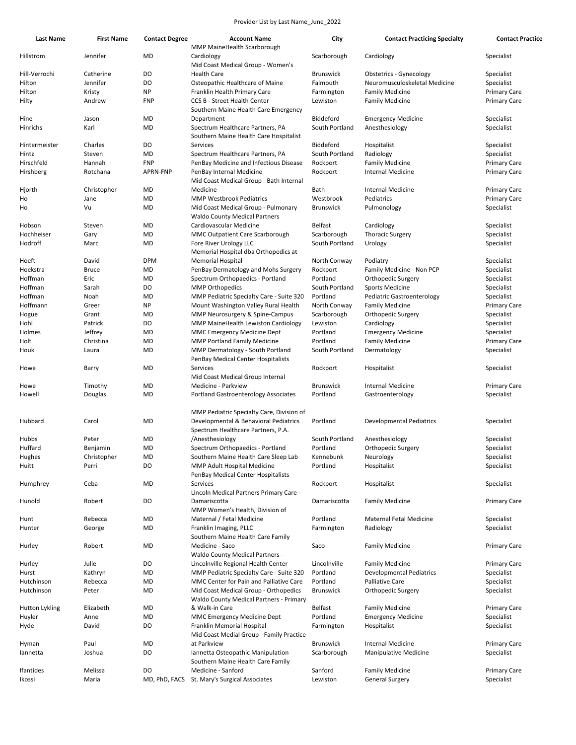| <b>Last Name</b> | <b>First Name</b> | <b>Contact Degree</b> | <b>Account Name</b>                                                                                                      | City             | <b>Contact Practicing Specialty</b> | <b>Contact Practice</b> |
|------------------|-------------------|-----------------------|--------------------------------------------------------------------------------------------------------------------------|------------------|-------------------------------------|-------------------------|
| Hillstrom        | Jennifer          | MD                    | <b>MMP MaineHealth Scarborough</b><br>Cardiology<br>Mid Coast Medical Group - Women's                                    | Scarborough      | Cardiology                          | Specialist              |
| Hill-Verrochi    | Catherine         | D <sub>O</sub>        | <b>Health Care</b>                                                                                                       | Brunswick        | <b>Obstetrics - Gynecology</b>      | Specialist              |
|                  | Jennifer          | DO                    |                                                                                                                          |                  |                                     |                         |
| Hilton           |                   |                       | Osteopathic Healthcare of Maine                                                                                          | Falmouth         | Neuromusculoskeletal Medicine       | Specialist              |
| Hilton           | Kristy            | <b>NP</b>             | Franklin Health Primary Care                                                                                             | Farmington       | <b>Family Medicine</b>              | <b>Primary Care</b>     |
| Hilty            | Andrew            | <b>FNP</b>            | <b>CCS B - Street Health Center</b><br>Southern Maine Health Care Emergency                                              | Lewiston         | <b>Family Medicine</b>              | <b>Primary Care</b>     |
| Hine             | Jason             | MD                    | Department                                                                                                               | Biddeford        | <b>Emergency Medicine</b>           | Specialist              |
| <b>Hinrichs</b>  | Karl              | MD                    | Spectrum Healthcare Partners, PA<br>Southern Maine Health Care Hospitalist                                               | South Portland   | Anesthesiology                      | Specialist              |
| Hintermeister    | Charles           | DO                    | Services                                                                                                                 | Biddeford        | Hospitalist                         | Specialist              |
| Hintz            | Steven            | MD                    | Spectrum Healthcare Partners, PA                                                                                         | South Portland   | Radiology                           | Specialist              |
| Hirschfeld       | Hannah            | <b>FNP</b>            | PenBay Medicine and Infectious Disease                                                                                   | Rockport         | <b>Family Medicine</b>              | <b>Primary Care</b>     |
| Hirshberg        | Rotchana          | APRN-FNP              | PenBay Internal Medicine                                                                                                 | Rockport         | <b>Internal Medicine</b>            | <b>Primary Care</b>     |
|                  |                   |                       | Mid Coast Medical Group - Bath Internal                                                                                  |                  |                                     |                         |
| Hjorth           | Christopher       | MD                    | Medicine                                                                                                                 | Bath             | <b>Internal Medicine</b>            | <b>Primary Care</b>     |
| Ho               | Jane              | MD                    | <b>MMP Westbrook Pediatrics</b>                                                                                          | Westbrook        | Pediatrics                          | <b>Primary Care</b>     |
| Ho               | Vu                | MD                    | Mid Coast Medical Group - Pulmonary<br><b>Waldo County Medical Partners</b>                                              | <b>Brunswick</b> | Pulmonology                         | Specialist              |
| Hobson           | Steven            | MD                    | Cardiovascular Medicine                                                                                                  | Belfast          | Cardiology                          | Specialist              |
| Hochheiser       | Gary              | MD                    | MMC Outpatient Care Scarborough                                                                                          | Scarborough      | <b>Thoracic Surgery</b>             | Specialist              |
| Hodroff          | Marc              | MD                    | Fore River Urology LLC                                                                                                   | South Portland   | Urology                             | Specialist              |
|                  |                   |                       | Memorial Hospital dba Orthopedics at                                                                                     |                  |                                     |                         |
| Hoeft            | David             | <b>DPM</b>            | <b>Memorial Hospital</b>                                                                                                 | North Conway     | Podiatry                            | Specialist              |
| Hoekstra         | <b>Bruce</b>      | MD                    | PenBay Dermatology and Mohs Surgery                                                                                      | Rockport         | Family Medicine - Non PCP           | Specialist              |
| Hoffman          | Eric              | MD                    | Spectrum Orthopaedics - Portland                                                                                         | Portland         | Orthopedic Surgery                  | Specialist              |
| Hoffman          | Sarah             | DO                    | <b>MMP Orthopedics</b>                                                                                                   | South Portland   | <b>Sports Medicine</b>              | Specialist              |
| Hoffman          | Noah              | MD                    | MMP Pediatric Specialty Care - Suite 320                                                                                 | Portland         | Pediatric Gastroenterology          | Specialist              |
| Hoffmann         | Greer             | <b>NP</b>             | Mount Washington Valley Rural Health                                                                                     | North Conway     | <b>Family Medicine</b>              | <b>Primary Care</b>     |
| Hogue            | Grant             | MD                    | MMP Neurosurgery & Spine-Campus                                                                                          | Scarborough      | Orthopedic Surgery                  | Specialist              |
| Hohl             | Patrick           | DO                    | MMP MaineHealth Lewiston Cardiology                                                                                      | Lewiston         | Cardiology                          | Specialist              |
| Holmes           | Jeffrey           | MD                    | MMC Emergency Medicine Dept                                                                                              | Portland         | <b>Emergency Medicine</b>           | Specialist              |
| Holt             | Christina         | MD                    | <b>MMP Portland Family Medicine</b>                                                                                      | Portland         | <b>Family Medicine</b>              | <b>Primary Care</b>     |
| Houk             | Laura             | MD                    | MMP Dermatology - South Portland<br>PenBay Medical Center Hospitalists                                                   | South Portland   | Dermatology                         | Specialist              |
| Howe             | Barry             | MD                    | Services                                                                                                                 | Rockport         | Hospitalist                         | Specialist              |
|                  |                   |                       | Mid Coast Medical Group Internal                                                                                         |                  |                                     |                         |
| Howe             | Timothy           | MD                    | Medicine - Parkview                                                                                                      | Brunswick        | <b>Internal Medicine</b>            | <b>Primary Care</b>     |
| Howell           | Douglas           | MD                    | <b>Portland Gastroenterology Associates</b>                                                                              | Portland         | Gastroenterology                    | Specialist              |
|                  |                   |                       |                                                                                                                          |                  |                                     |                         |
| Hubbard          | Carol             | MD                    | MMP Pediatric Specialty Care, Division of<br>Developmental & Behavioral Pediatrics<br>Spectrum Healthcare Partners, P.A. | Portland         | <b>Developmental Pediatrics</b>     | Specialist              |
| Hubbs            | Peter             | MD                    | /Anesthesiology                                                                                                          | South Portland   | Anesthesiology                      | Specialist              |
| Huffard          | Benjamin          | MD                    | Spectrum Orthopaedics - Portland                                                                                         | Portland         | Orthopedic Surgery                  | Specialist              |
| Hughes           | Christopher       | MD                    | Southern Maine Health Care Sleep Lab                                                                                     | Kennebunk        | Neurology                           | Specialist              |
| Huitt            | Perri             | DO                    | MMP Adult Hospital Medicine                                                                                              | Portland         | Hospitalist                         | Specialist              |
|                  |                   |                       | PenBay Medical Center Hospitalists                                                                                       |                  |                                     |                         |
| Humphrey         | Ceba              | MD                    | Services<br>Lincoln Medical Partners Primary Care -                                                                      | Rockport         | Hospitalist                         | Specialist              |
| Hunold           | Robert            | DO                    | Damariscotta                                                                                                             | Damariscotta     | <b>Family Medicine</b>              | <b>Primary Care</b>     |
|                  |                   |                       | MMP Women's Health, Division of                                                                                          |                  |                                     |                         |
| Hunt             | Rebecca           | MD                    | Maternal / Fetal Medicine                                                                                                | Portland         | Maternal Fetal Medicine             | Specialist              |
| Hunter           | George            | MD                    | Franklin Imaging, PLLC<br>Southern Maine Health Care Family                                                              | Farmington       | Radiology                           | Specialist              |
| Hurley           | Robert            | MD                    | Medicine - Saco<br><b>Waldo County Medical Partners -</b>                                                                | Saco             | <b>Family Medicine</b>              | <b>Primary Care</b>     |
| Hurley           | Julie             | DO                    | Lincolnville Regional Health Center                                                                                      | Lincolnville     | <b>Family Medicine</b>              | <b>Primary Care</b>     |
| Hurst            | Kathryn           | MD                    | MMP Pediatric Specialty Care - Suite 320                                                                                 | Portland         | <b>Developmental Pediatrics</b>     | Specialist              |
|                  |                   | MD                    | MMC Center for Pain and Palliative Care                                                                                  | Portland         | Palliative Care                     |                         |
| Hutchinson       | Rebecca           |                       |                                                                                                                          |                  |                                     | Specialist              |
| Hutchinson       | Peter             | MD                    | Mid Coast Medical Group - Orthopedics<br>Waldo County Medical Partners - Primary                                         | <b>Brunswick</b> | Orthopedic Surgery                  | Specialist              |
| Hutton Lykling   | Elizabeth         | MD                    | & Walk-in Care                                                                                                           | Belfast          | <b>Family Medicine</b>              | <b>Primary Care</b>     |
| Huyler           | Anne              | MD                    | MMC Emergency Medicine Dept                                                                                              | Portland         | <b>Emergency Medicine</b>           | Specialist              |
| Hyde             | David             | DO                    | Franklin Memorial Hospital                                                                                               | Farmington       | Hospitalist                         | Specialist              |
|                  |                   |                       | Mid Coast Medial Group - Family Practice                                                                                 |                  |                                     |                         |
| Hyman            | Paul              | MD                    | at Parkview                                                                                                              | Brunswick        | <b>Internal Medicine</b>            | <b>Primary Care</b>     |
| lannetta         | Joshua            | DO                    | Iannetta Osteopathic Manipulation                                                                                        | Scarborough      | Manipulative Medicine               | Specialist              |
|                  |                   |                       | Southern Maine Health Care Family                                                                                        |                  |                                     |                         |
| Ifantides        | Melissa           | DO                    | Medicine - Sanford                                                                                                       | Sanford          | <b>Family Medicine</b>              | <b>Primary Care</b>     |
| Ikossi           | Maria             |                       | MD, PhD, FACS St. Mary's Surgical Associates                                                                             | Lewiston         | <b>General Surgery</b>              | Specialist              |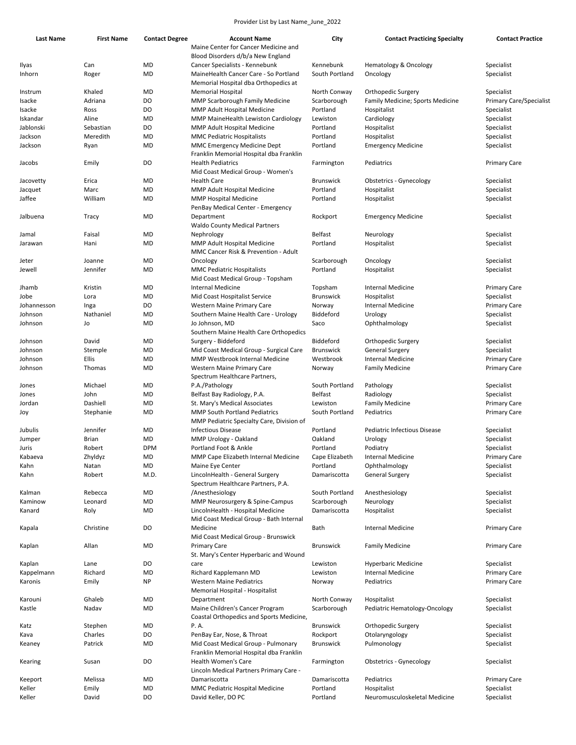| <b>Last Name</b> | <b>First Name</b> | <b>Contact Degree</b> | <b>Account Name</b>                       | City             | <b>Contact Practicing Specialty</b> | <b>Contact Practice</b>        |
|------------------|-------------------|-----------------------|-------------------------------------------|------------------|-------------------------------------|--------------------------------|
|                  |                   |                       | Maine Center for Cancer Medicine and      |                  |                                     |                                |
|                  |                   |                       | Blood Disorders d/b/a New England         |                  |                                     |                                |
| Ilyas            | Can               | <b>MD</b>             | Cancer Specialists - Kennebunk            | Kennebunk        | Hematology & Oncology               | Specialist                     |
| Inhorn           | Roger             | <b>MD</b>             | MaineHealth Cancer Care - So Portland     | South Portland   | Oncology                            | Specialist                     |
|                  |                   |                       | Memorial Hospital dba Orthopedics at      |                  |                                     |                                |
| Instrum          | Khaled            | MD                    | <b>Memorial Hospital</b>                  | North Conway     | Orthopedic Surgery                  | Specialist                     |
|                  | Adriana           |                       |                                           |                  |                                     |                                |
| Isacke           |                   | DO                    | MMP Scarborough Family Medicine           | Scarborough      | Family Medicine; Sports Medicine    | <b>Primary Care/Specialist</b> |
| Isacke           | Ross              | DO                    | MMP Adult Hospital Medicine               | Portland         | Hospitalist                         | Specialist                     |
| Iskandar         | Aline             | MD                    | MMP MaineHealth Lewiston Cardiology       | Lewiston         | Cardiology                          | Specialist                     |
| Jablonski        | Sebastian         | DO                    | MMP Adult Hospital Medicine               | Portland         | Hospitalist                         | Specialist                     |
| Jackson          | Meredith          | <b>MD</b>             | <b>MMC Pediatric Hospitalists</b>         | Portland         | Hospitalist                         | Specialist                     |
| Jackson          | Ryan              | MD                    | MMC Emergency Medicine Dept               | Portland         | <b>Emergency Medicine</b>           | Specialist                     |
|                  |                   |                       | Franklin Memorial Hospital dba Franklin   |                  |                                     |                                |
| Jacobs           | Emily             | DO                    | <b>Health Pediatrics</b>                  | Farmington       | Pediatrics                          | <b>Primary Care</b>            |
|                  |                   |                       | Mid Coast Medical Group - Women's         |                  |                                     |                                |
| Jacovetty        | Erica             | MD                    | <b>Health Care</b>                        | <b>Brunswick</b> | Obstetrics - Gynecology             | Specialist                     |
|                  |                   |                       |                                           |                  |                                     |                                |
| Jacquet          | Marc              | <b>MD</b>             | MMP Adult Hospital Medicine               | Portland         | Hospitalist                         | Specialist                     |
| Jaffee           | William           | MD                    | <b>MMP Hospital Medicine</b>              | Portland         | Hospitalist                         | Specialist                     |
|                  |                   |                       | PenBay Medical Center - Emergency         |                  |                                     |                                |
| Jalbuena         | Tracy             | MD                    | Department                                | Rockport         | <b>Emergency Medicine</b>           | Specialist                     |
|                  |                   |                       | <b>Waldo County Medical Partners</b>      |                  |                                     |                                |
| Jamal            | Faisal            | MD                    | Nephrology                                | <b>Belfast</b>   | Neurology                           | Specialist                     |
| Jarawan          | Hani              | <b>MD</b>             | MMP Adult Hospital Medicine               | Portland         | Hospitalist                         | Specialist                     |
|                  |                   |                       | MMC Cancer Risk & Prevention - Adult      |                  |                                     |                                |
| Jeter            | Joanne            | MD                    | Oncology                                  | Scarborough      | Oncology                            | Specialist                     |
| Jewell           | Jennifer          | <b>MD</b>             | <b>MMC Pediatric Hospitalists</b>         | Portland         | Hospitalist                         | Specialist                     |
|                  |                   |                       | Mid Coast Medical Group - Topsham         |                  |                                     |                                |
|                  |                   |                       |                                           |                  |                                     |                                |
| Jhamb            | Kristin           | MD                    | Internal Medicine                         | Topsham          | <b>Internal Medicine</b>            | <b>Primary Care</b>            |
| Jobe             | Lora              | MD                    | Mid Coast Hospitalist Service             | <b>Brunswick</b> | Hospitalist                         | Specialist                     |
| Johannesson      | Inga              | DO                    | Western Maine Primary Care                | Norway           | <b>Internal Medicine</b>            | <b>Primary Care</b>            |
| Johnson          | Nathaniel         | MD                    | Southern Maine Health Care - Urology      | Biddeford        | Urology                             | Specialist                     |
| Johnson          | Jo                | MD                    | Jo Johnson, MD                            | Saco             | Ophthalmology                       | Specialist                     |
|                  |                   |                       | Southern Maine Health Care Orthopedics    |                  |                                     |                                |
| Johnson          | David             | MD                    | Surgery - Biddeford                       | Biddeford        | Orthopedic Surgery                  | Specialist                     |
| Johnson          | Stemple           | MD                    | Mid Coast Medical Group - Surgical Care   | <b>Brunswick</b> | <b>General Surgery</b>              | Specialist                     |
| Johnson          | Ellis             | <b>MD</b>             | <b>MMP Westbrook Internal Medicine</b>    | Westbrook        | <b>Internal Medicine</b>            | <b>Primary Care</b>            |
| Johnson          | Thomas            | MD                    | Western Maine Primary Care                |                  | <b>Family Medicine</b>              |                                |
|                  |                   |                       |                                           | Norway           |                                     | <b>Primary Care</b>            |
|                  |                   |                       | Spectrum Healthcare Partners,             |                  |                                     |                                |
| Jones            | Michael           | MD                    | P.A./Pathology                            | South Portland   | Pathology                           | Specialist                     |
| Jones            | John              | <b>MD</b>             | Belfast Bay Radiology, P.A.               | <b>Belfast</b>   | Radiology                           | Specialist                     |
| Jordan           | Dashiell          | MD                    | St. Mary's Medical Associates             | Lewiston         | <b>Family Medicine</b>              | <b>Primary Care</b>            |
| Joy              | Stephanie         | MD                    | <b>MMP South Portland Pediatrics</b>      | South Portland   | Pediatrics                          | <b>Primary Care</b>            |
|                  |                   |                       | MMP Pediatric Specialty Care, Division of |                  |                                     |                                |
| Jubulis          | Jennifer          | MD                    | <b>Infectious Disease</b>                 | Portland         | Pediatric Infectious Disease        | Specialist                     |
| Jumper           | Brian             | <b>MD</b>             | MMP Urology - Oakland                     | Oakland          | Urology                             | Specialist                     |
| Juris            | Robert            | <b>DPM</b>            | Portland Foot & Ankle                     | Portland         | Podiatry                            | Specialist                     |
| Kabaeva          | Zhyldyz           | MD                    | MMP Cape Elizabeth Internal Medicine      | Cape Elizabeth   | Internal Medicine                   | Primary Care                   |
| Kahn             | Natan             | MD                    | Maine Eye Center                          | Portland         | Ophthalmology                       | Specialist                     |
|                  | Robert            | M.D.                  | LincolnHealth - General Surgery           | Damariscotta     |                                     | Specialist                     |
| Kahn             |                   |                       |                                           |                  | <b>General Surgery</b>              |                                |
|                  |                   |                       | Spectrum Healthcare Partners, P.A.        |                  |                                     |                                |
| Kalman           | Rebecca           | MD                    | /Anesthesiology                           | South Portland   | Anesthesiology                      | Specialist                     |
| Kaminow          | Leonard           | <b>MD</b>             | MMP Neurosurgery & Spine-Campus           | Scarborough      | Neurology                           | Specialist                     |
| Kanard           | Roly              | MD                    | LincolnHealth - Hospital Medicine         | Damariscotta     | Hospitalist                         | Specialist                     |
|                  |                   |                       | Mid Coast Medical Group - Bath Internal   |                  |                                     |                                |
| Kapala           | Christine         | DO                    | Medicine                                  | Bath             | <b>Internal Medicine</b>            | <b>Primary Care</b>            |
|                  |                   |                       | Mid Coast Medical Group - Brunswick       |                  |                                     |                                |
| Kaplan           | Allan             | MD                    | <b>Primary Care</b>                       | <b>Brunswick</b> | <b>Family Medicine</b>              | <b>Primary Care</b>            |
|                  |                   |                       | St. Mary's Center Hyperbaric and Wound    |                  |                                     |                                |
| Kaplan           | Lane              | DO                    | care                                      | Lewiston         | <b>Hyperbaric Medicine</b>          | Specialist                     |
|                  | Richard           | MD                    | Richard Kapplemann MD                     | Lewiston         | Internal Medicine                   |                                |
| Kappelmann       |                   |                       |                                           |                  |                                     | <b>Primary Care</b>            |
| Karonis          | Emily             | <b>NP</b>             | <b>Western Maine Pediatrics</b>           | Norway           | Pediatrics                          | <b>Primary Care</b>            |
|                  |                   |                       | Memorial Hospital - Hospitalist           |                  |                                     |                                |
| Karouni          | Ghaleb            | MD                    | Department                                | North Conway     | Hospitalist                         | Specialist                     |
| Kastle           | Nadav             | MD                    | Maine Children's Cancer Program           | Scarborough      | Pediatric Hematology-Oncology       | Specialist                     |
|                  |                   |                       | Coastal Orthopedics and Sports Medicine,  |                  |                                     |                                |
| Katz             | Stephen           | MD                    | P.A.                                      | <b>Brunswick</b> | Orthopedic Surgery                  | Specialist                     |
| Kava             | Charles           | DO                    | PenBay Ear, Nose, & Throat                | Rockport         | Otolaryngology                      | Specialist                     |
| Keaney           | Patrick           | MD                    | Mid Coast Medical Group - Pulmonary       | <b>Brunswick</b> | Pulmonology                         | Specialist                     |
|                  |                   |                       | Franklin Memorial Hospital dba Franklin   |                  |                                     |                                |
|                  |                   | DO                    | Health Women's Care                       | Farmington       |                                     | Specialist                     |
| Kearing          | Susan             |                       |                                           |                  | <b>Obstetrics - Gynecology</b>      |                                |
|                  |                   |                       | Lincoln Medical Partners Primary Care -   |                  |                                     |                                |
| Keeport          | Melissa           | MD                    | Damariscotta                              | Damariscotta     | Pediatrics                          | <b>Primary Care</b>            |
| Keller           | Emily             | MD                    | MMC Pediatric Hospital Medicine           | Portland         | Hospitalist                         | Specialist                     |
| Keller           | David             | DO                    | David Keller, DO PC                       | Portland         | Neuromusculoskeletal Medicine       | Specialist                     |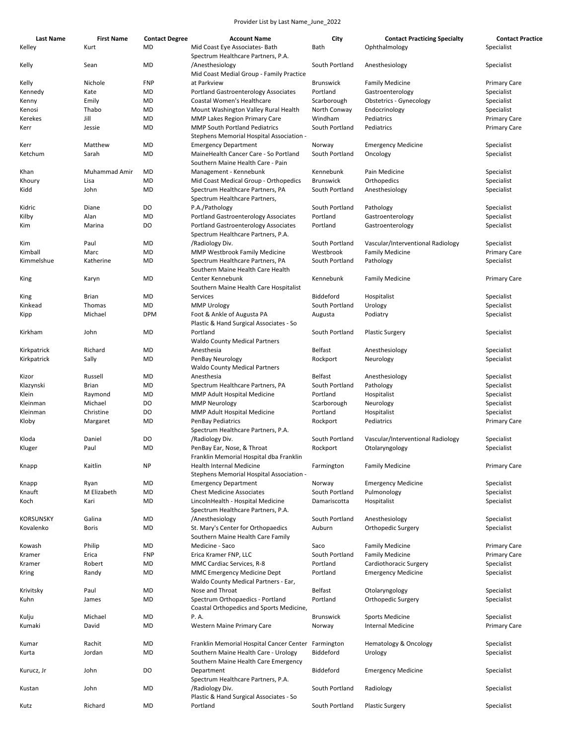| <b>Last Name</b> | <b>First Name</b> | <b>Contact Degree</b> | <b>Account Name</b>                                 | City             | <b>Contact Practicing Specialty</b> | <b>Contact Practice</b> |
|------------------|-------------------|-----------------------|-----------------------------------------------------|------------------|-------------------------------------|-------------------------|
| Kelley           | Kurt              | MD                    | Mid Coast Eye Associates- Bath                      | Bath             | Ophthalmology                       | Specialist              |
|                  |                   |                       | Spectrum Healthcare Partners, P.A.                  |                  |                                     |                         |
| Kelly            | Sean              | <b>MD</b>             | /Anesthesiology                                     | South Portland   | Anesthesiology                      | Specialist              |
|                  |                   |                       | Mid Coast Medial Group - Family Practice            |                  |                                     |                         |
| Kelly            | Nichole           | <b>FNP</b>            | at Parkview                                         | <b>Brunswick</b> | <b>Family Medicine</b>              | <b>Primary Care</b>     |
| Kennedy          | Kate              | MD                    | <b>Portland Gastroenterology Associates</b>         | Portland         | Gastroenterology                    | Specialist              |
| Kenny            | Emily             | MD                    | Coastal Women's Healthcare                          | Scarborough      | <b>Obstetrics - Gynecology</b>      | Specialist              |
| Kenosi           | Thabo             | MD                    | Mount Washington Valley Rural Health                | North Conway     | Endocrinology                       | Specialist              |
| Kerekes          | Jill              | MD                    | <b>MMP Lakes Region Primary Care</b>                | Windham          | Pediatrics                          | <b>Primary Care</b>     |
| Kerr             | Jessie            | MD                    | <b>MMP South Portland Pediatrics</b>                | South Portland   | Pediatrics                          | <b>Primary Care</b>     |
|                  |                   |                       | Stephens Memorial Hospital Association -            |                  |                                     |                         |
| Kerr             | Matthew           | MD                    | <b>Emergency Department</b>                         | Norway           | <b>Emergency Medicine</b>           | Specialist              |
| Ketchum          | Sarah             | MD                    | MaineHealth Cancer Care - So Portland               | South Portland   | Oncology                            | Specialist              |
|                  |                   |                       | Southern Maine Health Care - Pain                   |                  |                                     |                         |
| Khan             | Muhammad Amir     | MD                    | Management - Kennebunk                              | Kennebunk        | Pain Medicine                       | Specialist              |
| Khoury           | Lisa              | MD                    | Mid Coast Medical Group - Orthopedics               | <b>Brunswick</b> | Orthopedics                         | Specialist              |
| Kidd             | John              | MD                    | Spectrum Healthcare Partners, PA                    | South Portland   | Anesthesiology                      | Specialist              |
|                  |                   |                       | Spectrum Healthcare Partners,                       |                  |                                     |                         |
| Kidric           | Diane             | DO                    | P.A./Pathology                                      | South Portland   | Pathology                           | Specialist              |
| Kilby            | Alan              | MD                    | Portland Gastroenterology Associates                | Portland         | Gastroenterology                    | Specialist              |
| Kim              | Marina            | DO                    | <b>Portland Gastroenterology Associates</b>         | Portland         | Gastroenterology                    | Specialist              |
|                  |                   |                       | Spectrum Healthcare Partners, P.A.                  |                  |                                     |                         |
| Kim              | Paul              | MD                    | /Radiology Div.                                     | South Portland   | Vascular/Interventional Radiology   | Specialist              |
| Kimball          | Marc              | MD                    | MMP Westbrook Family Medicine                       | Westbrook        | <b>Family Medicine</b>              | <b>Primary Care</b>     |
| Kimmelshue       | Katherine         | MD                    | Spectrum Healthcare Partners, PA                    | South Portland   | Pathology                           | Specialist              |
|                  |                   |                       | Southern Maine Health Care Health                   |                  |                                     |                         |
| King             | Karyn             | MD                    | Center Kennebunk                                    | Kennebunk        | <b>Family Medicine</b>              | Primary Care            |
|                  |                   |                       | Southern Maine Health Care Hospitalist              |                  |                                     |                         |
| King             | <b>Brian</b>      | MD                    | Services                                            | Biddeford        | Hospitalist                         | Specialist              |
|                  |                   |                       |                                                     |                  |                                     |                         |
| Kinkead          | Thomas            | MD                    | <b>MMP Urology</b>                                  | South Portland   | Urology                             | Specialist              |
| Kipp             | Michael           | <b>DPM</b>            | Foot & Ankle of Augusta PA                          | Augusta          | Podiatry                            | Specialist              |
|                  |                   |                       | Plastic & Hand Surgical Associates - So             |                  |                                     |                         |
| Kirkham          | John              | MD                    | Portland                                            | South Portland   | <b>Plastic Surgery</b>              | Specialist              |
|                  |                   |                       | <b>Waldo County Medical Partners</b>                |                  |                                     |                         |
| Kirkpatrick      | Richard           | MD                    | Anesthesia                                          | Belfast          | Anesthesiology                      | Specialist              |
| Kirkpatrick      | Sally             | MD                    | PenBay Neurology                                    | Rockport         | Neurology                           | Specialist              |
|                  |                   |                       | <b>Waldo County Medical Partners</b>                |                  |                                     |                         |
| Kizor            | Russell           | <b>MD</b>             | Anesthesia                                          | Belfast          | Anesthesiology                      | Specialist              |
| Klazynski        | Brian             | MD                    | Spectrum Healthcare Partners, PA                    | South Portland   | Pathology                           | Specialist              |
| Klein            | Raymond           | MD                    | MMP Adult Hospital Medicine                         | Portland         | Hospitalist                         | Specialist              |
| Kleinman         | Michael           | DO                    | <b>MMP Neurology</b>                                | Scarborough      | Neurology                           | Specialist              |
|                  |                   | DO                    |                                                     |                  |                                     | Specialist              |
| Kleinman         | Christine         |                       | MMP Adult Hospital Medicine                         | Portland         | Hospitalist                         |                         |
| Kloby            | Margaret          | MD                    | <b>PenBay Pediatrics</b>                            | Rockport         | Pediatrics                          | <b>Primary Care</b>     |
|                  |                   |                       | Spectrum Healthcare Partners, P.A.                  |                  |                                     |                         |
| Kloda            | Daniel            | DO                    | /Radiology Div.                                     | South Portland   | Vascular/Interventional Radiology   | Specialist              |
| Kluger           | Paul              | MD                    | PenBay Ear, Nose, & Throat                          | Rockport         | Otolaryngology                      | Specialist              |
|                  |                   |                       | Franklin Memorial Hospital dba Franklin             |                  |                                     |                         |
| Knapp            | Kaitlin           | <b>NP</b>             | Health Internal Medicine                            | Farmington       | <b>Family Medicine</b>              | <b>Primary Care</b>     |
|                  |                   |                       | Stephens Memorial Hospital Association -            |                  |                                     |                         |
| Knapp            | Ryan              | MD                    | <b>Emergency Department</b>                         | Norway           | <b>Emergency Medicine</b>           | Specialist              |
| Knauft           | M Elizabeth       | <b>MD</b>             | <b>Chest Medicine Associates</b>                    | South Portland   | Pulmonology                         | Specialist              |
| Koch             | Kari              | MD                    | LincolnHealth - Hospital Medicine                   | Damariscotta     | Hospitalist                         | Specialist              |
|                  |                   |                       | Spectrum Healthcare Partners, P.A.                  |                  |                                     |                         |
| KORSUNSKY        | Galina            | MD                    | /Anesthesiology                                     | South Portland   | Anesthesiology                      | Specialist              |
|                  |                   |                       |                                                     |                  |                                     |                         |
| Kovalenko        | Boris             | MD                    | St. Mary's Center for Orthopaedics                  | Auburn           | Orthopedic Surgery                  | Specialist              |
|                  |                   |                       | Southern Maine Health Care Family                   |                  |                                     |                         |
| Kowash           | Philip            | MD                    | Medicine - Saco                                     | Saco             | <b>Family Medicine</b>              | Primary Care            |
| Kramer           | Erica             | <b>FNP</b>            | Erica Kramer FNP, LLC                               | South Portland   | <b>Family Medicine</b>              | <b>Primary Care</b>     |
| Kramer           | Robert            | MD                    | MMC Cardiac Services, R-8                           | Portland         | Cardiothoracic Surgery              | Specialist              |
| Kring            | Randy             | MD                    | MMC Emergency Medicine Dept                         | Portland         | <b>Emergency Medicine</b>           | Specialist              |
|                  |                   |                       | Waldo County Medical Partners - Ear,                |                  |                                     |                         |
| Krivitsky        | Paul              | MD                    | Nose and Throat                                     | Belfast          | Otolaryngology                      | Specialist              |
| Kuhn             | James             | MD                    | Spectrum Orthopaedics - Portland                    | Portland         | Orthopedic Surgery                  | Specialist              |
|                  |                   |                       | Coastal Orthopedics and Sports Medicine,            |                  |                                     |                         |
|                  | Michael           | MD                    | P.A.                                                | <b>Brunswick</b> | <b>Sports Medicine</b>              | Specialist              |
| Kulju            |                   |                       |                                                     |                  |                                     |                         |
| Kumaki           | David             | MD                    | Western Maine Primary Care                          | Norway           | <b>Internal Medicine</b>            | Primary Care            |
|                  |                   |                       |                                                     |                  |                                     |                         |
| Kumar            | Rachit            | MD                    | Franklin Memorial Hospital Cancer Center Farmington |                  | Hematology & Oncology               | Specialist              |
| Kurta            | Jordan            | MD                    | Southern Maine Health Care - Urology                | Biddeford        | Urology                             | Specialist              |
|                  |                   |                       | Southern Maine Health Care Emergency                |                  |                                     |                         |
| Kurucz, Jr       | John              | DO                    | Department                                          | Biddeford        | <b>Emergency Medicine</b>           | Specialist              |
|                  |                   |                       | Spectrum Healthcare Partners, P.A.                  |                  |                                     |                         |
| Kustan           | John              | MD                    | /Radiology Div.                                     | South Portland   | Radiology                           | Specialist              |
|                  |                   |                       | Plastic & Hand Surgical Associates - So             |                  |                                     |                         |
| Kutz             | Richard           | MD                    | Portland                                            | South Portland   | <b>Plastic Surgery</b>              | Specialist              |
|                  |                   |                       |                                                     |                  |                                     |                         |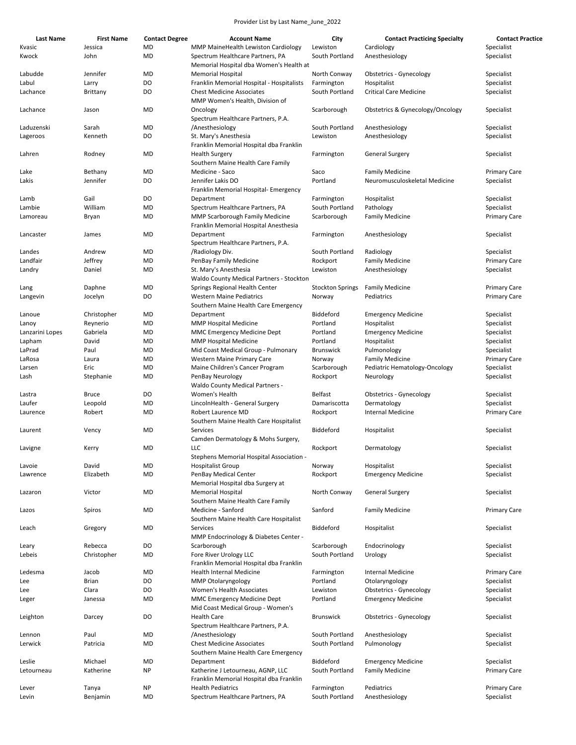| Last Name       | <b>First Name</b> | <b>Contact Degree</b> | <b>Account Name</b>                                                             | City                          | <b>Contact Practicing Specialty</b> | <b>Contact Practice</b>  |
|-----------------|-------------------|-----------------------|---------------------------------------------------------------------------------|-------------------------------|-------------------------------------|--------------------------|
| Kvasic          | Jessica           | MD                    | MMP MaineHealth Lewiston Cardiology                                             | Lewiston                      | Cardiology                          | Specialist               |
| Kwock           | John              | MD                    | Spectrum Healthcare Partners, PA<br>Memorial Hospital dba Women's Health at     | South Portland                | Anesthesiology                      | Specialist               |
| Labudde         | Jennifer          | MD                    | <b>Memorial Hospital</b>                                                        | North Conway                  | Obstetrics - Gynecology             | Specialist               |
| Labul           | Larry             | DO                    | Franklin Memorial Hospital - Hospitalists                                       | Farmington                    | Hospitalist                         | Specialist               |
| Lachance        | Brittany          | DO                    | <b>Chest Medicine Associates</b><br>MMP Women's Health, Division of             | South Portland                | <b>Critical Care Medicine</b>       | Specialist               |
| Lachance        | Jason             | MD                    | Oncology<br>Spectrum Healthcare Partners, P.A.                                  | Scarborough                   | Obstetrics & Gynecology/Oncology    | Specialist               |
| Laduzenski      | Sarah             | MD                    | /Anesthesiology                                                                 | South Portland                | Anesthesiology                      | Specialist               |
| Lageroos        | Kenneth           | DO                    | St. Mary's Anesthesia                                                           | Lewiston                      | Anesthesiology                      | Specialist               |
|                 |                   |                       | Franklin Memorial Hospital dba Franklin                                         |                               |                                     |                          |
| Lahren          | Rodney            | MD                    | <b>Health Surgery</b>                                                           | Farmington                    | <b>General Surgery</b>              | Specialist               |
|                 |                   |                       | Southern Maine Health Care Family                                               |                               |                                     |                          |
| Lake            | Bethany           | MD                    | Medicine - Saco                                                                 | Saco                          | <b>Family Medicine</b>              | <b>Primary Care</b>      |
| Lakis           | Jennifer          | DO                    | Jennifer Lakis DO                                                               | Portland                      | Neuromusculoskeletal Medicine       | Specialist               |
|                 |                   |                       | Franklin Memorial Hospital- Emergency                                           |                               |                                     |                          |
| Lamb            | Gail              | DO                    | Department                                                                      | Farmington                    | Hospitalist                         | Specialist               |
| Lambie          | William           | MD                    | Spectrum Healthcare Partners, PA                                                | South Portland                | Pathology                           | Specialist               |
| Lamoreau        | Bryan             | MD                    | <b>MMP Scarborough Family Medicine</b><br>Franklin Memorial Hospital Anesthesia | Scarborough                   | <b>Family Medicine</b>              | <b>Primary Care</b>      |
| Lancaster       | James             | MD                    | Department<br>Spectrum Healthcare Partners, P.A.                                | Farmington                    | Anesthesiology                      | Specialist               |
| Landes          | Andrew            | MD                    | /Radiology Div.                                                                 | South Portland                | Radiology                           | Specialist               |
| Landfair        | Jeffrey           | MD                    | PenBay Family Medicine                                                          | Rockport                      | <b>Family Medicine</b>              | <b>Primary Care</b>      |
| Landry          | Daniel            | MD                    | St. Mary's Anesthesia                                                           | Lewiston                      | Anesthesiology                      | Specialist               |
|                 |                   |                       | Waldo County Medical Partners - Stockton                                        |                               |                                     |                          |
| Lang            | Daphne            | MD                    | Springs Regional Health Center                                                  | <b>Stockton Springs</b>       | <b>Family Medicine</b>              | <b>Primary Care</b>      |
| Langevin        | Jocelyn           | DO                    | <b>Western Maine Pediatrics</b><br>Southern Maine Health Care Emergency         | Norway                        | Pediatrics                          | <b>Primary Care</b>      |
| Lanoue          | Christopher       | MD                    | Department                                                                      | Biddeford                     | <b>Emergency Medicine</b>           | Specialist               |
| Lanoy           | Reynerio          | MD                    | <b>MMP Hospital Medicine</b>                                                    | Portland                      | Hospitalist                         | Specialist               |
| Lanzarini Lopes | Gabriela          | MD                    | <b>MMC Emergency Medicine Dept</b>                                              | Portland                      | <b>Emergency Medicine</b>           | Specialist               |
| Lapham          | David             | MD                    | <b>MMP Hospital Medicine</b>                                                    | Portland                      | Hospitalist                         | Specialist               |
| LaPrad          | Paul              | MD                    | Mid Coast Medical Group - Pulmonary                                             | <b>Brunswick</b>              | Pulmonology                         | Specialist               |
| LaRosa          | Laura             | MD                    | Western Maine Primary Care                                                      | Norway                        | <b>Family Medicine</b>              | <b>Primary Care</b>      |
| Larsen          | Eric              | MD                    | Maine Children's Cancer Program                                                 | Scarborough                   | Pediatric Hematology-Oncology       | Specialist               |
| Lash            | Stephanie         | MD                    | PenBay Neurology<br><b>Waldo County Medical Partners -</b>                      | Rockport                      | Neurology                           | Specialist               |
| Lastra          | Bruce             | DO                    | Women's Health                                                                  | Belfast                       | <b>Obstetrics - Gynecology</b>      | Specialist               |
| Laufer          | Leopold           | MD                    | LincolnHealth - General Surgery                                                 | Damariscotta                  | Dermatology                         | Specialist               |
| Laurence        | Robert            | MD                    | Robert Laurence MD<br>Southern Maine Health Care Hospitalist                    | Rockport                      | <b>Internal Medicine</b>            | <b>Primary Care</b>      |
| Laurent         | Vency             | MD                    | Services<br>Camden Dermatology & Mohs Surgery,                                  | Biddeford                     | Hospitalist                         | Specialist               |
| Lavigne         | Kerry             | MD                    | LLC<br>Stephens Memorial Hospital Association -                                 | Rockport                      | Dermatology                         | Specialist               |
| Lavoie          | David             | MD                    | <b>Hospitalist Group</b>                                                        | Norway                        | Hospitalist                         | Specialist               |
| Lawrence        | Elizabeth         | MD                    | PenBay Medical Center                                                           | Rockport                      | <b>Emergency Medicine</b>           | Specialist               |
|                 |                   |                       | Memorial Hospital dba Surgery at                                                |                               |                                     |                          |
| Lazaron         | Victor            | MD                    | <b>Memorial Hospital</b><br>Southern Maine Health Care Family                   | North Conway                  | <b>General Surgery</b>              | Specialist               |
| Lazos           | Spiros            | MD                    | Medicine - Sanford<br>Southern Maine Health Care Hospitalist                    | Sanford                       | <b>Family Medicine</b>              | <b>Primary Care</b>      |
| Leach           | Gregory           | MD                    | Services                                                                        | Biddeford                     | Hospitalist                         | Specialist               |
|                 | Rebecca           | DO                    | MMP Endocrinology & Diabetes Center -                                           |                               |                                     |                          |
| Leary<br>Lebeis | Christopher       | MD                    | Scarborough<br>Fore River Urology LLC                                           | Scarborough<br>South Portland | Endocrinology<br>Urology            | Specialist<br>Specialist |
|                 |                   |                       | Franklin Memorial Hospital dba Franklin                                         |                               |                                     |                          |
| Ledesma         | Jacob             | MD                    | <b>Health Internal Medicine</b>                                                 | Farmington                    | <b>Internal Medicine</b>            | <b>Primary Care</b>      |
| Lee             | <b>Brian</b>      | DO                    | <b>MMP Otolaryngology</b>                                                       | Portland                      | Otolaryngology                      | Specialist               |
| Lee             | Clara             | DO                    | Women's Health Associates                                                       | Lewiston                      | <b>Obstetrics - Gynecology</b>      | Specialist               |
| Leger           | Janessa           | MD                    | MMC Emergency Medicine Dept<br>Mid Coast Medical Group - Women's                | Portland                      | <b>Emergency Medicine</b>           | Specialist               |
| Leighton        | Darcey            | DO                    | <b>Health Care</b><br>Spectrum Healthcare Partners, P.A.                        | <b>Brunswick</b>              | <b>Obstetrics - Gynecology</b>      | Specialist               |
| Lennon          | Paul              | MD                    | /Anesthesiology                                                                 | South Portland                | Anesthesiology                      | Specialist               |
| Lerwick         | Patricia          | MD                    | <b>Chest Medicine Associates</b>                                                | South Portland                | Pulmonology                         | Specialist               |
|                 |                   |                       | Southern Maine Health Care Emergency                                            |                               |                                     |                          |
| Leslie          | Michael           | MD                    | Department                                                                      | Biddeford                     | <b>Emergency Medicine</b>           | Specialist               |
| Letourneau      | Katherine         | NP                    | Katherine J Letourneau, AGNP, LLC<br>Franklin Memorial Hospital dba Franklin    | South Portland                | <b>Family Medicine</b>              | <b>Primary Care</b>      |
| Lever           | Tanya             | NP                    | <b>Health Pediatrics</b>                                                        | Farmington                    | Pediatrics                          | <b>Primary Care</b>      |
| Levin           | Benjamin          | MD                    | Spectrum Healthcare Partners, PA                                                | South Portland                | Anesthesiology                      | Specialist               |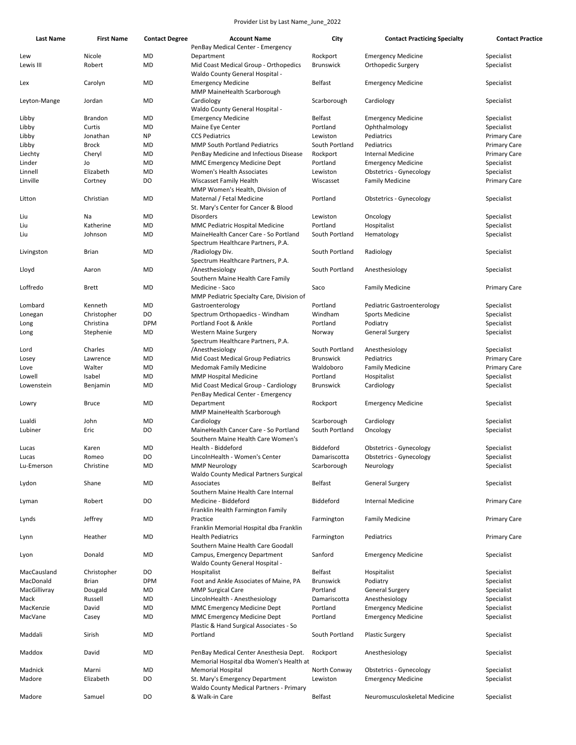| <b>Last Name</b> | <b>First Name</b>      | <b>Contact Degree</b> | <b>Account Name</b>                                                 | City               | <b>Contact Practicing Specialty</b> | <b>Contact Practice</b>  |
|------------------|------------------------|-----------------------|---------------------------------------------------------------------|--------------------|-------------------------------------|--------------------------|
|                  |                        |                       | PenBay Medical Center - Emergency                                   |                    |                                     |                          |
| Lew              | Nicole                 | MD                    | Department                                                          | Rockport           | <b>Emergency Medicine</b>           | Specialist               |
| Lewis III        | Robert                 | MD                    | Mid Coast Medical Group - Orthopedics                               | Brunswick          | Orthopedic Surgery                  | Specialist               |
|                  |                        |                       | Waldo County General Hospital -                                     |                    |                                     |                          |
| Lex              | Carolyn                | MD                    | <b>Emergency Medicine</b>                                           | <b>Belfast</b>     | <b>Emergency Medicine</b>           | Specialist               |
|                  |                        |                       | MMP MaineHealth Scarborough                                         |                    |                                     |                          |
| Leyton-Mange     | Jordan                 | MD                    | Cardiology<br>Waldo County General Hospital -                       | Scarborough        | Cardiology                          | Specialist               |
| Libby            | <b>Brandon</b>         | MD                    | <b>Emergency Medicine</b>                                           | Belfast            | <b>Emergency Medicine</b>           | Specialist               |
| Libby            | Curtis                 | MD                    | Maine Eye Center                                                    | Portland           | Ophthalmology                       | Specialist               |
| Libby            | Jonathan               | NP                    | <b>CCS Pediatrics</b>                                               | Lewiston           | Pediatrics                          | <b>Primary Care</b>      |
| Libby            | <b>Brock</b>           | MD                    | <b>MMP South Portland Pediatrics</b>                                | South Portland     | Pediatrics                          | <b>Primary Care</b>      |
| Liechty          | Cheryl                 | MD                    | PenBay Medicine and Infectious Disease                              | Rockport           | <b>Internal Medicine</b>            | <b>Primary Care</b>      |
| Linder           | Jo                     | MD                    | <b>MMC Emergency Medicine Dept</b>                                  | Portland           | <b>Emergency Medicine</b>           | Specialist               |
| Linnell          | Elizabeth              | MD                    | Women's Health Associates                                           | Lewiston           | <b>Obstetrics - Gynecology</b>      | Specialist               |
| Linville         | Cortney                | DO                    | Wiscasset Family Health                                             | Wiscasset          | <b>Family Medicine</b>              | <b>Primary Care</b>      |
|                  |                        |                       | MMP Women's Health, Division of                                     |                    |                                     |                          |
| Litton           | Christian              | MD                    | Maternal / Fetal Medicine                                           | Portland           | Obstetrics - Gynecology             | Specialist               |
|                  |                        |                       | St. Mary's Center for Cancer & Blood                                |                    |                                     |                          |
| Liu              | Na                     | MD                    | Disorders                                                           | Lewiston           | Oncology                            | Specialist               |
| Liu              | Katherine              | MD                    | MMC Pediatric Hospital Medicine                                     | Portland           | Hospitalist                         | Specialist               |
| Liu              | Johnson                | MD                    | MaineHealth Cancer Care - So Portland                               | South Portland     | Hematology                          | Specialist               |
|                  |                        |                       | Spectrum Healthcare Partners, P.A.                                  |                    |                                     |                          |
| Livingston       | Brian                  | MD                    | /Radiology Div.                                                     | South Portland     | Radiology                           | Specialist               |
|                  |                        |                       | Spectrum Healthcare Partners, P.A.                                  |                    |                                     |                          |
| Lloyd            | Aaron                  | MD                    | /Anesthesiology                                                     | South Portland     | Anesthesiology                      | Specialist               |
|                  |                        |                       | Southern Maine Health Care Family                                   |                    |                                     |                          |
| Loffredo         | <b>Brett</b>           | MD                    | Medicine - Saco                                                     | Saco               | <b>Family Medicine</b>              | <b>Primary Care</b>      |
|                  |                        |                       | MMP Pediatric Specialty Care, Division of                           |                    |                                     |                          |
| Lombard          | Kenneth                | MD                    | Gastroenterology                                                    | Portland           | Pediatric Gastroenterology          | Specialist               |
| Lonegan          | Christopher            | DO<br><b>DPM</b>      | Spectrum Orthopaedics - Windham                                     | Windham            | <b>Sports Medicine</b>              | Specialist               |
| Long             | Christina<br>Stephenie | MD                    | Portland Foot & Ankle<br><b>Western Maine Surgery</b>               | Portland<br>Norway | Podiatry<br>General Surgery         | Specialist<br>Specialist |
| Long             |                        |                       | Spectrum Healthcare Partners, P.A.                                  |                    |                                     |                          |
| Lord             | Charles                | MD                    | /Anesthesiology                                                     | South Portland     | Anesthesiology                      | Specialist               |
| Losey            | Lawrence               | MD                    | Mid Coast Medical Group Pediatrics                                  | <b>Brunswick</b>   | Pediatrics                          | <b>Primary Care</b>      |
| Love             | Walter                 | MD                    | Medomak Family Medicine                                             | Waldoboro          | <b>Family Medicine</b>              | <b>Primary Care</b>      |
| Lowell           | Isabel                 | MD                    | <b>MMP Hospital Medicine</b>                                        | Portland           | Hospitalist                         | Specialist               |
| Lowenstein       | Benjamin               | MD                    | Mid Coast Medical Group - Cardiology                                | <b>Brunswick</b>   | Cardiology                          | Specialist               |
|                  |                        |                       | PenBay Medical Center - Emergency                                   |                    |                                     |                          |
| Lowry            | <b>Bruce</b>           | MD                    | Department                                                          | Rockport           | <b>Emergency Medicine</b>           | Specialist               |
|                  |                        |                       | MMP MaineHealth Scarborough                                         |                    |                                     |                          |
| Lualdi           | John                   | MD                    | Cardiology                                                          | Scarborough        | Cardiology                          | Specialist               |
| Lubiner          | Eric                   | DO                    | MaineHealth Cancer Care - So Portland                               | South Portland     | Oncology                            | Specialist               |
|                  |                        |                       | Southern Maine Health Care Women's                                  |                    |                                     |                          |
| Lucas            | Karen                  | MD                    | Health - Biddeford                                                  | Biddeford          | <b>Obstetrics - Gynecology</b>      | Specialist               |
| Lucas            | Romeo                  | DO                    | LincolnHealth - Women's Center                                      | Damariscotta       | <b>Obstetrics - Gynecology</b>      | Specialist               |
| Lu-Emerson       | Christine              | MD                    | <b>MMP Neurology</b>                                                | Scarborough        | Neurology                           | Specialist               |
|                  |                        |                       | <b>Waldo County Medical Partners Surgical</b>                       |                    |                                     |                          |
| Lydon            | Shane                  | MD                    | Associates                                                          | <b>Belfast</b>     | <b>General Surgery</b>              | Specialist               |
|                  |                        |                       | Southern Maine Health Care Internal                                 |                    |                                     |                          |
| Lyman            | Robert                 | DO                    | Medicine - Biddeford                                                | Biddeford          | <b>Internal Medicine</b>            | <b>Primary Care</b>      |
|                  |                        |                       | Franklin Health Farmington Family<br>Practice                       |                    |                                     |                          |
| Lynds            | Jeffrey                | MD                    |                                                                     | Farmington         | <b>Family Medicine</b>              | <b>Primary Care</b>      |
|                  | Heather                | MD                    | Franklin Memorial Hospital dba Franklin<br><b>Health Pediatrics</b> | Farmington         | Pediatrics                          | <b>Primary Care</b>      |
| Lynn             |                        |                       | Southern Maine Health Care Goodall                                  |                    |                                     |                          |
| Lyon             | Donald                 | MD                    | Campus, Emergency Department                                        | Sanford            | <b>Emergency Medicine</b>           | Specialist               |
|                  |                        |                       | Waldo County General Hospital -                                     |                    |                                     |                          |
| MacCausland      | Christopher            | DO                    | Hospitalist                                                         | Belfast            | Hospitalist                         | Specialist               |
| MacDonald        | <b>Brian</b>           | <b>DPM</b>            | Foot and Ankle Associates of Maine, PA                              | <b>Brunswick</b>   | Podiatry                            | Specialist               |
| MacGillivray     | Dougald                | MD                    | <b>MMP Surgical Care</b>                                            | Portland           | <b>General Surgery</b>              | Specialist               |
| Mack             | Russell                | MD                    | LincolnHealth - Anesthesiology                                      | Damariscotta       | Anesthesiology                      | Specialist               |
| MacKenzie        | David                  | MD                    | MMC Emergency Medicine Dept                                         | Portland           | <b>Emergency Medicine</b>           | Specialist               |
| MacVane          | Casey                  | MD                    | <b>MMC Emergency Medicine Dept</b>                                  | Portland           | <b>Emergency Medicine</b>           | Specialist               |
|                  |                        |                       | Plastic & Hand Surgical Associates - So                             |                    |                                     |                          |
| Maddali          | Sirish                 | <b>MD</b>             | Portland                                                            | South Portland     | <b>Plastic Surgery</b>              | Specialist               |
|                  |                        |                       |                                                                     |                    |                                     |                          |
| Maddox           | David                  | MD                    | PenBay Medical Center Anesthesia Dept.                              | Rockport           | Anesthesiology                      | Specialist               |
|                  |                        |                       | Memorial Hospital dba Women's Health at                             |                    |                                     |                          |
| Madnick          | Marni                  | MD                    | <b>Memorial Hospital</b>                                            | North Conway       | <b>Obstetrics - Gynecology</b>      | Specialist               |
| Madore           | Elizabeth              | DO                    | St. Mary's Emergency Department                                     | Lewiston           | <b>Emergency Medicine</b>           | Specialist               |
|                  |                        |                       | Waldo County Medical Partners - Primary                             |                    |                                     |                          |
| Madore           | Samuel                 | DO                    | & Walk-in Care                                                      | Belfast            | Neuromusculoskeletal Medicine       | Specialist               |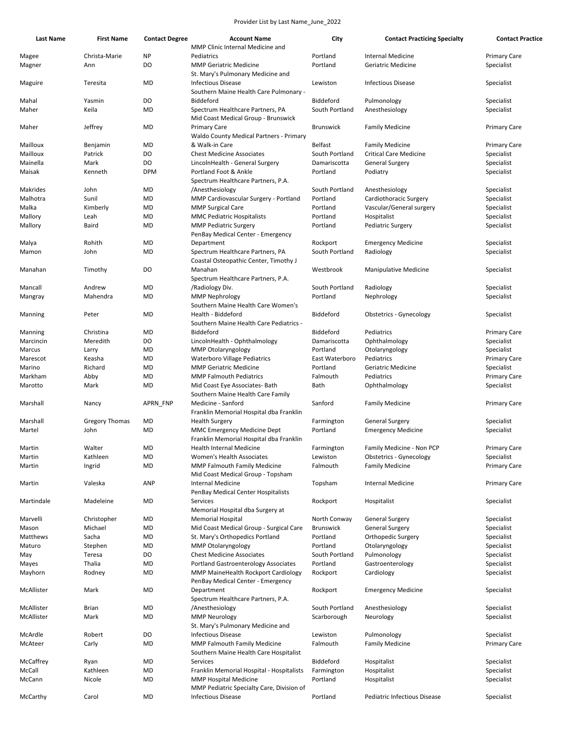| <b>Last Name</b> | <b>First Name</b>     | <b>Contact Degree</b> | <b>Account Name</b>                                                                                      | City                 | <b>Contact Practicing Specialty</b>            | <b>Contact Practice</b>           |
|------------------|-----------------------|-----------------------|----------------------------------------------------------------------------------------------------------|----------------------|------------------------------------------------|-----------------------------------|
|                  |                       |                       | MMP Clinic Internal Medicine and                                                                         |                      |                                                |                                   |
| Magee<br>Magner  | Christa-Marie<br>Ann  | <b>NP</b><br>DO       | Pediatrics<br><b>MMP Geriatric Medicine</b>                                                              | Portland<br>Portland | <b>Internal Medicine</b><br>Geriatric Medicine | <b>Primary Care</b><br>Specialist |
| Maguire          | Teresita              | MD                    | St. Mary's Pulmonary Medicine and<br><b>Infectious Disease</b><br>Southern Maine Health Care Pulmonary - | Lewiston             | <b>Infectious Disease</b>                      | Specialist                        |
| Mahal            | Yasmin                | DO                    | Biddeford                                                                                                | Biddeford            | Pulmonology                                    | Specialist                        |
| Maher            | Keila                 | MD                    | Spectrum Healthcare Partners, PA<br>Mid Coast Medical Group - Brunswick                                  | South Portland       | Anesthesiology                                 | Specialist                        |
| Maher            | Jeffrey               | MD                    | <b>Primary Care</b><br>Waldo County Medical Partners - Primary                                           | <b>Brunswick</b>     | <b>Family Medicine</b>                         | Primary Care                      |
| Mailloux         | Benjamin              | MD                    | & Walk-in Care                                                                                           | Belfast              | <b>Family Medicine</b>                         | <b>Primary Care</b>               |
| Mailloux         | Patrick               | DO                    | <b>Chest Medicine Associates</b>                                                                         | South Portland       | <b>Critical Care Medicine</b>                  | Specialist                        |
| Mainella         | Mark                  | DO                    | LincolnHealth - General Surgery                                                                          | Damariscotta         | <b>General Surgery</b>                         | Specialist                        |
| Maisak           | Kenneth               | <b>DPM</b>            | Portland Foot & Ankle<br>Spectrum Healthcare Partners, P.A.                                              | Portland             | Podiatry                                       | Specialist                        |
| Makrides         | John                  | MD                    | /Anesthesiology                                                                                          | South Portland       | Anesthesiology                                 | Specialist                        |
| Malhotra         | Sunil                 | MD                    | MMP Cardiovascular Surgery - Portland                                                                    | Portland             | Cardiothoracic Surgery                         | Specialist                        |
| Malka            | Kimberly              | MD                    | <b>MMP Surgical Care</b>                                                                                 | Portland             | Vascular/General surgery                       | Specialist                        |
| Mallory          | Leah                  | MD                    | <b>MMC Pediatric Hospitalists</b>                                                                        | Portland             | Hospitalist                                    | Specialist                        |
| Mallory          | Baird                 | MD                    | <b>MMP Pediatric Surgery</b><br>PenBay Medical Center - Emergency                                        | Portland             | Pediatric Surgery                              | Specialist                        |
| Malya            | Rohith                | MD                    | Department                                                                                               | Rockport             | <b>Emergency Medicine</b>                      | Specialist                        |
| Mamon            | John                  | MD                    | Spectrum Healthcare Partners, PA<br>Coastal Osteopathic Center, Timothy J                                | South Portland       | Radiology                                      | Specialist                        |
| Manahan          | Timothy               | DO                    | Manahan<br>Spectrum Healthcare Partners, P.A.                                                            | Westbrook            | Manipulative Medicine                          | Specialist                        |
| Mancall          | Andrew                | MD                    | /Radiology Div.                                                                                          | South Portland       | Radiology                                      | Specialist                        |
| Mangray          | Mahendra              | MD                    | <b>MMP Nephrology</b><br>Southern Maine Health Care Women's                                              | Portland             | Nephrology                                     | Specialist                        |
| Manning          | Peter                 | MD                    | Health - Biddeford<br>Southern Maine Health Care Pediatrics -                                            | Biddeford            | <b>Obstetrics - Gynecology</b>                 | Specialist                        |
| Manning          | Christina             | MD                    | Biddeford                                                                                                | Biddeford            | Pediatrics                                     | <b>Primary Care</b>               |
| Marcincin        | Meredith              | DO                    | LincolnHealth - Ophthalmology                                                                            | Damariscotta         | Ophthalmology                                  | Specialist                        |
| Marcus           | Larry                 | MD                    | MMP Otolaryngology                                                                                       | Portland             | Otolaryngology                                 | Specialist                        |
| Marescot         | Keasha                | MD                    | <b>Waterboro Village Pediatrics</b>                                                                      | East Waterboro       | Pediatrics                                     | <b>Primary Care</b>               |
| Marino           | Richard               | MD                    | <b>MMP Geriatric Medicine</b>                                                                            | Portland             | Geriatric Medicine                             | Specialist                        |
| Markham          | Abby                  | MD                    | <b>MMP Falmouth Pediatrics</b>                                                                           | Falmouth             | Pediatrics                                     | <b>Primary Care</b>               |
| Marotto          | Mark                  | MD                    | Mid Coast Eye Associates- Bath<br>Southern Maine Health Care Family                                      | Bath                 | Ophthalmology                                  | Specialist                        |
| Marshall         | Nancy                 | APRN FNP              | Medicine - Sanford<br>Franklin Memorial Hospital dba Franklin                                            | Sanford              | <b>Family Medicine</b>                         | <b>Primary Care</b>               |
| Marshall         | <b>Gregory Thomas</b> | MD                    | <b>Health Surgery</b>                                                                                    | Farmington           | <b>General Surgery</b>                         | Specialist                        |
| Martel           | John                  | MD                    | <b>MMC Emergency Medicine Dept</b><br>Franklin Memorial Hospital dba Franklin                            | Portland             | <b>Emergency Medicine</b>                      | Specialist                        |
| Martin           | Walter                | MD                    | Health Internal Medicine                                                                                 | Farmington           | Family Medicine - Non PCP                      | <b>Primary Care</b>               |
| Martin           | Kathleen              | MD                    | Women's Health Associates                                                                                | Lewiston             | Obstetrics - Gynecology                        | Specialist                        |
| Martin           | Ingrid                | MD                    | <b>MMP Falmouth Family Medicine</b><br>Mid Coast Medical Group - Topsham                                 | Falmouth             | <b>Family Medicine</b>                         | <b>Primary Care</b>               |
| Martin           | Valeska               | ANP                   | Internal Medicine<br>PenBay Medical Center Hospitalists                                                  | Topsham              | <b>Internal Medicine</b>                       | <b>Primary Care</b>               |
| Martindale       | Madeleine             | MD                    | Services<br>Memorial Hospital dba Surgery at                                                             | Rockport             | Hospitalist                                    | Specialist                        |
| Marvelli         | Christopher           | MD                    | <b>Memorial Hospital</b>                                                                                 | North Conway         | <b>General Surgery</b>                         | Specialist                        |
| Mason            | Michael               | MD                    | Mid Coast Medical Group - Surgical Care                                                                  | <b>Brunswick</b>     | <b>General Surgery</b>                         | Specialist                        |
| Matthews         | Sacha                 | MD                    | St. Mary's Orthopedics Portland                                                                          | Portland             | Orthopedic Surgery                             | Specialist                        |
| Maturo           | Stephen               | MD                    | <b>MMP Otolaryngology</b>                                                                                | Portland             | Otolaryngology                                 | Specialist                        |
| May              | Teresa                | DO                    | <b>Chest Medicine Associates</b>                                                                         | South Portland       | Pulmonology                                    | Specialist                        |
| Mayes            | Thalia                | MD                    | <b>Portland Gastroenterology Associates</b>                                                              | Portland             | Gastroenterology                               | Specialist                        |
| Mayhorn          | Rodney                | MD                    | MMP MaineHealth Rockport Cardiology<br>PenBay Medical Center - Emergency                                 | Rockport             | Cardiology                                     | Specialist                        |
| McAllister       | Mark                  | MD                    | Department<br>Spectrum Healthcare Partners, P.A.                                                         | Rockport             | <b>Emergency Medicine</b>                      | Specialist                        |
| McAllister       | <b>Brian</b>          | MD                    | /Anesthesiology                                                                                          | South Portland       | Anesthesiology                                 | Specialist                        |
| McAllister       | Mark                  | MD                    | <b>MMP Neurology</b>                                                                                     | Scarborough          | Neurology                                      | Specialist                        |
|                  |                       |                       | St. Mary's Pulmonary Medicine and                                                                        |                      |                                                |                                   |
| McArdle          | Robert                | DO                    | <b>Infectious Disease</b>                                                                                | Lewiston             | Pulmonology                                    | Specialist                        |
| McAteer          | Carly                 | MD                    | <b>MMP Falmouth Family Medicine</b>                                                                      | Falmouth             | <b>Family Medicine</b>                         | Primary Care                      |
| McCaffrey        | Ryan                  | MD                    | Southern Maine Health Care Hospitalist<br>Services                                                       | Biddeford            | Hospitalist                                    | Specialist                        |
| McCall           | Kathleen              | MD                    | Franklin Memorial Hospital - Hospitalists                                                                | Farmington           | Hospitalist                                    | Specialist                        |
| McCann           | Nicole                | MD                    | <b>MMP Hospital Medicine</b>                                                                             | Portland             | Hospitalist                                    | Specialist                        |
| McCarthy         | Carol                 | MD                    | MMP Pediatric Specialty Care, Division of<br><b>Infectious Disease</b>                                   | Portland             | Pediatric Infectious Disease                   | Specialist                        |
|                  |                       |                       |                                                                                                          |                      |                                                |                                   |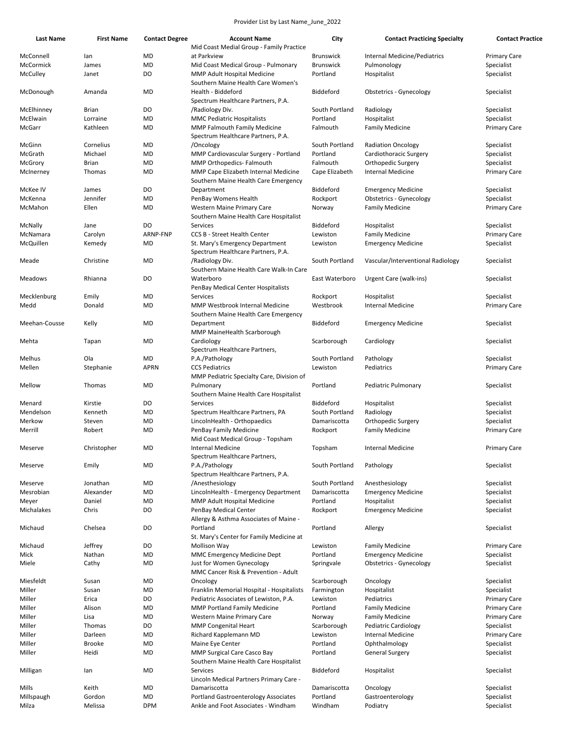| Last Name     | <b>First Name</b> | <b>Contact Degree</b> | <b>Account Name</b>                                                          | City             | <b>Contact Practicing Specialty</b> | <b>Contact Practice</b> |
|---------------|-------------------|-----------------------|------------------------------------------------------------------------------|------------------|-------------------------------------|-------------------------|
| McConnell     | lan               | MD                    | Mid Coast Medial Group - Family Practice<br>at Parkview                      | <b>Brunswick</b> | Internal Medicine/Pediatrics        | <b>Primary Care</b>     |
| McCormick     | James             | MD                    | Mid Coast Medical Group - Pulmonary                                          | <b>Brunswick</b> | Pulmonology                         | Specialist              |
| McCulley      | Janet             | DO                    | MMP Adult Hospital Medicine<br>Southern Maine Health Care Women's            | Portland         | Hospitalist                         | Specialist              |
| McDonough     | Amanda            | MD                    | Health - Biddeford<br>Spectrum Healthcare Partners, P.A.                     | Biddeford        | <b>Obstetrics - Gynecology</b>      | Specialist              |
| McElhinney    | Brian             | DO                    | /Radiology Div.                                                              | South Portland   | Radiology                           | Specialist              |
| McElwain      | Lorraine          | MD                    | <b>MMC Pediatric Hospitalists</b>                                            | Portland         | Hospitalist                         | Specialist              |
| McGarr        | Kathleen          | MD                    | <b>MMP Falmouth Family Medicine</b>                                          | Falmouth         | <b>Family Medicine</b>              | <b>Primary Care</b>     |
| McGinn        | Cornelius         | MD                    | Spectrum Healthcare Partners, P.A.<br>/Oncology                              | South Portland   | <b>Radiation Oncology</b>           | Specialist              |
| McGrath       | Michael           | MD                    | MMP Cardiovascular Surgery - Portland                                        | Portland         | Cardiothoracic Surgery              | Specialist              |
| McGrory       | <b>Brian</b>      | MD                    | MMP Orthopedics- Falmouth                                                    | Falmouth         | Orthopedic Surgery                  | Specialist              |
| McInerney     | Thomas            | MD                    | MMP Cape Elizabeth Internal Medicine<br>Southern Maine Health Care Emergency | Cape Elizabeth   | <b>Internal Medicine</b>            | Primary Care            |
| McKee IV      | James             | DO                    | Department                                                                   | Biddeford        | <b>Emergency Medicine</b>           | Specialist              |
| McKenna       | Jennifer          | MD                    | PenBay Womens Health                                                         | Rockport         | <b>Obstetrics - Gynecology</b>      | Specialist              |
| McMahon       | Ellen             | MD                    | Western Maine Primary Care                                                   |                  | <b>Family Medicine</b>              |                         |
|               |                   |                       | Southern Maine Health Care Hospitalist                                       | Norway           |                                     | <b>Primary Care</b>     |
| McNally       | Jane              | DO                    | Services                                                                     | Biddeford        | Hospitalist                         | Specialist              |
| McNamara      | Carolyn           | ARNP-FNP              | <b>CCS B - Street Health Center</b>                                          | Lewiston         | <b>Family Medicine</b>              | <b>Primary Care</b>     |
| McQuillen     | Kemedy            | MD                    | St. Mary's Emergency Department<br>Spectrum Healthcare Partners, P.A.        | Lewiston         | <b>Emergency Medicine</b>           | Specialist              |
| Meade         | Christine         | MD                    | /Radiology Div.<br>Southern Maine Health Care Walk-In Care                   | South Portland   | Vascular/Interventional Radiology   | Specialist              |
| Meadows       | Rhianna           | DO                    | Waterboro<br>PenBay Medical Center Hospitalists                              | East Waterboro   | Urgent Care (walk-ins)              | Specialist              |
| Mecklenburg   | Emily             | MD                    | Services                                                                     | Rockport         | Hospitalist                         | Specialist              |
|               |                   |                       |                                                                              |                  |                                     |                         |
| Medd          | Donald            | MD                    | MMP Westbrook Internal Medicine<br>Southern Maine Health Care Emergency      | Westbrook        | <b>Internal Medicine</b>            | Primary Care            |
| Meehan-Cousse | Kelly             | MD                    | Department<br>MMP MaineHealth Scarborough                                    | Biddeford        | <b>Emergency Medicine</b>           | Specialist              |
| Mehta         | Tapan             | MD                    | Cardiology<br>Spectrum Healthcare Partners,                                  | Scarborough      | Cardiology                          | Specialist              |
| Melhus        | Ola               | MD                    | P.A./Pathology                                                               | South Portland   | Pathology                           | Specialist              |
| Mellen        | Stephanie         | <b>APRN</b>           | <b>CCS Pediatrics</b>                                                        | Lewiston         | Pediatrics                          | Primary Care            |
|               |                   |                       | MMP Pediatric Specialty Care, Division of                                    |                  |                                     |                         |
| Mellow        | Thomas            | MD                    | Pulmonary<br>Southern Maine Health Care Hospitalist                          | Portland         | Pediatric Pulmonary                 | Specialist              |
| Menard        | Kirstie           | DO                    | Services                                                                     | Biddeford        | Hospitalist                         | Specialist              |
| Mendelson     | Kenneth           | MD                    | Spectrum Healthcare Partners, PA                                             | South Portland   | Radiology                           | Specialist              |
| Merkow        | Steven            | MD                    | LincolnHealth - Orthopaedics                                                 | Damariscotta     | Orthopedic Surgery                  | Specialist              |
| Merrill       | Robert            | MD                    | PenBay Family Medicine<br>Mid Coast Medical Group - Topsham                  | Rockport         | <b>Family Medicine</b>              | Primary Care            |
| Meserve       | Christopher       | MD                    | <b>Internal Medicine</b>                                                     | Topsham          | <b>Internal Medicine</b>            | <b>Primary Care</b>     |
| Meserve       | Emily             | MD                    | Spectrum Healthcare Partners,<br>P.A./Pathology                              | South Portland   | Pathology                           | Specialist              |
| Meserve       | Jonathan          | MD                    | Spectrum Healthcare Partners, P.A.<br>/Anesthesiology                        | South Portland   | Anesthesiology                      | Specialist              |
| Mesrobian     | Alexander         | MD                    | LincolnHealth - Emergency Department                                         | Damariscotta     |                                     | Specialist              |
|               |                   |                       |                                                                              |                  | <b>Emergency Medicine</b>           |                         |
| Meyer         | Daniel            | MD                    | MMP Adult Hospital Medicine<br>PenBay Medical Center                         | Portland         | Hospitalist                         | Specialist              |
| Michalakes    | Chris             | DO                    | Allergy & Asthma Associates of Maine -                                       | Rockport         | <b>Emergency Medicine</b>           | Specialist              |
| Michaud       | Chelsea           | DO                    | Portland<br>St. Mary's Center for Family Medicine at                         | Portland         | Allergy                             | Specialist              |
| Michaud       | Jeffrey           | DO                    | <b>Mollison Way</b>                                                          | Lewiston         | <b>Family Medicine</b>              | Primary Care            |
| Mick          | Nathan            | MD                    | MMC Emergency Medicine Dept                                                  | Portland         | <b>Emergency Medicine</b>           | Specialist              |
| Miele         | Cathy             | MD                    | Just for Women Gynecology<br>MMC Cancer Risk & Prevention - Adult            | Springvale       | <b>Obstetrics - Gynecology</b>      | Specialist              |
| Miesfeldt     | Susan             | MD                    | Oncology                                                                     | Scarborough      | Oncology                            | Specialist              |
| Miller        | Susan             | MD                    | Franklin Memorial Hospital - Hospitalists                                    | Farmington       | Hospitalist                         | Specialist              |
| Miller        | Erica             | DO                    | Pediatric Associates of Lewiston, P.A.                                       | Lewiston         | Pediatrics                          | <b>Primary Care</b>     |
| Miller        | Alison            | MD                    | <b>MMP Portland Family Medicine</b>                                          | Portland         | <b>Family Medicine</b>              | Primary Care            |
| Miller        | Lisa              | MD                    | Western Maine Primary Care                                                   | Norway           | <b>Family Medicine</b>              | Primary Care            |
| Miller        | Thomas            | DO                    | <b>MMP Congenital Heart</b>                                                  | Scarborough      | <b>Pediatric Cardiology</b>         | Specialist              |
| Miller        | Darleen           | MD                    | Richard Kapplemann MD                                                        | Lewiston         | <b>Internal Medicine</b>            | <b>Primary Care</b>     |
| Miller        | <b>Brooke</b>     | MD                    | Maine Eye Center                                                             | Portland         | Ophthalmology                       | Specialist              |
| Miller        | Heidi             | MD                    | MMP Surgical Care Casco Bay                                                  | Portland         | <b>General Surgery</b>              | Specialist              |
|               |                   |                       | Southern Maine Health Care Hospitalist                                       |                  |                                     |                         |
| Milligan      | lan               | MD                    | Services<br>Lincoln Medical Partners Primary Care -                          | Biddeford        | Hospitalist                         | Specialist              |
| Mills         | Keith             | MD                    | Damariscotta                                                                 | Damariscotta     | Oncology                            | Specialist              |
| Millspaugh    | Gordon            | MD                    | Portland Gastroenterology Associates                                         | Portland         | Gastroenterology                    | Specialist              |
| Milza         | Melissa           | <b>DPM</b>            | Ankle and Foot Associates - Windham                                          | Windham          | Podiatry                            | Specialist              |
|               |                   |                       |                                                                              |                  |                                     |                         |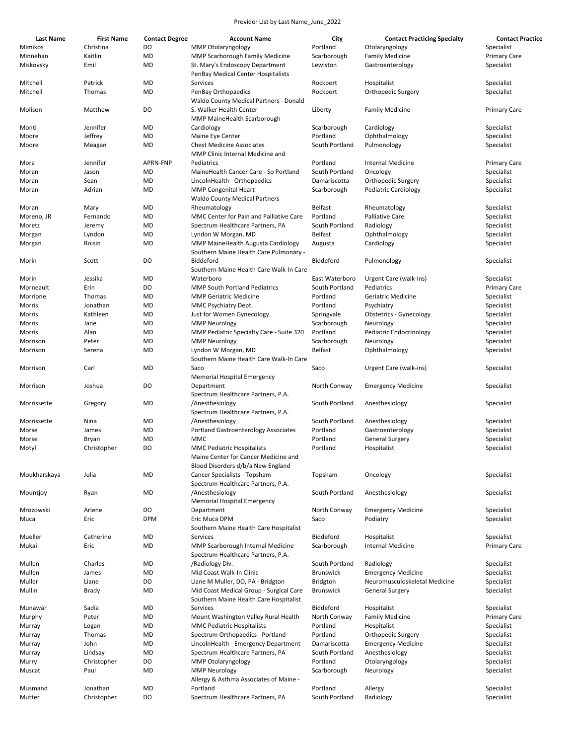| <b>Last Name</b> | <b>First Name</b> | <b>Contact Degree</b> | <b>Account Name</b>                                                                                            | City             | <b>Contact Practicing Specialty</b> | <b>Contact Practice</b> |
|------------------|-------------------|-----------------------|----------------------------------------------------------------------------------------------------------------|------------------|-------------------------------------|-------------------------|
| Mimikos          | Christina         | DO                    | <b>MMP Otolaryngology</b>                                                                                      | Portland         | Otolaryngology                      | Specialist              |
| Minnehan         | Kaitlin           | MD                    | <b>MMP Scarborough Family Medicine</b>                                                                         | Scarborough      | <b>Family Medicine</b>              | <b>Primary Care</b>     |
| Miskovsky        | Emil              | MD                    | St. Mary's Endoscopy Department<br>PenBay Medical Center Hospitalists                                          | Lewiston         | Gastroenterology                    | Specialist              |
| Mitchell         | Patrick           | <b>MD</b>             | Services                                                                                                       | Rockport         | Hospitalist                         | Specialist              |
| Mitchell         | Thomas            | MD                    | PenBay Orthopaedics<br>Waldo County Medical Partners - Donald                                                  | Rockport         | Orthopedic Surgery                  | Specialist              |
| Molison          | Matthew           | DO                    | S. Walker Health Center<br>MMP MaineHealth Scarborough                                                         | Liberty          | <b>Family Medicine</b>              | <b>Primary Care</b>     |
| Monti            | Jennifer          | MD                    | Cardiology                                                                                                     | Scarborough      | Cardiology                          | Specialist              |
| Moore            | Jeffrey           | MD                    | Maine Eye Center                                                                                               | Portland         | Ophthalmology                       | Specialist              |
| Moore            | Meagan            | MD                    | <b>Chest Medicine Associates</b><br>MMP Clinic Internal Medicine and                                           | South Portland   | Pulmonology                         | Specialist              |
| Mora             | Jennifer          | APRN-FNP              | Pediatrics                                                                                                     | Portland         | Internal Medicine                   | <b>Primary Care</b>     |
| Moran            | Jason             | MD                    | MaineHealth Cancer Care - So Portland                                                                          | South Portland   | Oncology                            | Specialist              |
| Moran            | Sean              | <b>MD</b>             | LincolnHealth - Orthopaedics                                                                                   | Damariscotta     | Orthopedic Surgery                  | Specialist              |
| Moran            | Adrian            | MD                    | <b>MMP Congenital Heart</b><br><b>Waldo County Medical Partners</b>                                            | Scarborough      | <b>Pediatric Cardiology</b>         | Specialist              |
| Moran            | Mary              | MD                    | Rheumatology                                                                                                   | <b>Belfast</b>   | Rheumatology                        | Specialist              |
| Moreno, JR       | Fernando          | MD                    | MMC Center for Pain and Palliative Care                                                                        | Portland         | <b>Palliative Care</b>              | Specialist              |
| Moretz           | Jeremy            | MD                    | Spectrum Healthcare Partners, PA                                                                               | South Portland   | Radiology                           | Specialist              |
| Morgan           | Lyndon            | MD                    | Lyndon W Morgan, MD                                                                                            | Belfast          | Ophthalmology                       | Specialist              |
| Morgan           | Roisin            | MD                    | MMP MaineHealth Augusta Cardiology<br>Southern Maine Health Care Pulmonary -                                   | Augusta          | Cardiology                          | Specialist              |
| Morin            | Scott             | DO                    | Biddeford<br>Southern Maine Health Care Walk-In Care                                                           | Biddeford        | Pulmonology                         | Specialist              |
| Morin            | Jessika           | MD                    | Waterboro                                                                                                      | East Waterboro   | Urgent Care (walk-ins)              | Specialist              |
| Morneault        | Erin              | DO                    | <b>MMP South Portland Pediatrics</b>                                                                           | South Portland   | Pediatrics                          | <b>Primary Care</b>     |
| Morrione         | Thomas            | MD                    | <b>MMP Geriatric Medicine</b>                                                                                  | Portland         | Geriatric Medicine                  | Specialist              |
| Morris           | Jonathan          | MD                    | MMC Psychiatry Dept.                                                                                           | Portland         | Psychiatry                          | Specialist              |
| Morris           | Kathleen          | MD                    | Just for Women Gynecology                                                                                      | Springvale       | Obstetrics - Gynecology             | Specialist              |
| Morris           | Jane              | MD                    | <b>MMP Neurology</b>                                                                                           | Scarborough      | Neurology                           | Specialist              |
| Morris           | Alan              | MD                    | MMP Pediatric Specialty Care - Suite 320                                                                       | Portland         | Pediatric Endocrinology             | Specialist              |
| Morrison         | Peter             | MD                    | <b>MMP Neurology</b>                                                                                           | Scarborough      | Neurology                           | Specialist              |
| Morrison         | Serena            | MD                    | Lyndon W Morgan, MD<br>Southern Maine Health Care Walk-In Care                                                 | Belfast          | Ophthalmology                       | Specialist              |
| Morrison         | Carl              | <b>MD</b>             | Saco<br>Memorial Hospital Emergency                                                                            | Saco             | Urgent Care (walk-ins)              | Specialist              |
| Morrison         | Joshua            | DO                    | Department<br>Spectrum Healthcare Partners, P.A.                                                               | North Conway     | <b>Emergency Medicine</b>           | Specialist              |
| Morrissette      | Gregory           | MD                    | /Anesthesiology<br>Spectrum Healthcare Partners, P.A.                                                          | South Portland   | Anesthesiology                      | Specialist              |
| Morrissette      | Nina              | MD                    | /Anesthesiology                                                                                                | South Portland   | Anesthesiology                      | Specialist              |
| Morse            | James             | MD                    | <b>Portland Gastroenterology Associates</b>                                                                    | Portland         | Gastroenterology                    | Specialist              |
| Morse            | Bryan             | <b>MD</b>             | MMC                                                                                                            | Portland         | <b>General Surgery</b>              | Specialist              |
| Motyl            | Christopher       | DO                    | <b>MMC Pediatric Hospitalists</b><br>Maine Center for Cancer Medicine and<br>Blood Disorders d/b/a New England | Portland         | Hospitalist                         | Specialist              |
| Moukharskaya     | Julia             | MD                    | Cancer Specialists - Topsham<br>Spectrum Healthcare Partners, P.A.                                             | Topsham          | Oncology                            | Specialist              |
| Mountjoy         | Ryan              | MD                    | /Anesthesiology<br><b>Memorial Hospital Emergency</b>                                                          | South Portland   | Anesthesiology                      | Specialist              |
| Mrozowski        | Arlene            | DO                    | Department                                                                                                     | North Conway     | <b>Emergency Medicine</b>           | Specialist              |
| Muca             | Eric              | <b>DPM</b>            | Eric Muca DPM<br>Southern Maine Health Care Hospitalist                                                        | Saco             | Podiatry                            | Specialist              |
| Mueller          | Catherine         | MD                    | Services                                                                                                       | Biddeford        | Hospitalist                         | Specialist              |
| Mukai            | Eric              | MD                    | MMP Scarborough Internal Medicine<br>Spectrum Healthcare Partners, P.A.                                        | Scarborough      | <b>Internal Medicine</b>            | <b>Primary Care</b>     |
| Mullen           | Charles           | MD                    | /Radiology Div.                                                                                                | South Portland   | Radiology                           | Specialist              |
| Mullen           | James             | MD                    | Mid Coast Walk-In Clinic                                                                                       | <b>Brunswick</b> | <b>Emergency Medicine</b>           | Specialist              |
| Muller           | Liane             | DO                    | Liane M Muller, DO, PA - Bridgton                                                                              | Bridgton         | Neuromusculoskeletal Medicine       | Specialist              |
| Mullin           | Brady             | MD                    | Mid Coast Medical Group - Surgical Care<br>Southern Maine Health Care Hospitalist                              | <b>Brunswick</b> | <b>General Surgery</b>              | Specialist              |
| Munawar          | Sadia             | MD                    | Services                                                                                                       | Biddeford        | Hospitalist                         | Specialist              |
| Murphy           | Peter             | MD                    | Mount Washington Valley Rural Health                                                                           | North Conway     | <b>Family Medicine</b>              | <b>Primary Care</b>     |
| Murray           | Logan             | MD                    | <b>MMC Pediatric Hospitalists</b>                                                                              | Portland         | Hospitalist                         | Specialist              |
| Murray           | Thomas            | MD                    | Spectrum Orthopaedics - Portland                                                                               | Portland         | Orthopedic Surgery                  | Specialist              |
| Murray           | John              | MD                    | LincolnHealth - Emergency Department                                                                           | Damariscotta     | <b>Emergency Medicine</b>           | Specialist              |
| Murray           | Lindsay           | MD                    | Spectrum Healthcare Partners, PA                                                                               | South Portland   | Anesthesiology                      | Specialist              |
| Murry            | Christopher       | DO                    | MMP Otolaryngology                                                                                             | Portland         | Otolaryngology                      | Specialist              |
| Muscat           | Paul              | MD                    | <b>MMP Neurology</b><br>Allergy & Asthma Associates of Maine -                                                 | Scarborough      | Neurology                           | Specialist              |
| Musmand          | Jonathan          | MD                    | Portland                                                                                                       | Portland         | Allergy                             | Specialist              |
| Mutter           | Christopher       | DO                    | Spectrum Healthcare Partners, PA                                                                               | South Portland   | Radiology                           | Specialist              |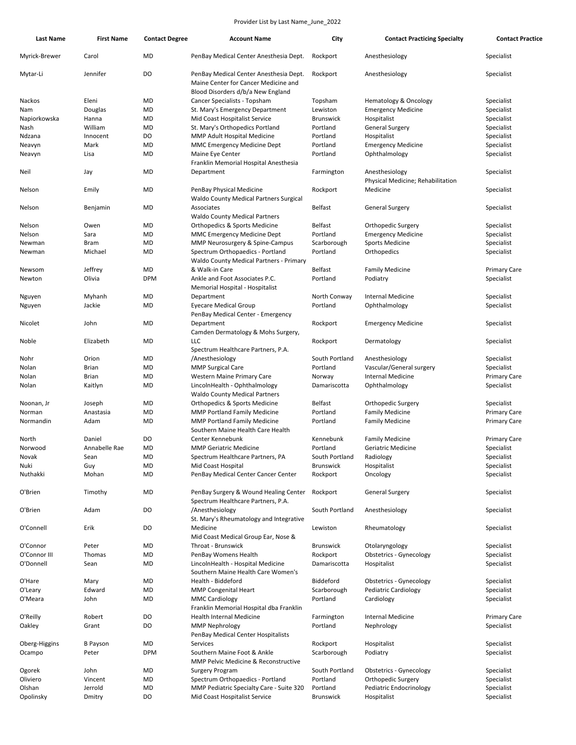| Last Name                 | <b>First Name</b> | <b>Contact Degree</b> | <b>Account Name</b>                                                                                                 | City                     | <b>Contact Practicing Specialty</b>              | <b>Contact Practice</b>  |
|---------------------------|-------------------|-----------------------|---------------------------------------------------------------------------------------------------------------------|--------------------------|--------------------------------------------------|--------------------------|
| Myrick-Brewer             | Carol             | MD                    | PenBay Medical Center Anesthesia Dept.                                                                              | Rockport                 | Anesthesiology                                   | Specialist               |
| Mytar-Li                  | Jennifer          | DO                    | PenBay Medical Center Anesthesia Dept.<br>Maine Center for Cancer Medicine and<br>Blood Disorders d/b/a New England | Rockport                 | Anesthesiology                                   | Specialist               |
|                           |                   |                       |                                                                                                                     |                          |                                                  |                          |
| Nackos                    | Eleni             | MD                    | Cancer Specialists - Topsham                                                                                        | Topsham                  | <b>Hematology &amp; Oncology</b>                 | Specialist               |
| Nam                       | Douglas           | MD                    | St. Mary's Emergency Department                                                                                     | Lewiston                 | <b>Emergency Medicine</b>                        | Specialist               |
| Napiorkowska              | Hanna             | MD                    | Mid Coast Hospitalist Service                                                                                       | <b>Brunswick</b>         | Hospitalist                                      | Specialist               |
| Nash                      | William           | MD                    | St. Mary's Orthopedics Portland                                                                                     | Portland                 | <b>General Surgery</b>                           | Specialist               |
| Ndzana                    | Innocent          | DO                    | MMP Adult Hospital Medicine                                                                                         | Portland                 | Hospitalist                                      | Specialist               |
| Neavyn                    | Mark              | MD                    | <b>MMC Emergency Medicine Dept</b>                                                                                  | Portland                 | <b>Emergency Medicine</b>                        | Specialist               |
| Neavyn                    | Lisa              | MD                    | Maine Eye Center                                                                                                    | Portland                 | Ophthalmology                                    | Specialist               |
| Neil                      | Jay               | MD                    | Franklin Memorial Hospital Anesthesia<br>Department                                                                 | Farmington               | Anesthesiology                                   | Specialist               |
| Nelson                    | Emily             | MD                    | PenBay Physical Medicine                                                                                            | Rockport                 | Physical Medicine; Rehabilitation<br>Medicine    | Specialist               |
| Nelson                    | Benjamin          | MD                    | <b>Waldo County Medical Partners Surgical</b><br>Associates                                                         | Belfast                  | General Surgery                                  | Specialist               |
|                           |                   |                       | <b>Waldo County Medical Partners</b>                                                                                |                          |                                                  |                          |
| Nelson                    | Owen              | MD                    | Orthopedics & Sports Medicine                                                                                       | Belfast                  | Orthopedic Surgery                               | Specialist               |
| Nelson                    | Sara              | MD                    | <b>MMC Emergency Medicine Dept</b>                                                                                  | Portland                 | <b>Emergency Medicine</b>                        | Specialist               |
| Newman                    | Bram              | MD                    | MMP Neurosurgery & Spine-Campus                                                                                     | Scarborough              | <b>Sports Medicine</b>                           | Specialist               |
| Newman                    | Michael           | MD                    | Spectrum Orthopaedics - Portland<br>Waldo County Medical Partners - Primary                                         | Portland                 | Orthopedics                                      | Specialist               |
| Newsom                    | Jeffrey           | MD                    | & Walk-in Care                                                                                                      | Belfast                  | <b>Family Medicine</b>                           | <b>Primary Care</b>      |
| Newton                    | Olivia            | <b>DPM</b>            | Ankle and Foot Associates P.C.<br>Memorial Hospital - Hospitalist                                                   | Portland                 | Podiatry                                         | Specialist               |
| Nguyen                    | Myhanh            | MD                    | Department                                                                                                          | North Conway             | <b>Internal Medicine</b>                         | Specialist               |
| Nguyen                    | Jackie            | MD                    | Eyecare Medical Group<br>PenBay Medical Center - Emergency                                                          | Portland                 | Ophthalmology                                    | Specialist               |
| Nicolet                   | John              | MD                    | Department<br>Camden Dermatology & Mohs Surgery,                                                                    | Rockport                 | <b>Emergency Medicine</b>                        | Specialist               |
| Noble                     | Elizabeth         | MD                    | LLC<br>Spectrum Healthcare Partners, P.A.                                                                           | Rockport                 | Dermatology                                      | Specialist               |
| Nohr                      | Orion             | MD                    | /Anesthesiology                                                                                                     | South Portland           | Anesthesiology                                   | Specialist               |
| Nolan                     | Brian             | MD                    | <b>MMP Surgical Care</b>                                                                                            | Portland                 | Vascular/General surgery                         | Specialist               |
| Nolan                     | <b>Brian</b>      | MD                    | Western Maine Primary Care                                                                                          | Norway                   | <b>Internal Medicine</b>                         | Primary Care             |
| Nolan                     | Kaitlyn           | MD                    | LincolnHealth - Ophthalmology<br><b>Waldo County Medical Partners</b>                                               | Damariscotta             | Ophthalmology                                    | Specialist               |
| Noonan, Jr                | Joseph            | MD                    | Orthopedics & Sports Medicine                                                                                       | Belfast                  | Orthopedic Surgery                               | Specialist               |
| Norman                    | Anastasia         | MD                    | MMP Portland Family Medicine                                                                                        | Portland                 | <b>Family Medicine</b>                           | Primary Care             |
| Normandin                 | Adam              | MD                    | <b>MMP Portland Family Medicine</b>                                                                                 | Portland                 | <b>Family Medicine</b>                           | <b>Primary Care</b>      |
|                           |                   |                       | Southern Maine Health Care Health                                                                                   |                          |                                                  |                          |
| North                     | Daniel            | DO                    | Center Kennebunk                                                                                                    | Kennebunk                | <b>Family Medicine</b>                           | <b>Primary Care</b>      |
| Norwood                   | Annabelle Rae     | MD                    | <b>MMP Geriatric Medicine</b>                                                                                       | Portland                 | Geriatric Medicine                               | Specialist               |
| Novak                     | Sean              | MD                    | Spectrum Healthcare Partners, PA                                                                                    | South Portland           | Radiology                                        | Specialist               |
| Nuki                      | Guy               | MD                    | Mid Coast Hospital                                                                                                  | <b>Brunswick</b>         | Hospitalist                                      | Specialist               |
| Nuthakki                  | Mohan             | MD                    | PenBay Medical Center Cancer Center                                                                                 | Rockport                 | Oncology                                         | Specialist               |
| O'Brien                   | Timothy           | MD                    | PenBay Surgery & Wound Healing Center                                                                               | Rockport                 | <b>General Surgery</b>                           | Specialist               |
| O'Brien                   | Adam              | DO                    | Spectrum Healthcare Partners, P.A.<br>/Anesthesiology                                                               | South Portland           | Anesthesiology                                   | Specialist               |
| O'Connell                 | Erik              | DO                    | St. Mary's Rheumatology and Integrative<br>Medicine                                                                 | Lewiston                 | Rheumatology                                     | Specialist               |
|                           |                   |                       | Mid Coast Medical Group Ear, Nose &                                                                                 |                          |                                                  |                          |
| O'Connor                  | Peter             | MD                    | Throat - Brunswick                                                                                                  | <b>Brunswick</b>         | Otolaryngology<br><b>Obstetrics - Gynecology</b> | Specialist               |
| O'Connor III<br>O'Donnell | Thomas<br>Sean    | MD<br>MD              | PenBay Womens Health<br>LincolnHealth - Hospital Medicine                                                           | Rockport<br>Damariscotta | Hospitalist                                      | Specialist<br>Specialist |
|                           |                   |                       | Southern Maine Health Care Women's                                                                                  |                          |                                                  |                          |
| O'Hare                    | Mary              | MD                    | Health - Biddeford                                                                                                  | Biddeford                | <b>Obstetrics - Gynecology</b>                   | Specialist               |
| O'Leary                   | Edward            | MD                    | <b>MMP Congenital Heart</b>                                                                                         | Scarborough              | Pediatric Cardiology                             | Specialist               |
| O'Meara                   | John              | MD                    | <b>MMC Cardiology</b><br>Franklin Memorial Hospital dba Franklin                                                    | Portland                 | Cardiology                                       | Specialist               |
| O'Reilly                  | Robert            | DO                    | Health Internal Medicine                                                                                            | Farmington               | Internal Medicine                                | Primary Care             |
| Oakley                    | Grant             | DO                    | <b>MMP Nephrology</b><br>PenBay Medical Center Hospitalists                                                         | Portland                 | Nephrology                                       | Specialist               |
| Oberg-Higgins             | <b>B</b> Payson   | MD                    | Services                                                                                                            | Rockport                 | Hospitalist                                      | Specialist               |
| Ocampo                    | Peter             | <b>DPM</b>            | Southern Maine Foot & Ankle<br>MMP Pelvic Medicine & Reconstructive                                                 | Scarborough              | Podiatry                                         | Specialist               |
| Ogorek                    | John              | MD                    | <b>Surgery Program</b>                                                                                              | South Portland           | <b>Obstetrics - Gynecology</b>                   | Specialist               |
| Oliviero                  | Vincent           | MD                    | Spectrum Orthopaedics - Portland                                                                                    | Portland                 | Orthopedic Surgery                               | Specialist               |
| Olshan                    | Jerrold           | MD                    | MMP Pediatric Specialty Care - Suite 320                                                                            | Portland                 | Pediatric Endocrinology                          | Specialist               |
| Opolinsky                 | Dmitry            | DO                    | Mid Coast Hospitalist Service                                                                                       | <b>Brunswick</b>         | Hospitalist                                      | Specialist               |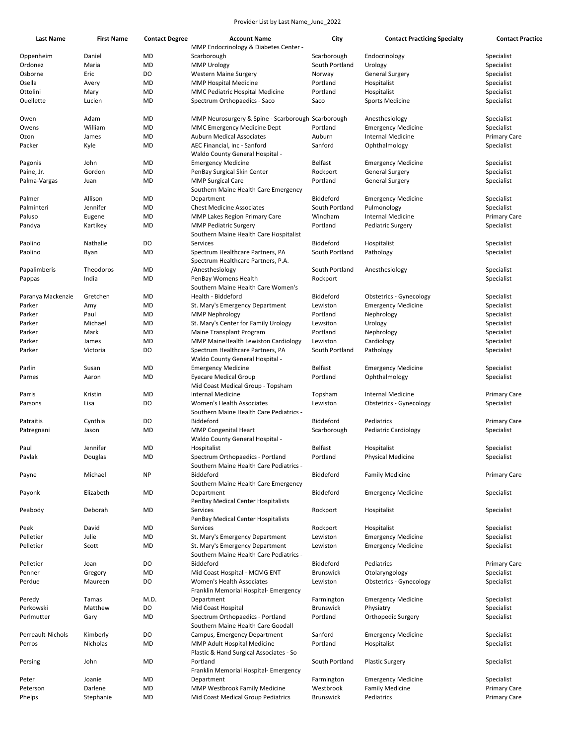| <b>Last Name</b>  | <b>First Name</b> | <b>Contact Degree</b> | <b>Account Name</b>                                | City             | <b>Contact Practicing Specialty</b> | <b>Contact Practice</b> |
|-------------------|-------------------|-----------------------|----------------------------------------------------|------------------|-------------------------------------|-------------------------|
|                   |                   |                       | MMP Endocrinology & Diabetes Center -              |                  |                                     |                         |
| Oppenheim         | Daniel            | MD                    | Scarborough                                        | Scarborough      | Endocrinology                       | Specialist              |
| Ordonez           | Maria             | MD                    | <b>MMP Urology</b>                                 | South Portland   | Urology                             | Specialist              |
| Osborne           | Eric              | DO                    | <b>Western Maine Surgery</b>                       | Norway           | <b>General Surgery</b>              | Specialist              |
| Osella            | Avery             | MD                    | <b>MMP Hospital Medicine</b>                       | Portland         | Hospitalist                         | Specialist              |
| Ottolini          | Mary              | MD                    | MMC Pediatric Hospital Medicine                    | Portland         | Hospitalist                         | Specialist              |
| Ouellette         | Lucien            | MD                    | Spectrum Orthopaedics - Saco                       | Saco             | <b>Sports Medicine</b>              | Specialist              |
| Owen              | Adam              | MD                    | MMP Neurosurgery & Spine - Scarborough Scarborough |                  | Anesthesiology                      | Specialist              |
| Owens             | William           | MD                    | <b>MMC Emergency Medicine Dept</b>                 | Portland         | <b>Emergency Medicine</b>           | Specialist              |
| Ozon              | James             | MD                    | <b>Auburn Medical Associates</b>                   | Auburn           | <b>Internal Medicine</b>            | <b>Primary Care</b>     |
| Packer            | Kyle              | MD                    | AEC Financial, Inc - Sanford                       | Sanford          | Ophthalmology                       | Specialist              |
|                   |                   |                       | Waldo County General Hospital -                    |                  |                                     |                         |
| Pagonis           | John              | MD                    | <b>Emergency Medicine</b>                          | <b>Belfast</b>   | <b>Emergency Medicine</b>           | Specialist              |
| Paine, Jr.        | Gordon            | MD                    | PenBay Surgical Skin Center                        | Rockport         | <b>General Surgery</b>              | Specialist              |
| Palma-Vargas      | Juan              | MD                    | <b>MMP Surgical Care</b>                           | Portland         | <b>General Surgery</b>              | Specialist              |
|                   |                   |                       | Southern Maine Health Care Emergency               |                  |                                     |                         |
| Palmer            | Allison           | MD                    | Department                                         | Biddeford        | <b>Emergency Medicine</b>           | Specialist              |
| Palminteri        | Jennifer          | MD                    | <b>Chest Medicine Associates</b>                   | South Portland   | Pulmonology                         | Specialist              |
| Paluso            | Eugene            | MD                    | MMP Lakes Region Primary Care                      | Windham          | Internal Medicine                   | <b>Primary Care</b>     |
| Pandya            | Kartikey          | MD                    | <b>MMP Pediatric Surgery</b>                       | Portland         | <b>Pediatric Surgery</b>            | Specialist              |
|                   |                   |                       | Southern Maine Health Care Hospitalist             |                  |                                     |                         |
| Paolino           | Nathalie          | DO                    | <b>Services</b>                                    | Biddeford        | Hospitalist                         | Specialist              |
| Paolino           | Ryan              | MD                    | Spectrum Healthcare Partners, PA                   | South Portland   | Pathology                           | Specialist              |
|                   |                   |                       | Spectrum Healthcare Partners, P.A.                 |                  |                                     |                         |
| Papalimberis      | Theodoros         | MD                    | /Anesthesiology                                    | South Portland   | Anesthesiology                      | Specialist              |
| Pappas            | India             | MD                    | PenBay Womens Health                               | Rockport         |                                     | Specialist              |
|                   |                   |                       | Southern Maine Health Care Women's                 |                  |                                     |                         |
| Paranya Mackenzie | Gretchen          | MD                    | Health - Biddeford                                 | Biddeford        | <b>Obstetrics - Gynecology</b>      | Specialist              |
| Parker            | Amy               | MD                    | St. Mary's Emergency Department                    | Lewiston         | <b>Emergency Medicine</b>           | Specialist              |
| Parker            | Paul              | MD                    | <b>MMP Nephrology</b>                              | Portland         | Nephrology                          | Specialist              |
| Parker            | Michael           | MD                    | St. Mary's Center for Family Urology               | Lewsiton         | Urology                             | Specialist              |
| Parker            | Mark              | MD                    | Maine Transplant Program                           | Portland         | Nephrology                          | Specialist              |
| Parker            | James             | MD                    | <b>MMP MaineHealth Lewiston Cardiology</b>         | Lewiston         | Cardiology                          | Specialist              |
| Parker            | Victoria          | DO                    | Spectrum Healthcare Partners, PA                   | South Portland   | Pathology                           | Specialist              |
|                   |                   |                       | Waldo County General Hospital -                    |                  |                                     |                         |
| Parlin            | Susan             | MD                    | <b>Emergency Medicine</b>                          | <b>Belfast</b>   | <b>Emergency Medicine</b>           | Specialist              |
| Parnes            | Aaron             | MD                    | <b>Eyecare Medical Group</b>                       | Portland         | Ophthalmology                       | Specialist              |
|                   |                   |                       | Mid Coast Medical Group - Topsham                  |                  |                                     |                         |
| Parris            | Kristin           | MD                    | <b>Internal Medicine</b>                           | Topsham          | Internal Medicine                   | <b>Primary Care</b>     |
| Parsons           | Lisa              | DO                    | <b>Women's Health Associates</b>                   | Lewiston         | <b>Obstetrics - Gynecology</b>      | Specialist              |
|                   |                   |                       | Southern Maine Health Care Pediatrics -            |                  |                                     |                         |
| Patraitis         | Cynthia           | DO                    | Biddeford                                          | Biddeford        | Pediatrics                          | <b>Primary Care</b>     |
| Patregnani        | Jason             | MD                    | <b>MMP Congenital Heart</b>                        | Scarborough      | Pediatric Cardiology                | Specialist              |
|                   |                   |                       | Waldo County General Hospital -                    |                  |                                     |                         |
| Paul              | Jennifer          | MD                    | Hospitalist                                        | <b>Belfast</b>   | Hospitalist                         | Specialist              |
| Pavlak            | Douglas           | MD                    | Spectrum Orthopaedics - Portland                   | Portland         | Physical Medicine                   | Specialist              |
|                   |                   |                       | Southern Maine Health Care Pediatrics -            |                  |                                     |                         |
| Payne             | Michael           | <b>NP</b>             | Biddeford                                          | Biddeford        | <b>Family Medicine</b>              | <b>Primary Care</b>     |
|                   |                   |                       | Southern Maine Health Care Emergency               |                  |                                     |                         |
| Payonk            | Elizabeth         | MD                    | Department                                         | Biddeford        | <b>Emergency Medicine</b>           | Specialist              |
|                   |                   |                       | PenBay Medical Center Hospitalists                 |                  |                                     |                         |
| Peabody           | Deborah           | MD                    | <b>Services</b>                                    | Rockport         | Hospitalist                         | Specialist              |
|                   |                   |                       | PenBay Medical Center Hospitalists                 |                  |                                     |                         |
| Peek              | David             | MD                    | <b>Services</b>                                    | Rockport         | Hospitalist                         | Specialist              |
| Pelletier         | Julie             | MD                    | St. Mary's Emergency Department                    | Lewiston         | <b>Emergency Medicine</b>           | Specialist              |
| Pelletier         | Scott             | MD                    | St. Mary's Emergency Department                    | Lewiston         | <b>Emergency Medicine</b>           | Specialist              |
|                   |                   |                       | Southern Maine Health Care Pediatrics -            |                  |                                     |                         |
| Pelletier         | Joan              | DO                    | Biddeford                                          | Biddeford        | Pediatrics                          | <b>Primary Care</b>     |
| Penner            | Gregory           | MD                    | Mid Coast Hospital - MCMG ENT                      | <b>Brunswick</b> | Otolaryngology                      | Specialist              |
| Perdue            | Maureen           | DO                    | Women's Health Associates                          | Lewiston         | <b>Obstetrics - Gynecology</b>      | Specialist              |
|                   |                   |                       | Franklin Memorial Hospital- Emergency              |                  |                                     |                         |
| Peredy            | Tamas             | M.D.                  | Department                                         | Farmington       | <b>Emergency Medicine</b>           | Specialist              |
| Perkowski         | Matthew           | DO                    | Mid Coast Hospital                                 | <b>Brunswick</b> | Physiatry                           | Specialist              |
| Perlmutter        | Gary              | MD                    | Spectrum Orthopaedics - Portland                   | Portland         | Orthopedic Surgery                  | Specialist              |
|                   |                   |                       | Southern Maine Health Care Goodall                 |                  |                                     |                         |
| Perreault-Nichols | Kimberly          | DO                    | Campus, Emergency Department                       | Sanford          | <b>Emergency Medicine</b>           | Specialist              |
| Perros            | Nicholas          | MD                    | MMP Adult Hospital Medicine                        | Portland         | Hospitalist                         | Specialist              |
|                   |                   |                       | Plastic & Hand Surgical Associates - So            |                  |                                     |                         |
| Persing           | John              | MD                    | Portland                                           | South Portland   | <b>Plastic Surgery</b>              | Specialist              |
|                   |                   |                       | Franklin Memorial Hospital- Emergency              |                  |                                     |                         |
| Peter             | Joanie            | MD                    | Department                                         | Farmington       | <b>Emergency Medicine</b>           | Specialist              |
| Peterson          | Darlene           | MD                    | MMP Westbrook Family Medicine                      | Westbrook        | <b>Family Medicine</b>              | <b>Primary Care</b>     |
| Phelps            | Stephanie         | MD                    | Mid Coast Medical Group Pediatrics                 | Brunswick        | Pediatrics                          | <b>Primary Care</b>     |
|                   |                   |                       |                                                    |                  |                                     |                         |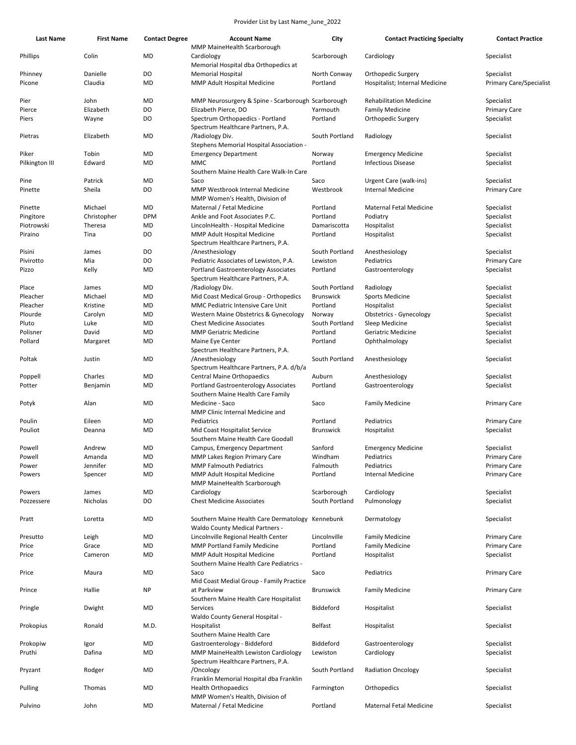| <b>Last Name</b>  | <b>First Name</b>   | <b>Contact Degree</b> | <b>Account Name</b><br>MMP MaineHealth Scarborough                                         | City                     | <b>Contact Practicing Specialty</b>                  | <b>Contact Practice</b>                      |
|-------------------|---------------------|-----------------------|--------------------------------------------------------------------------------------------|--------------------------|------------------------------------------------------|----------------------------------------------|
| Phillips          | Colin               | <b>MD</b>             | Cardiology<br>Memorial Hospital dba Orthopedics at                                         | Scarborough              | Cardiology                                           | Specialist                                   |
|                   |                     |                       |                                                                                            |                          |                                                      |                                              |
| Phinney<br>Picone | Danielle<br>Claudia | DO<br>MD              | <b>Memorial Hospital</b><br>MMP Adult Hospital Medicine                                    | North Conway<br>Portland | Orthopedic Surgery<br>Hospitalist; Internal Medicine | Specialist<br><b>Primary Care/Specialist</b> |
| Pier              | John                | MD                    | MMP Neurosurgery & Spine - Scarborough Scarborough                                         |                          | <b>Rehabilitation Medicine</b>                       | Specialist                                   |
| Pierce            | Elizabeth           | DO                    | Elizabeth Pierce, DO                                                                       | Yarmouth                 | <b>Family Medicine</b>                               | <b>Primary Care</b>                          |
| Piers             | Wayne               | DO                    | Spectrum Orthopaedics - Portland<br>Spectrum Healthcare Partners, P.A.                     | Portland                 | Orthopedic Surgery                                   | Specialist                                   |
| Pietras           | Elizabeth           | MD                    | /Radiology Div.<br>Stephens Memorial Hospital Association -                                | South Portland           | Radiology                                            | Specialist                                   |
| Piker             | Tobin               | MD                    | <b>Emergency Department</b>                                                                | Norway                   | <b>Emergency Medicine</b>                            | Specialist                                   |
| Pilkington III    | Edward              | MD                    | <b>MMC</b><br>Southern Maine Health Care Walk-In Care                                      | Portland                 | <b>Infectious Disease</b>                            | Specialist                                   |
| Pine              | Patrick             | MD                    | Saco                                                                                       | Saco                     | Urgent Care (walk-ins)                               | Specialist                                   |
| Pinette           | Sheila              | DO                    | MMP Westbrook Internal Medicine<br>MMP Women's Health, Division of                         | Westbrook                | <b>Internal Medicine</b>                             | Primary Care                                 |
| Pinette           | Michael             | MD                    | Maternal / Fetal Medicine                                                                  | Portland                 | <b>Maternal Fetal Medicine</b>                       | Specialist                                   |
| Pingitore         | Christopher         | <b>DPM</b>            | Ankle and Foot Associates P.C.                                                             | Portland                 | Podiatry                                             | Specialist                                   |
| Piotrowski        | Theresa             | MD                    | LincolnHealth - Hospital Medicine                                                          | Damariscotta             | Hospitalist                                          | Specialist                                   |
| Piraino           | Tina                | DO                    | MMP Adult Hospital Medicine                                                                | Portland                 | Hospitalist                                          | Specialist                                   |
|                   |                     |                       | Spectrum Healthcare Partners, P.A.                                                         |                          |                                                      |                                              |
| Pisini            | James               | DO                    | /Anesthesiology                                                                            | South Portland           | Anesthesiology                                       | Specialist                                   |
| Pivirotto         | Mia                 | DO                    | Pediatric Associates of Lewiston, P.A.                                                     | Lewiston                 | Pediatrics                                           | <b>Primary Care</b>                          |
| Pizzo             | Kelly               | MD                    | <b>Portland Gastroenterology Associates</b><br>Spectrum Healthcare Partners, P.A.          | Portland                 | Gastroenterology                                     | Specialist                                   |
| Place             | James               | MD                    | /Radiology Div.                                                                            | South Portland           | Radiology                                            | Specialist                                   |
| Pleacher          | Michael             | MD                    | Mid Coast Medical Group - Orthopedics                                                      | <b>Brunswick</b>         | <b>Sports Medicine</b>                               | Specialist                                   |
| Pleacher          | Kristine            | MD                    | MMC Pediatric Intensive Care Unit                                                          | Portland                 | Hospitalist                                          | Specialist                                   |
| Plourde           | Carolyn             | MD                    | Western Maine Obstetrics & Gynecology                                                      | Norway                   | Obstetrics - Gynecology                              | Specialist                                   |
| Pluto             | Luke                | MD                    | <b>Chest Medicine Associates</b>                                                           | South Portland           | Sleep Medicine                                       | Specialist                                   |
| Polisner          | David               | MD                    | <b>MMP Geriatric Medicine</b>                                                              | Portland                 | Geriatric Medicine                                   | Specialist                                   |
| Pollard           | Margaret            | MD                    | Maine Eye Center                                                                           | Portland                 | Ophthalmology                                        | Specialist                                   |
|                   |                     |                       | Spectrum Healthcare Partners, P.A.                                                         |                          |                                                      |                                              |
| Poltak            | Justin              | MD                    | /Anesthesiology<br>Spectrum Healthcare Partners, P.A. d/b/a                                | South Portland           | Anesthesiology                                       | Specialist                                   |
| Poppell           | Charles             | MD                    | Central Maine Orthopaedics                                                                 | Auburn                   | Anesthesiology                                       | Specialist                                   |
| Potter            | Benjamin            | MD                    | <b>Portland Gastroenterology Associates</b><br>Southern Maine Health Care Family           | Portland                 | Gastroenterology                                     | Specialist                                   |
| Potyk             | Alan                | MD                    | Medicine - Saco<br>MMP Clinic Internal Medicine and                                        | Saco                     | <b>Family Medicine</b>                               | <b>Primary Care</b>                          |
|                   | Eileen              | MD                    | Pediatrics                                                                                 | Portland                 | Pediatrics                                           | <b>Primary Care</b>                          |
| Poulin<br>Pouliot | Deanna              | MD                    | Mid Coast Hospitalist Service                                                              | <b>Brunswick</b>         | Hospitalist                                          | Specialist                                   |
|                   |                     |                       | Southern Maine Health Care Goodall                                                         |                          |                                                      |                                              |
| Powell            | Andrew              | MD                    | Campus, Emergency Department                                                               | Sanford                  | <b>Emergency Medicine</b>                            | Specialist                                   |
| Powell            | Amanda              | <b>MD</b>             | MMP Lakes Region Primary Care                                                              | Windham                  | Pediatrics                                           | Primary Care                                 |
| Power             | Jennifer            | <b>MD</b>             | <b>MMP Falmouth Pediatrics</b>                                                             | Falmouth                 | Pediatrics                                           | <b>Primary Care</b>                          |
| Powers            | Spencer             | MD                    | MMP Adult Hospital Medicine<br>MMP MaineHealth Scarborough                                 | Portland                 | Internal Medicine                                    | <b>Primary Care</b>                          |
| Powers            | James               | <b>MD</b>             | Cardiology                                                                                 | Scarborough              | Cardiology                                           | Specialist                                   |
| Pozzessere        | Nicholas            | DO                    | <b>Chest Medicine Associates</b>                                                           | South Portland           | Pulmonology                                          | Specialist                                   |
| Pratt             | Loretta             | <b>MD</b>             | Southern Maine Health Care Dermatology Kennebunk<br><b>Waldo County Medical Partners -</b> |                          | Dermatology                                          | Specialist                                   |
| Presutto          | Leigh               | MD                    | Lincolnville Regional Health Center                                                        | Lincolnville             | <b>Family Medicine</b>                               | <b>Primary Care</b>                          |
| Price             | Grace               | <b>MD</b>             | <b>MMP Portland Family Medicine</b>                                                        | Portland                 | <b>Family Medicine</b>                               | <b>Primary Care</b>                          |
| Price             | Cameron             | MD                    | MMP Adult Hospital Medicine                                                                | Portland                 | Hospitalist                                          | Specialist                                   |
| Price             | Maura               | MD                    | Southern Maine Health Care Pediatrics -<br>Saco                                            | Saco                     | Pediatrics                                           | <b>Primary Care</b>                          |
| Prince            | Hallie              | <b>NP</b>             | Mid Coast Medial Group - Family Practice<br>at Parkview                                    | <b>Brunswick</b>         | <b>Family Medicine</b>                               | <b>Primary Care</b>                          |
| Pringle           | Dwight              | MD                    | Southern Maine Health Care Hospitalist<br>Services                                         | Biddeford                | Hospitalist                                          | Specialist                                   |
|                   |                     |                       | Waldo County General Hospital -                                                            |                          |                                                      |                                              |
| Prokopius         | Ronald              | M.D.                  | Hospitalist<br>Southern Maine Health Care                                                  | <b>Belfast</b>           | Hospitalist                                          | Specialist                                   |
| Prokopiw          | Igor                | MD                    | Gastroenterology - Biddeford                                                               | Biddeford                | Gastroenterology                                     | Specialist                                   |
| Pruthi            | Dafina              | MD                    | MMP MaineHealth Lewiston Cardiology                                                        | Lewiston                 | Cardiology                                           | Specialist                                   |
| Pryzant           | Rodger              | MD                    | Spectrum Healthcare Partners, P.A.<br>/Oncology                                            | South Portland           | <b>Radiation Oncology</b>                            | Specialist                                   |
|                   |                     |                       | Franklin Memorial Hospital dba Franklin                                                    |                          |                                                      |                                              |
| Pulling           | Thomas              | <b>MD</b>             | <b>Health Orthopaedics</b>                                                                 | Farmington               | Orthopedics                                          | Specialist                                   |
| Pulvino           | John                | MD                    | MMP Women's Health, Division of<br>Maternal / Fetal Medicine                               | Portland                 | <b>Maternal Fetal Medicine</b>                       | Specialist                                   |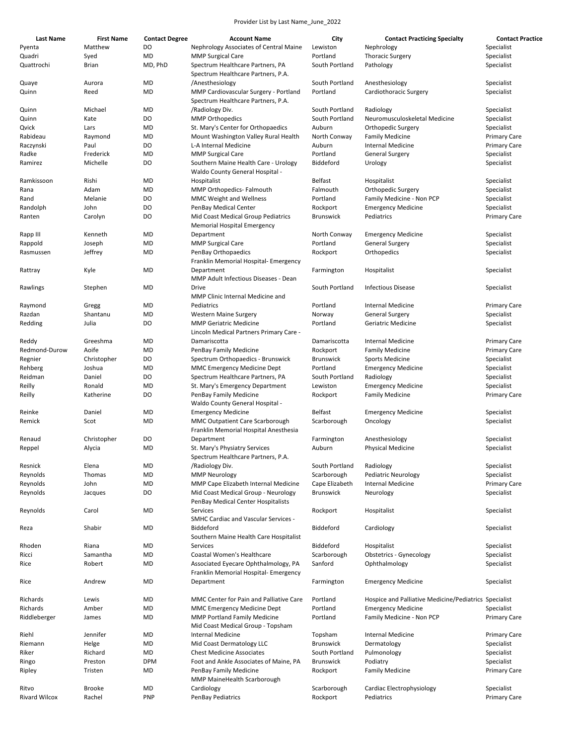| <b>Last Name</b>     | <b>First Name</b> | <b>Contact Degree</b> | <b>Account Name</b>                                                           | City             | <b>Contact Practicing Specialty</b>                   | <b>Contact Practice</b> |
|----------------------|-------------------|-----------------------|-------------------------------------------------------------------------------|------------------|-------------------------------------------------------|-------------------------|
| Pyenta               | Matthew           | DO                    | Nephrology Associates of Central Maine                                        | Lewiston         | Nephrology                                            | Specialist              |
| Quadri               | Syed              | MD                    | <b>MMP Surgical Care</b>                                                      | Portland         | <b>Thoracic Surgery</b>                               | Specialist              |
| Quattrochi           | <b>Brian</b>      | MD, PhD               | Spectrum Healthcare Partners, PA<br>Spectrum Healthcare Partners, P.A.        | South Portland   | Pathology                                             | Specialist              |
| Quaye                | Aurora            | MD                    | /Anesthesiology                                                               | South Portland   | Anesthesiology                                        | Specialist              |
| Quinn                | Reed              | <b>MD</b>             | MMP Cardiovascular Surgery - Portland<br>Spectrum Healthcare Partners, P.A.   | Portland         | Cardiothoracic Surgery                                | Specialist              |
| Quinn                | Michael           | MD                    | /Radiology Div.                                                               | South Portland   | Radiology                                             | Specialist              |
| Quinn                | Kate              | DO                    | <b>MMP Orthopedics</b>                                                        | South Portland   | Neuromusculoskeletal Medicine                         | Specialist              |
| Qvick                | Lars              | MD                    | St. Mary's Center for Orthopaedics                                            | Auburn           | Orthopedic Surgery                                    | Specialist              |
| Rabideau             | Raymond           | MD                    | Mount Washington Valley Rural Health                                          | North Conway     | <b>Family Medicine</b>                                | <b>Primary Care</b>     |
| Raczynski            | Paul              | DO                    | L-A Internal Medicine                                                         | Auburn           | <b>Internal Medicine</b>                              | <b>Primary Care</b>     |
| Radke                | Frederick         | MD                    | <b>MMP Surgical Care</b>                                                      | Portland         | <b>General Surgery</b>                                | Specialist              |
| Ramirez              | Michelle          | DO                    | Southern Maine Health Care - Urology                                          | Biddeford        | Urology                                               | Specialist              |
|                      |                   |                       | Waldo County General Hospital -                                               | Belfast          |                                                       |                         |
| Ramkissoon           | Rishi             | MD                    | Hospitalist                                                                   |                  | Hospitalist                                           | Specialist              |
| Rana                 | Adam              | MD                    | MMP Orthopedics- Falmouth                                                     | Falmouth         | Orthopedic Surgery                                    | Specialist              |
| Rand                 | Melanie           | DO                    | <b>MMC Weight and Wellness</b>                                                | Portland         | Family Medicine - Non PCP                             | Specialist              |
| Randolph             | John              | DO                    | PenBay Medical Center                                                         | Rockport         | <b>Emergency Medicine</b>                             | Specialist              |
| Ranten               | Carolyn           | DO                    | Mid Coast Medical Group Pediatrics<br>Memorial Hospital Emergency             | <b>Brunswick</b> | Pediatrics                                            | <b>Primary Care</b>     |
| Rapp III             | Kenneth           | MD                    | Department                                                                    | North Conway     | <b>Emergency Medicine</b>                             | Specialist              |
| Rappold              | Joseph            | MD                    | <b>MMP Surgical Care</b>                                                      | Portland         | <b>General Surgery</b>                                | Specialist              |
| Rasmussen            | Jeffrey           | MD                    | PenBay Orthopaedics                                                           | Rockport         | Orthopedics                                           | Specialist              |
| Rattray              | Kyle              | MD                    | Franklin Memorial Hospital- Emergency<br>Department                           | Farmington       | Hospitalist                                           | Specialist              |
| Rawlings             | Stephen           | MD                    | MMP Adult Infectious Diseases - Dean<br>Drive                                 | South Portland   | <b>Infectious Disease</b>                             | Specialist              |
|                      |                   |                       | MMP Clinic Internal Medicine and                                              |                  |                                                       |                         |
| Raymond              | Gregg             | MD                    | Pediatrics                                                                    | Portland         | <b>Internal Medicine</b>                              | <b>Primary Care</b>     |
| Razdan               | Shantanu          | MD                    | <b>Western Maine Surgery</b>                                                  | Norway           | <b>General Surgery</b>                                | Specialist              |
| Redding              | Julia             | DO                    | <b>MMP Geriatric Medicine</b><br>Lincoln Medical Partners Primary Care -      | Portland         | Geriatric Medicine                                    | Specialist              |
| Reddy                | Greeshma          | MD                    | Damariscotta                                                                  | Damariscotta     | <b>Internal Medicine</b>                              | <b>Primary Care</b>     |
| Redmond-Durow        | Aoife             | MD                    | PenBay Family Medicine                                                        | Rockport         | <b>Family Medicine</b>                                | <b>Primary Care</b>     |
| Regnier              | Christopher       | DO                    | Spectrum Orthopaedics - Brunswick                                             | <b>Brunswick</b> | <b>Sports Medicine</b>                                | Specialist              |
| Rehberg              | Joshua            | MD                    | MMC Emergency Medicine Dept                                                   | Portland         | <b>Emergency Medicine</b>                             | Specialist              |
| Reidman              | Daniel            | DO                    | Spectrum Healthcare Partners, PA                                              | South Portland   | Radiology                                             | Specialist              |
| Reilly               | Ronald            | MD                    | St. Mary's Emergency Department                                               | Lewiston         | <b>Emergency Medicine</b>                             | Specialist              |
| Reilly               | Katherine         | DO                    | PenBay Family Medicine<br>Waldo County General Hospital -                     | Rockport         | <b>Family Medicine</b>                                | <b>Primary Care</b>     |
| Reinke               | Daniel            | MD                    | <b>Emergency Medicine</b>                                                     | Belfast          | <b>Emergency Medicine</b>                             | Specialist              |
| Remick               | Scot              | MD                    | MMC Outpatient Care Scarborough<br>Franklin Memorial Hospital Anesthesia      | Scarborough      | Oncology                                              | Specialist              |
| Renaud               | Christopher       | DO                    | Department                                                                    | Farmington       | Anesthesiology                                        | Specialist              |
|                      |                   | MD                    |                                                                               | Auburn           | <b>Physical Medicine</b>                              | Specialist              |
| Reppel               | Alycia            |                       | St. Mary's Physiatry Services<br>Spectrum Healthcare Partners, P.A.           |                  |                                                       |                         |
| Resnick              | Elena             | <b>MD</b>             | /Radiology Div.                                                               | South Portland   | Radiology                                             | Specialist              |
| Reynolds             | Thomas            | MD                    | <b>MMP Neurology</b>                                                          | Scarborough      | <b>Pediatric Neurology</b>                            | Specialist              |
| Reynolds             | John              | MD                    | MMP Cape Elizabeth Internal Medicine                                          | Cape Elizabeth   | <b>Internal Medicine</b>                              | <b>Primary Care</b>     |
| Reynolds             | Jacques           | DO                    | Mid Coast Medical Group - Neurology<br>PenBay Medical Center Hospitalists     | <b>Brunswick</b> | Neurology                                             | Specialist              |
| Reynolds             | Carol             | MD                    | Services<br><b>SMHC Cardiac and Vascular Services -</b>                       | Rockport         | Hospitalist                                           | Specialist              |
| Reza                 | Shabir            | <b>MD</b>             | Biddeford<br>Southern Maine Health Care Hospitalist                           | Biddeford        | Cardiology                                            | Specialist              |
| Rhoden               | Riana             | <b>MD</b>             | Services                                                                      | Biddeford        | Hospitalist                                           | Specialist              |
| Ricci                | Samantha          | MD                    | Coastal Women's Healthcare                                                    | Scarborough      | <b>Obstetrics - Gynecology</b>                        | Specialist              |
| Rice                 | Robert            | MD                    | Associated Eyecare Ophthalmology, PA<br>Franklin Memorial Hospital- Emergency | Sanford          | Ophthalmology                                         | Specialist              |
| Rice                 | Andrew            | MD                    | Department                                                                    | Farmington       | <b>Emergency Medicine</b>                             | Specialist              |
| Richards             | Lewis             | MD                    | MMC Center for Pain and Palliative Care                                       | Portland         | Hospice and Palliative Medicine/Pediatrics Specialist |                         |
| Richards             | Amber             | MD                    | <b>MMC Emergency Medicine Dept</b>                                            | Portland         | <b>Emergency Medicine</b>                             | Specialist              |
| Riddleberger         | James             | MD                    | <b>MMP Portland Family Medicine</b><br>Mid Coast Medical Group - Topsham      | Portland         | Family Medicine - Non PCP                             | <b>Primary Care</b>     |
|                      | Jennifer          | MD                    | <b>Internal Medicine</b>                                                      |                  | <b>Internal Medicine</b>                              |                         |
| Riehl                |                   |                       |                                                                               | Topsham          |                                                       | <b>Primary Care</b>     |
| Riemann              | Helge             | MD                    | Mid Coast Dermatology LLC                                                     | <b>Brunswick</b> | Dermatology                                           | Specialist              |
| Riker                | Richard           | MD                    | <b>Chest Medicine Associates</b>                                              | South Portland   | Pulmonology                                           | Specialist              |
| Ringo                | Preston           | <b>DPM</b>            | Foot and Ankle Associates of Maine, PA                                        | <b>Brunswick</b> | Podiatry                                              | Specialist              |
| Ripley               | Tristen           | MD                    | PenBay Family Medicine<br>MMP MaineHealth Scarborough                         | Rockport         | <b>Family Medicine</b>                                | <b>Primary Care</b>     |
| Ritvo                | <b>Brooke</b>     | MD                    | Cardiology                                                                    | Scarborough      | Cardiac Electrophysiology                             | Specialist              |
| <b>Rivard Wilcox</b> | Rachel            | <b>PNP</b>            | PenBay Pediatrics                                                             | Rockport         | Pediatrics                                            | <b>Primary Care</b>     |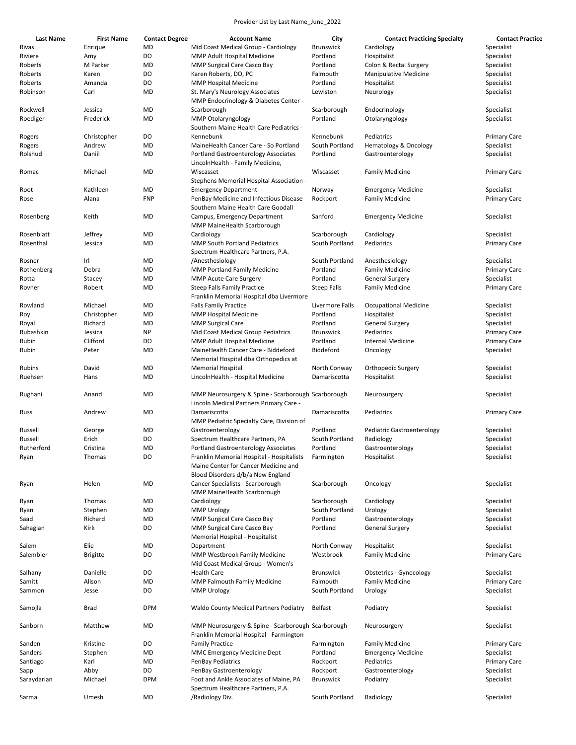| <b>Last Name</b> | <b>First Name</b> |                             | <b>Account Name</b>                                                  | City             |                                                   | <b>Contact Practice</b>           |
|------------------|-------------------|-----------------------------|----------------------------------------------------------------------|------------------|---------------------------------------------------|-----------------------------------|
| Rivas            | Enrique           | <b>Contact Degree</b><br>MD | Mid Coast Medical Group - Cardiology                                 | <b>Brunswick</b> | <b>Contact Practicing Specialty</b><br>Cardiology | Specialist                        |
| Riviere          | Amy               | DO                          | MMP Adult Hospital Medicine                                          | Portland         | Hospitalist                                       | Specialist                        |
| Roberts          | M Parker          | MD                          | MMP Surgical Care Casco Bay                                          | Portland         | Colon & Rectal Surgery                            | Specialist                        |
| Roberts          | Karen             | DO                          | Karen Roberts, DO, PC                                                | Falmouth         | <b>Manipulative Medicine</b>                      | Specialist                        |
| Roberts          | Amanda            | DO                          | <b>MMP Hospital Medicine</b>                                         | Portland         | Hospitalist                                       | Specialist                        |
| Robinson         | Carl              | MD                          | St. Mary's Neurology Associates                                      | Lewiston         | Neurology                                         | Specialist                        |
|                  |                   |                             | MMP Endocrinology & Diabetes Center -                                |                  |                                                   |                                   |
| Rockwell         | Jessica           | MD                          | Scarborough                                                          | Scarborough      | Endocrinology                                     | Specialist                        |
|                  | Frederick         | MD                          |                                                                      | Portland         |                                                   |                                   |
| Roediger         |                   |                             | <b>MMP Otolaryngology</b><br>Southern Maine Health Care Pediatrics - |                  | Otolaryngology                                    | Specialist                        |
|                  |                   | DO                          | Kennebunk                                                            | Kennebunk        | Pediatrics                                        |                                   |
| Rogers           | Christopher       |                             |                                                                      |                  |                                                   | <b>Primary Care</b><br>Specialist |
| Rogers           | Andrew            | MD                          | MaineHealth Cancer Care - So Portland                                | South Portland   | Hematology & Oncology                             |                                   |
| Rolshud          | Daniil            | MD                          | Portland Gastroenterology Associates                                 | Portland         | Gastroenterology                                  | Specialist                        |
|                  |                   |                             | LincolnHealth - Family Medicine,                                     |                  |                                                   |                                   |
| Romac            | Michael           | MD                          | Wiscasset                                                            | Wiscasset        | <b>Family Medicine</b>                            | <b>Primary Care</b>               |
|                  |                   |                             | Stephens Memorial Hospital Association -                             |                  |                                                   |                                   |
| Root             | Kathleen          | MD                          | <b>Emergency Department</b>                                          | Norway           | <b>Emergency Medicine</b>                         | Specialist                        |
| Rose             | Alana             | <b>FNP</b>                  | PenBay Medicine and Infectious Disease                               | Rockport         | <b>Family Medicine</b>                            | <b>Primary Care</b>               |
|                  |                   |                             | Southern Maine Health Care Goodall                                   |                  |                                                   |                                   |
| Rosenberg        | Keith             | MD                          | Campus, Emergency Department                                         | Sanford          | <b>Emergency Medicine</b>                         | Specialist                        |
|                  |                   |                             | MMP MaineHealth Scarborough                                          |                  |                                                   |                                   |
| Rosenblatt       | Jeffrey           | MD                          | Cardiology                                                           | Scarborough      | Cardiology                                        | Specialist                        |
| Rosenthal        | Jessica           | MD                          | <b>MMP South Portland Pediatrics</b>                                 | South Portland   | Pediatrics                                        | <b>Primary Care</b>               |
|                  |                   |                             | Spectrum Healthcare Partners, P.A.                                   |                  |                                                   |                                   |
| Rosner           | Irl               | MD                          | /Anesthesiology                                                      | South Portland   | Anesthesiology                                    | Specialist                        |
| Rothenberg       | Debra             | MD                          | <b>MMP Portland Family Medicine</b>                                  | Portland         | <b>Family Medicine</b>                            | <b>Primary Care</b>               |
| Rotta            | Stacey            | MD                          | <b>MMP Acute Care Surgery</b>                                        | Portland         | <b>General Surgery</b>                            | Specialist                        |
| Rovner           | Robert            | MD                          | Steep Falls Family Practice                                          | Steep Falls      | <b>Family Medicine</b>                            | <b>Primary Care</b>               |
|                  |                   |                             | Franklin Memorial Hospital dba Livermore                             |                  |                                                   |                                   |
| Rowland          | Michael           | MD                          | <b>Falls Family Practice</b>                                         | Livermore Falls  | <b>Occupational Medicine</b>                      | Specialist                        |
| Roy              | Christopher       | MD                          | <b>MMP Hospital Medicine</b>                                         | Portland         | Hospitalist                                       | Specialist                        |
| Royal            | Richard           | MD                          | <b>MMP Surgical Care</b>                                             | Portland         | <b>General Surgery</b>                            | Specialist                        |
| Rubashkin        | Jessica           | <b>NP</b>                   | Mid Coast Medical Group Pediatrics                                   | <b>Brunswick</b> | Pediatrics                                        | <b>Primary Care</b>               |
| Rubin            | Clifford          | DO                          | MMP Adult Hospital Medicine                                          | Portland         | Internal Medicine                                 | <b>Primary Care</b>               |
| Rubin            | Peter             | MD                          | MaineHealth Cancer Care - Biddeford                                  | Biddeford        | Oncology                                          | Specialist                        |
|                  |                   |                             | Memorial Hospital dba Orthopedics at                                 |                  |                                                   |                                   |
| Rubins           | David             | MD                          | <b>Memorial Hospital</b>                                             | North Conway     | Orthopedic Surgery                                | Specialist                        |
| Ruehsen          | Hans              | MD                          | LincolnHealth - Hospital Medicine                                    | Damariscotta     | Hospitalist                                       | Specialist                        |
|                  |                   |                             |                                                                      |                  |                                                   |                                   |
| Rughani          | Anand             | MD                          | MMP Neurosurgery & Spine - Scarborough Scarborough                   |                  | Neurosurgery                                      | Specialist                        |
|                  |                   |                             | Lincoln Medical Partners Primary Care -                              |                  |                                                   |                                   |
| Russ             | Andrew            | MD                          | Damariscotta                                                         | Damariscotta     | Pediatrics                                        | <b>Primary Care</b>               |
|                  |                   |                             | MMP Pediatric Specialty Care, Division of                            |                  |                                                   |                                   |
| Russell          | George            | MD                          | Gastroenterology                                                     | Portland         | Pediatric Gastroenterology                        | Specialist                        |
| Russell          | Erich             | DO                          | Spectrum Healthcare Partners, PA                                     | South Portland   | Radiology                                         | Specialist                        |
| Rutherford       | Cristina          | <b>MD</b>                   | Portland Gastroenterology Associates                                 | Portland         | Gastroenterology                                  | Specialist                        |
| Ryan             | Thomas            | DO                          | Franklin Memorial Hospital - Hospitalists                            | Farmington       | Hospitalist                                       | Specialist                        |
|                  |                   |                             | Maine Center for Cancer Medicine and                                 |                  |                                                   |                                   |
|                  |                   |                             | Blood Disorders d/b/a New England                                    |                  |                                                   |                                   |
| Ryan             | Helen             | MD                          | Cancer Specialists - Scarborough                                     | Scarborough      | Oncology                                          | Specialist                        |
|                  |                   |                             | MMP MaineHealth Scarborough                                          |                  |                                                   |                                   |
| Ryan             | Thomas            | MD                          | Cardiology                                                           | Scarborough      | Cardiology                                        | Specialist                        |
| Ryan             | Stephen           | MD                          | <b>MMP Urology</b>                                                   | South Portland   | Urology                                           | Specialist                        |
| Saad             | Richard           | MD                          | MMP Surgical Care Casco Bay                                          | Portland         | Gastroenterology                                  | Specialist                        |
| Sahagian         | Kirk              | DO                          | MMP Surgical Care Casco Bay                                          | Portland         | <b>General Surgery</b>                            | Specialist                        |
|                  |                   |                             | Memorial Hospital - Hospitalist                                      |                  |                                                   |                                   |
| Salem            | Elie              | MD                          | Department                                                           | North Conway     | Hospitalist                                       | Specialist                        |
| Salembier        |                   | DO                          | MMP Westbrook Family Medicine                                        | Westbrook        | <b>Family Medicine</b>                            | <b>Primary Care</b>               |
|                  | <b>Brigitte</b>   |                             | Mid Coast Medical Group - Women's                                    |                  |                                                   |                                   |
|                  | Danielle          | DO                          | <b>Health Care</b>                                                   | <b>Brunswick</b> | <b>Obstetrics - Gynecology</b>                    | Specialist                        |
| Salhany          |                   | MD                          |                                                                      |                  |                                                   |                                   |
| Samitt           | Alison            |                             | MMP Falmouth Family Medicine                                         | Falmouth         | <b>Family Medicine</b>                            | <b>Primary Care</b>               |
| Sammon           | Jesse             | DO                          | <b>MMP Urology</b>                                                   | South Portland   | Urology                                           | Specialist                        |
|                  |                   |                             |                                                                      |                  |                                                   |                                   |
| Samojla          | <b>Brad</b>       | <b>DPM</b>                  | <b>Waldo County Medical Partners Podiatry</b>                        | Belfast          | Podiatry                                          | Specialist                        |
|                  |                   |                             |                                                                      |                  |                                                   |                                   |
| Sanborn          | Matthew           | MD                          | MMP Neurosurgery & Spine - Scarborough Scarborough                   |                  | Neurosurgery                                      | Specialist                        |
|                  |                   |                             | Franklin Memorial Hospital - Farmington                              |                  |                                                   |                                   |
| Sanden           | Kristine          | DO                          | <b>Family Practice</b>                                               | Farmington       | <b>Family Medicine</b>                            | <b>Primary Care</b>               |
| Sanders          | Stephen           | MD                          | MMC Emergency Medicine Dept                                          | Portland         | <b>Emergency Medicine</b>                         | Specialist                        |
| Santiago         | Karl              | MD                          | PenBay Pediatrics                                                    | Rockport         | Pediatrics                                        | <b>Primary Care</b>               |
| Sapp             | Abby              | DO                          | PenBay Gastroenterology                                              | Rockport         | Gastroenterology                                  | Specialist                        |
| Saraydarian      | Michael           | <b>DPM</b>                  | Foot and Ankle Associates of Maine, PA                               | <b>Brunswick</b> | Podiatry                                          | Specialist                        |
|                  |                   |                             | Spectrum Healthcare Partners, P.A.                                   |                  |                                                   |                                   |
| Sarma            | Umesh             | MD                          | /Radiology Div.                                                      | South Portland   | Radiology                                         | Specialist                        |
|                  |                   |                             |                                                                      |                  |                                                   |                                   |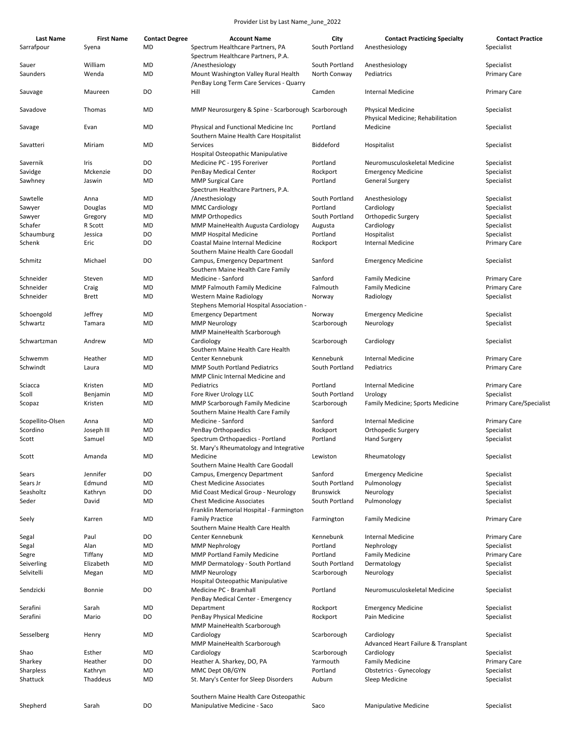| <b>Last Name</b> | <b>First Name</b> | <b>Contact Degree</b> | <b>Account Name</b>                                | City             | <b>Contact Practicing Specialty</b> | <b>Contact Practice</b>        |
|------------------|-------------------|-----------------------|----------------------------------------------------|------------------|-------------------------------------|--------------------------------|
| Sarrafpour       | Syena             | MD                    | Spectrum Healthcare Partners, PA                   | South Portland   | Anesthesiology                      | Specialist                     |
|                  |                   |                       | Spectrum Healthcare Partners, P.A.                 |                  |                                     |                                |
| Sauer            | William           | MD                    | /Anesthesiology                                    | South Portland   | Anesthesiology                      | Specialist                     |
| Saunders         | Wenda             | <b>MD</b>             | Mount Washington Valley Rural Health               | North Conway     | Pediatrics                          | <b>Primary Care</b>            |
|                  |                   |                       | PenBay Long Term Care Services - Quarry            |                  |                                     |                                |
|                  |                   |                       |                                                    |                  |                                     |                                |
| Sauvage          | Maureen           | DO                    | Hill                                               | Camden           | Internal Medicine                   | <b>Primary Care</b>            |
|                  |                   |                       |                                                    |                  |                                     |                                |
| Savadove         | Thomas            | MD                    | MMP Neurosurgery & Spine - Scarborough Scarborough |                  | <b>Physical Medicine</b>            | Specialist                     |
|                  |                   |                       |                                                    |                  | Physical Medicine; Rehabilitation   |                                |
| Savage           | Evan              | <b>MD</b>             | Physical and Functional Medicine Inc               | Portland         | Medicine                            | Specialist                     |
|                  |                   |                       | Southern Maine Health Care Hospitalist             |                  |                                     |                                |
| Savatteri        | Miriam            | MD                    | Services                                           | Biddeford        | Hospitalist                         | Specialist                     |
|                  |                   |                       | Hospital Osteopathic Manipulative                  |                  |                                     |                                |
| Savernik         | Iris              | DO                    | Medicine PC - 195 Foreriver                        | Portland         | Neuromusculoskeletal Medicine       | Specialist                     |
|                  | Mckenzie          |                       |                                                    |                  | <b>Emergency Medicine</b>           |                                |
| Savidge          |                   | DO                    | PenBay Medical Center                              | Rockport         |                                     | Specialist                     |
| Sawhney          | Jaswin            | MD                    | <b>MMP Surgical Care</b>                           | Portland         | General Surgery                     | Specialist                     |
|                  |                   |                       | Spectrum Healthcare Partners, P.A.                 |                  |                                     |                                |
| Sawtelle         | Anna              | MD                    | /Anesthesiology                                    | South Portland   | Anesthesiology                      | Specialist                     |
| Sawyer           | Douglas           | MD                    | <b>MMC Cardiology</b>                              | Portland         | Cardiology                          | Specialist                     |
| Sawyer           | Gregory           | MD                    | <b>MMP Orthopedics</b>                             | South Portland   | Orthopedic Surgery                  | Specialist                     |
| Schafer          | R Scott           | MD                    | MMP MaineHealth Augusta Cardiology                 | Augusta          | Cardiology                          | Specialist                     |
| Schaumburg       | Jessica           | DO                    | <b>MMP Hospital Medicine</b>                       | Portland         | Hospitalist                         | Specialist                     |
| Schenk           | Eric              | DO                    | Coastal Maine Internal Medicine                    | Rockport         | <b>Internal Medicine</b>            | Primary Care                   |
|                  |                   |                       | Southern Maine Health Care Goodall                 |                  |                                     |                                |
|                  |                   |                       |                                                    |                  |                                     |                                |
| Schmitz          | Michael           | DO                    | Campus, Emergency Department                       | Sanford          | <b>Emergency Medicine</b>           | Specialist                     |
|                  |                   |                       | Southern Maine Health Care Family                  |                  |                                     |                                |
| Schneider        | Steven            | MD                    | Medicine - Sanford                                 | Sanford          | <b>Family Medicine</b>              | <b>Primary Care</b>            |
| Schneider        | Craig             | MD                    | <b>MMP Falmouth Family Medicine</b>                | Falmouth         | <b>Family Medicine</b>              | <b>Primary Care</b>            |
| Schneider        | Brett             | MD                    | Western Maine Radiology                            | Norway           | Radiology                           | Specialist                     |
|                  |                   |                       | Stephens Memorial Hospital Association -           |                  |                                     |                                |
| Schoengold       | Jeffrey           | MD                    | <b>Emergency Department</b>                        | Norway           | <b>Emergency Medicine</b>           | Specialist                     |
| Schwartz         | Tamara            | MD                    | <b>MMP Neurology</b>                               | Scarborough      | Neurology                           | Specialist                     |
|                  |                   |                       | MMP MaineHealth Scarborough                        |                  |                                     |                                |
|                  |                   |                       |                                                    |                  |                                     |                                |
| Schwartzman      | Andrew            | MD                    | Cardiology                                         | Scarborough      | Cardiology                          | Specialist                     |
|                  |                   |                       | Southern Maine Health Care Health                  |                  |                                     |                                |
| Schwemm          | Heather           | <b>MD</b>             | Center Kennebunk                                   | Kennebunk        | <b>Internal Medicine</b>            | <b>Primary Care</b>            |
| Schwindt         | Laura             | MD                    | <b>MMP South Portland Pediatrics</b>               | South Portland   | Pediatrics                          | Primary Care                   |
|                  |                   |                       | MMP Clinic Internal Medicine and                   |                  |                                     |                                |
| Sciacca          | Kristen           | MD                    | Pediatrics                                         | Portland         | Internal Medicine                   | <b>Primary Care</b>            |
| Scoll            | Benjamin          | MD                    | Fore River Urology LLC                             | South Portland   | Urology                             | Specialist                     |
| Scopaz           | Kristen           | MD                    | <b>MMP Scarborough Family Medicine</b>             | Scarborough      | Family Medicine; Sports Medicine    | <b>Primary Care/Specialist</b> |
|                  |                   |                       | Southern Maine Health Care Family                  |                  |                                     |                                |
|                  | Anna              | MD                    | Medicine - Sanford                                 | Sanford          | <b>Internal Medicine</b>            |                                |
| Scopellito-Olsen |                   |                       |                                                    |                  |                                     | <b>Primary Care</b>            |
| Scordino         | Joseph III        | MD                    | PenBay Orthopaedics                                | Rockport         | Orthopedic Surgery                  | Specialist                     |
| Scott            | Samuel            | MD                    | Spectrum Orthopaedics - Portland                   | Portland         | <b>Hand Surgery</b>                 | Specialist                     |
|                  |                   |                       | St. Mary's Rheumatology and Integrative            |                  |                                     |                                |
| Scott            | Amanda            | MD                    | Medicine                                           | Lewiston         | Rheumatology                        | Specialist                     |
|                  |                   |                       | Southern Maine Health Care Goodall                 |                  |                                     |                                |
| Sears            | Jennifer          | DO                    | Campus, Emergency Department                       | Sanford          | <b>Emergency Medicine</b>           | Specialist                     |
| Sears Jr         | Edmund            | <b>MD</b>             | <b>Chest Medicine Associates</b>                   | South Portland   | Pulmonology                         | Specialist                     |
| Seasholtz        | Kathryn           | DO                    | Mid Coast Medical Group - Neurology                | <b>Brunswick</b> | Neurology                           | Specialist                     |
| Seder            | David             | <b>MD</b>             | <b>Chest Medicine Associates</b>                   | South Portland   | Pulmonology                         | Specialist                     |
|                  |                   |                       |                                                    |                  |                                     |                                |
|                  |                   |                       | Franklin Memorial Hospital - Farmington            |                  |                                     |                                |
| Seely            | Karren            | MD                    | <b>Family Practice</b>                             | Farmington       | <b>Family Medicine</b>              | <b>Primary Care</b>            |
|                  |                   |                       | Southern Maine Health Care Health                  |                  |                                     |                                |
| Segal            | Paul              | DO                    | Center Kennebunk                                   | Kennebunk        | <b>Internal Medicine</b>            | <b>Primary Care</b>            |
| Segal            | Alan              | MD                    | <b>MMP Nephrology</b>                              | Portland         | Nephrology                          | Specialist                     |
| Segre            | Tiffany           | MD                    | <b>MMP Portland Family Medicine</b>                | Portland         | <b>Family Medicine</b>              | <b>Primary Care</b>            |
| Seiverling       | Elizabeth         | MD                    | MMP Dermatology - South Portland                   | South Portland   | Dermatology                         | Specialist                     |
| Selvitelli       | Megan             | MD                    | <b>MMP Neurology</b>                               | Scarborough      | Neurology                           | Specialist                     |
|                  |                   |                       | Hospital Osteopathic Manipulative                  |                  |                                     |                                |
| Sendzicki        | Bonnie            | DO                    | Medicine PC - Bramhall                             | Portland         | Neuromusculoskeletal Medicine       | Specialist                     |
|                  |                   |                       |                                                    |                  |                                     |                                |
|                  |                   |                       | PenBay Medical Center - Emergency                  |                  |                                     |                                |
| Serafini         | Sarah             | <b>MD</b>             | Department                                         | Rockport         | <b>Emergency Medicine</b>           | Specialist                     |
| Serafini         | Mario             | DO                    | PenBay Physical Medicine                           | Rockport         | Pain Medicine                       | Specialist                     |
|                  |                   |                       | MMP MaineHealth Scarborough                        |                  |                                     |                                |
| Sesselberg       | Henry             | MD                    | Cardiology                                         | Scarborough      | Cardiology                          | Specialist                     |
|                  |                   |                       | MMP MaineHealth Scarborough                        |                  | Advanced Heart Failure & Transplant |                                |
| Shao             | Esther            | MD                    | Cardiology                                         | Scarborough      | Cardiology                          | Specialist                     |
| Sharkey          | Heather           | DO                    | Heather A. Sharkey, DO, PA                         | Yarmouth         | <b>Family Medicine</b>              | <b>Primary Care</b>            |
|                  |                   |                       |                                                    |                  |                                     |                                |
| Sharpless        | Kathryn           | MD                    | MMC Dept OB/GYN                                    | Portland         | <b>Obstetrics - Gynecology</b>      | Specialist                     |
| Shattuck         | Thaddeus          | <b>MD</b>             | St. Mary's Center for Sleep Disorders              | Auburn           | Sleep Medicine                      | Specialist                     |
|                  |                   |                       |                                                    |                  |                                     |                                |
|                  |                   |                       | Southern Maine Health Care Osteopathic             |                  |                                     |                                |
| Shepherd         | Sarah             | DO                    | Manipulative Medicine - Saco                       | Saco             | <b>Manipulative Medicine</b>        | Specialist                     |
|                  |                   |                       |                                                    |                  |                                     |                                |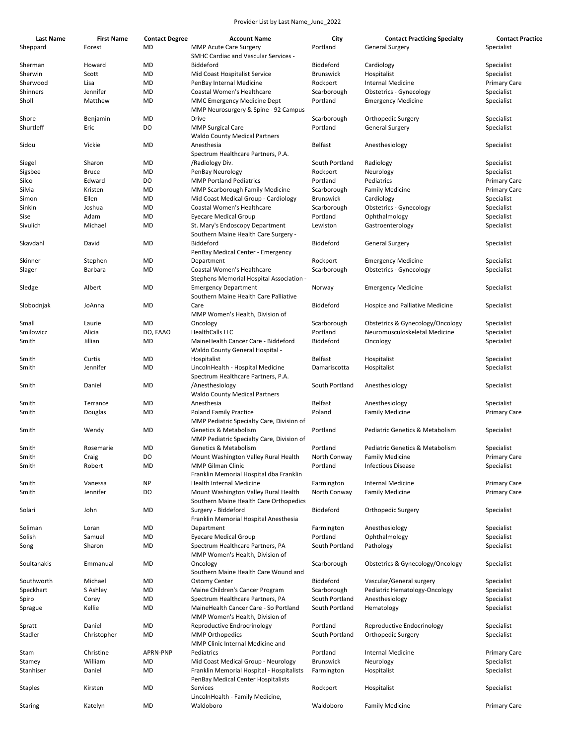| <b>Last Name</b> | <b>First Name</b> | <b>Contact Degree</b> | <b>Account Name</b>                                              | City             | <b>Contact Practicing Specialty</b> | <b>Contact Practice</b> |
|------------------|-------------------|-----------------------|------------------------------------------------------------------|------------------|-------------------------------------|-------------------------|
| Sheppard         | Forest            | MD                    | <b>MMP Acute Care Surgery</b>                                    | Portland         | <b>General Surgery</b>              | Specialist              |
|                  |                   |                       | <b>SMHC Cardiac and Vascular Services -</b>                      |                  |                                     |                         |
| Sherman          | Howard            | MD                    | Biddeford                                                        | Biddeford        | Cardiology                          | Specialist              |
| Sherwin          | Scott             | MD                    | Mid Coast Hospitalist Service                                    | <b>Brunswick</b> | Hospitalist                         | Specialist              |
| Sherwood         | Lisa              | MD                    | PenBay Internal Medicine                                         | Rockport         | <b>Internal Medicine</b>            | <b>Primary Care</b>     |
| Shinners         | Jennifer          | MD                    | Coastal Women's Healthcare                                       | Scarborough      | Obstetrics - Gynecology             | Specialist              |
| Sholl            | Matthew           | MD                    | MMC Emergency Medicine Dept                                      | Portland         | <b>Emergency Medicine</b>           | Specialist              |
|                  |                   |                       | MMP Neurosurgery & Spine - 92 Campus                             |                  |                                     |                         |
| Shore            | Benjamin          | MD                    | Drive                                                            | Scarborough      | Orthopedic Surgery                  | Specialist              |
| Shurtleff        | Eric              | DO                    | <b>MMP Surgical Care</b>                                         | Portland         | <b>General Surgery</b>              | Specialist              |
|                  |                   |                       | <b>Waldo County Medical Partners</b>                             |                  |                                     |                         |
| Sidou            | Vickie            | MD                    | Anesthesia                                                       | Belfast          | Anesthesiology                      | Specialist              |
|                  |                   |                       | Spectrum Healthcare Partners, P.A.                               |                  |                                     |                         |
| Siegel           | Sharon            | MD                    | /Radiology Div.                                                  | South Portland   | Radiology                           | Specialist              |
| Sigsbee          | Bruce             | MD                    | PenBay Neurology                                                 | Rockport         | Neurology                           | Specialist              |
| Silco            | Edward            | DO                    | <b>MMP Portland Pediatrics</b>                                   | Portland         | Pediatrics                          | <b>Primary Care</b>     |
| Silvia           | Kristen           | MD                    | <b>MMP Scarborough Family Medicine</b>                           | Scarborough      | <b>Family Medicine</b>              | <b>Primary Care</b>     |
| Simon            | Ellen             | MD                    | Mid Coast Medical Group - Cardiology                             | <b>Brunswick</b> | Cardiology                          | Specialist              |
| Sinkin           | Joshua            | MD                    | Coastal Women's Healthcare                                       | Scarborough      | <b>Obstetrics - Gynecology</b>      | Specialist              |
| Sise             | Adam              | MD                    | Eyecare Medical Group                                            | Portland         | Ophthalmology                       | Specialist              |
| Sivulich         | Michael           | MD                    | St. Mary's Endoscopy Department                                  | Lewiston         | Gastroenterology                    | Specialist              |
|                  |                   |                       | Southern Maine Health Care Surgery -                             |                  |                                     |                         |
| Skavdahl         | David             | MD                    | Biddeford                                                        | Biddeford        |                                     | Specialist              |
|                  |                   |                       |                                                                  |                  | General Surgery                     |                         |
|                  |                   |                       | PenBay Medical Center - Emergency                                |                  |                                     |                         |
| Skinner          | Stephen           | MD                    | Department                                                       | Rockport         | <b>Emergency Medicine</b>           | Specialist              |
| Slager           | Barbara           | MD                    | Coastal Women's Healthcare                                       | Scarborough      | <b>Obstetrics - Gynecology</b>      | Specialist              |
|                  |                   |                       | Stephens Memorial Hospital Association -                         |                  |                                     |                         |
| Sledge           | Albert            | MD                    | <b>Emergency Department</b>                                      | Norway           | <b>Emergency Medicine</b>           | Specialist              |
|                  |                   |                       | Southern Maine Health Care Palliative                            |                  |                                     |                         |
| Slobodnjak       | JoAnna            | <b>MD</b>             | Care                                                             | Biddeford        | Hospice and Palliative Medicine     | Specialist              |
|                  |                   |                       | MMP Women's Health, Division of                                  |                  |                                     |                         |
| Small            | Laurie            | MD                    | Oncology                                                         | Scarborough      | Obstetrics & Gynecology/Oncology    | Specialist              |
| Smilowicz        | Alicia            | DO, FAAO              | <b>HealthCalls LLC</b>                                           | Portland         | Neuromusculoskeletal Medicine       | Specialist              |
| Smith            | Jillian           | MD                    | MaineHealth Cancer Care - Biddeford                              | Biddeford        | Oncology                            | Specialist              |
|                  |                   |                       | Waldo County General Hospital -                                  |                  |                                     |                         |
| Smith            | Curtis            | MD                    | Hospitalist                                                      | Belfast          | Hospitalist                         | Specialist              |
| Smith            | Jennifer          | MD                    | LincolnHealth - Hospital Medicine                                | Damariscotta     | Hospitalist                         | Specialist              |
|                  |                   |                       | Spectrum Healthcare Partners, P.A.                               |                  |                                     |                         |
| Smith            | Daniel            | MD                    | /Anesthesiology                                                  | South Portland   | Anesthesiology                      | Specialist              |
|                  |                   |                       | <b>Waldo County Medical Partners</b>                             |                  |                                     |                         |
| Smith            | Terrance          | MD                    | Anesthesia                                                       | <b>Belfast</b>   | Anesthesiology                      | Specialist              |
| Smith            | Douglas           | MD                    | <b>Poland Family Practice</b>                                    | Poland           | <b>Family Medicine</b>              | <b>Primary Care</b>     |
|                  |                   |                       | MMP Pediatric Specialty Care, Division of                        |                  |                                     |                         |
| Smith            | Wendy             | MD                    | Genetics & Metabolism                                            | Portland         | Pediatric Genetics & Metabolism     | Specialist              |
|                  |                   |                       | MMP Pediatric Specialty Care, Division of                        |                  |                                     |                         |
| Smith            | Rosemarie         | MD                    | Genetics & Metabolism                                            | Portland         | Pediatric Genetics & Metabolism     | Specialist              |
| Smith            | Craig             | DO                    | Mount Washington Valley Rural Health                             | North Conway     | <b>Family Medicine</b>              | <b>Primary Care</b>     |
| Smith            | Robert            | MD                    | MMP Gilman Clinic                                                | Portland         | <b>Infectious Disease</b>           | Specialist              |
|                  |                   |                       | Franklin Memorial Hospital dba Franklin                          |                  |                                     |                         |
| Smith            | Vanessa           | <b>NP</b>             | Health Internal Medicine                                         | Farmington       | <b>Internal Medicine</b>            | Primary Care            |
| Smith            | Jennifer          | DO                    | Mount Washington Valley Rural Health                             | North Conway     | <b>Family Medicine</b>              | Primary Care            |
|                  |                   |                       | Southern Maine Health Care Orthopedics                           |                  |                                     |                         |
| Solari           | John              | MD                    | Surgery - Biddeford                                              | Biddeford        | Orthopedic Surgery                  | Specialist              |
|                  |                   |                       | Franklin Memorial Hospital Anesthesia                            |                  |                                     |                         |
| Soliman          | Loran             | MD                    | Department                                                       | Farmington       | Anesthesiology                      | Specialist              |
|                  | Samuel            |                       |                                                                  | Portland         |                                     |                         |
| Solish           |                   | MD                    | <b>Eyecare Medical Group</b><br>Spectrum Healthcare Partners, PA |                  | Ophthalmology                       | Specialist              |
| Song             | Sharon            | MD                    |                                                                  | South Portland   | Pathology                           | Specialist              |
|                  |                   |                       | MMP Women's Health, Division of                                  |                  |                                     |                         |
| Soultanakis      | Emmanual          | MD                    | Oncology                                                         | Scarborough      | Obstetrics & Gynecology/Oncology    | Specialist              |
|                  |                   |                       | Southern Maine Health Care Wound and                             |                  |                                     |                         |
| Southworth       | Michael           | MD                    | <b>Ostomy Center</b>                                             | Biddeford        | Vascular/General surgery            | Specialist              |
| Speckhart        | S Ashley          | MD                    | Maine Children's Cancer Program                                  | Scarborough      | Pediatric Hematology-Oncology       | Specialist              |
| Spiro            | Corey             | MD                    | Spectrum Healthcare Partners, PA                                 | South Portland   | Anesthesiology                      | Specialist              |
| Sprague          | Kellie            | MD                    | MaineHealth Cancer Care - So Portland                            | South Portland   | Hematology                          | Specialist              |
|                  |                   |                       | MMP Women's Health, Division of                                  |                  |                                     |                         |
| Spratt           | Daniel            | MD                    | Reproductive Endrocrinology                                      | Portland         | Reproductive Endocrinology          | Specialist              |
| Stadler          | Christopher       | MD                    | <b>MMP Orthopedics</b>                                           | South Portland   | Orthopedic Surgery                  | Specialist              |
|                  |                   |                       | MMP Clinic Internal Medicine and                                 |                  |                                     |                         |
| Stam             | Christine         | APRN-PNP              | Pediatrics                                                       | Portland         | <b>Internal Medicine</b>            | <b>Primary Care</b>     |
| Stamey           | William           | MD                    | Mid Coast Medical Group - Neurology                              | <b>Brunswick</b> | Neurology                           | Specialist              |
| Stanhiser        | Daniel            | MD                    | Franklin Memorial Hospital - Hospitalists                        | Farmington       | Hospitalist                         | Specialist              |
|                  |                   |                       | PenBay Medical Center Hospitalists                               |                  |                                     |                         |
| Staples          | Kirsten           | <b>MD</b>             | Services                                                         | Rockport         | Hospitalist                         | Specialist              |
|                  |                   |                       | LincolnHealth - Family Medicine,                                 |                  |                                     |                         |
| Staring          | Katelyn           | MD                    | Waldoboro                                                        | Waldoboro        | <b>Family Medicine</b>              | <b>Primary Care</b>     |
|                  |                   |                       |                                                                  |                  |                                     |                         |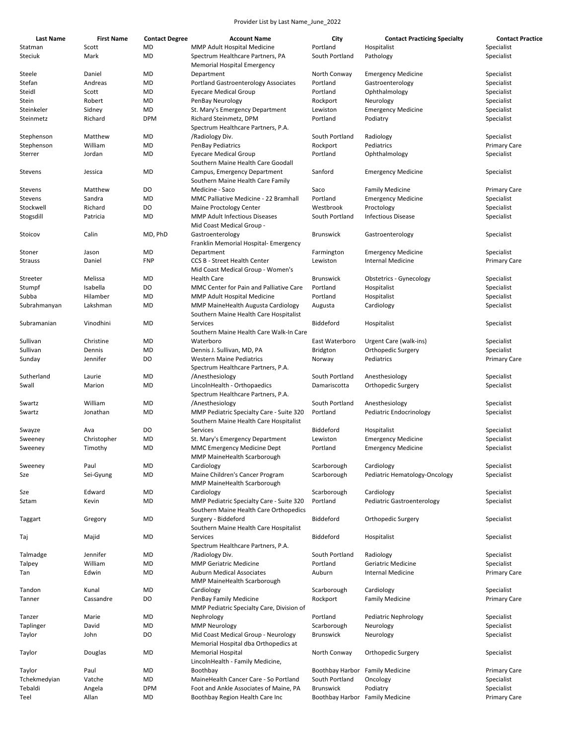| Last Name      | <b>First Name</b> | <b>Contact Degree</b> | <b>Account Name</b>                                                                | City                            | <b>Contact Practicing Specialty</b> | <b>Contact Practice</b> |
|----------------|-------------------|-----------------------|------------------------------------------------------------------------------------|---------------------------------|-------------------------------------|-------------------------|
| Statman        | Scott             | MD                    | MMP Adult Hospital Medicine                                                        | Portland                        | Hospitalist                         | Specialist              |
| Steciuk        | Mark              | MD                    | Spectrum Healthcare Partners, PA<br><b>Memorial Hospital Emergency</b>             | South Portland                  | Pathology                           | Specialist              |
| Steele         | Daniel            | MD                    | Department                                                                         | North Conway                    | <b>Emergency Medicine</b>           | Specialist              |
| Stefan         | Andreas           | MD                    | <b>Portland Gastroenterology Associates</b>                                        | Portland                        | Gastroenterology                    | Specialist              |
| Steidl         | Scott             | MD                    | <b>Eyecare Medical Group</b>                                                       | Portland                        | Ophthalmology                       | Specialist              |
|                |                   |                       |                                                                                    |                                 |                                     |                         |
| Stein          | Robert            | MD                    | PenBay Neurology                                                                   | Rockport                        | Neurology                           | Specialist              |
| Steinkeler     | Sidney            | MD                    | St. Mary's Emergency Department                                                    | Lewiston                        | <b>Emergency Medicine</b>           | Specialist              |
| Steinmetz      | Richard           | <b>DPM</b>            | Richard Steinmetz, DPM<br>Spectrum Healthcare Partners, P.A.                       | Portland                        | Podiatry                            | Specialist              |
| Stephenson     | Matthew           | MD                    | /Radiology Div.                                                                    | South Portland                  | Radiology                           | Specialist              |
| Stephenson     | William           | MD                    | PenBay Pediatrics                                                                  | Rockport                        | Pediatrics                          | <b>Primary Care</b>     |
| Sterrer        | Jordan            | MD                    | <b>Eyecare Medical Group</b>                                                       | Portland                        | Ophthalmology                       | Specialist              |
|                |                   |                       | Southern Maine Health Care Goodall                                                 |                                 |                                     |                         |
| Stevens        | Jessica           | MD                    | Campus, Emergency Department<br>Southern Maine Health Care Family                  | Sanford                         | <b>Emergency Medicine</b>           | Specialist              |
| Stevens        | Matthew           | DO                    | Medicine - Saco                                                                    | Saco                            | <b>Family Medicine</b>              | <b>Primary Care</b>     |
| Stevens        | Sandra            | MD                    | MMC Palliative Medicine - 22 Bramhall                                              | Portland                        | <b>Emergency Medicine</b>           | Specialist              |
| Stockwell      | Richard           | DO                    | Maine Proctology Center                                                            | Westbrook                       | Proctology                          | Specialist              |
| Stogsdill      | Patricia          | MD                    | <b>MMP Adult Infectious Diseases</b>                                               | South Portland                  | <b>Infectious Disease</b>           | Specialist              |
|                |                   |                       | Mid Coast Medical Group -                                                          |                                 |                                     |                         |
| Stoicov        | Calin             | MD, PhD               | Gastroenterology<br>Franklin Memorial Hospital- Emergency                          | <b>Brunswick</b>                | Gastroenterology                    | Specialist              |
| Stoner         | Jason             | MD                    | Department                                                                         | Farmington                      | <b>Emergency Medicine</b>           | Specialist              |
|                |                   |                       |                                                                                    |                                 |                                     |                         |
| <b>Strauss</b> | Daniel            | <b>FNP</b>            | <b>CCS B - Street Health Center</b><br>Mid Coast Medical Group - Women's           | Lewiston                        | Internal Medicine                   | Primary Care            |
| Streeter       | Melissa           | MD                    | <b>Health Care</b>                                                                 | <b>Brunswick</b>                | Obstetrics - Gynecology             | Specialist              |
| Stumpf         | Isabella          | DO                    | MMC Center for Pain and Palliative Care                                            | Portland                        | Hospitalist                         | Specialist              |
| Subba          | Hilamber          | MD                    | MMP Adult Hospital Medicine                                                        | Portland                        | Hospitalist                         | Specialist              |
| Subrahmanyan   | Lakshman          | MD                    | MMP MaineHealth Augusta Cardiology                                                 |                                 |                                     | Specialist              |
|                |                   |                       | Southern Maine Health Care Hospitalist                                             | Augusta                         | Cardiology                          |                         |
| Subramanian    | Vinodhini         | MD                    | Services<br>Southern Maine Health Care Walk-In Care                                | Biddeford                       | Hospitalist                         | Specialist              |
| Sullivan       | Christine         | MD                    | Waterboro                                                                          | East Waterboro                  | Urgent Care (walk-ins)              | Specialist              |
| Sullivan       | Dennis            | MD                    | Dennis J. Sullivan, MD, PA                                                         | <b>Bridgton</b>                 | Orthopedic Surgery                  | Specialist              |
| Sunday         | Jennifer          | DO                    | <b>Western Maine Pediatrics</b>                                                    | Norway                          | Pediatrics                          | Primary Care            |
|                |                   |                       | Spectrum Healthcare Partners, P.A.                                                 |                                 |                                     |                         |
| Sutherland     | Laurie            | MD                    | /Anesthesiology                                                                    | South Portland                  | Anesthesiology                      | Specialist              |
| Swall          | Marion            | MD                    | LincolnHealth - Orthopaedics<br>Spectrum Healthcare Partners, P.A.                 | Damariscotta                    | Orthopedic Surgery                  | Specialist              |
| Swartz         | William           | MD                    | /Anesthesiology                                                                    | South Portland                  | Anesthesiology                      | Specialist              |
| Swartz         | Jonathan          | MD                    | MMP Pediatric Specialty Care - Suite 320                                           | Portland                        | Pediatric Endocrinology             | Specialist              |
|                |                   |                       | Southern Maine Health Care Hospitalist                                             |                                 |                                     |                         |
| Swayze         | Ava               | DO                    | Services                                                                           | Biddeford                       | Hospitalist                         | Specialist              |
| Sweeney        | Christopher       | MD                    | St. Mary's Emergency Department                                                    | Lewiston                        | <b>Emergency Medicine</b>           | Specialist              |
| Sweeney        | Timothy           | MD                    | MMC Emergency Medicine Dept<br>MMP MaineHealth Scarborough                         | Portland                        | <b>Emergency Medicine</b>           | Specialist              |
| Sweeney        | Paul              | MD                    | Cardiology                                                                         | Scarborough                     | Cardiology                          | Specialist              |
| Sze            | Sei-Gyung         | MD                    | Maine Children's Cancer Program                                                    | Scarborough                     | Pediatric Hematology-Oncology       | Specialist              |
|                |                   |                       | MMP MaineHealth Scarborough                                                        |                                 |                                     |                         |
| Sze            | Edward            | MD                    | Cardiology                                                                         | Scarborough                     | Cardiology                          | Specialist              |
| Sztam          | Kevin             | MD                    | MMP Pediatric Specialty Care - Suite 320<br>Southern Maine Health Care Orthopedics | Portland                        | Pediatric Gastroenterology          | Specialist              |
| Taggart        | Gregory           | MD                    | Surgery - Biddeford                                                                | Biddeford                       | Orthopedic Surgery                  | Specialist              |
| Taj            | Majid             | MD                    | Southern Maine Health Care Hospitalist<br>Services                                 | Biddeford                       | Hospitalist                         | Specialist              |
|                |                   |                       | Spectrum Healthcare Partners, P.A.                                                 |                                 |                                     |                         |
| Talmadge       | Jennifer          | MD                    | /Radiology Div.                                                                    | South Portland                  | Radiology                           | Specialist              |
| Talpey         | William           | MD                    | <b>MMP Geriatric Medicine</b>                                                      | Portland                        | Geriatric Medicine                  | Specialist              |
| Tan            | Edwin             | MD                    | <b>Auburn Medical Associates</b><br>MMP MaineHealth Scarborough                    | Auburn                          | <b>Internal Medicine</b>            | Primary Care            |
| Tandon         | Kunal             | MD                    | Cardiology                                                                         | Scarborough                     | Cardiology                          | Specialist              |
|                |                   |                       |                                                                                    |                                 |                                     |                         |
| Tanner         | Cassandre         | DO                    | PenBay Family Medicine<br>MMP Pediatric Specialty Care, Division of                | Rockport                        | <b>Family Medicine</b>              | Primary Care            |
| Tanzer         | Marie             | MD                    | Nephrology                                                                         | Portland                        | Pediatric Nephrology                | Specialist              |
| Taplinger      | David             | MD                    | <b>MMP Neurology</b>                                                               | Scarborough                     | Neurology                           | Specialist              |
| Taylor         | John              | DO                    | Mid Coast Medical Group - Neurology                                                | <b>Brunswick</b>                | Neurology                           | Specialist              |
|                |                   |                       | Memorial Hospital dba Orthopedics at                                               |                                 |                                     |                         |
| Taylor         | Douglas           | MD                    | <b>Memorial Hospital</b><br>LincolnHealth - Family Medicine,                       | North Conway                    | Orthopedic Surgery                  | Specialist              |
| Taylor         | Paul              | MD                    | Boothbay                                                                           | Boothbay Harbor                 | <b>Family Medicine</b>              | <b>Primary Care</b>     |
| Tchekmedyian   | Vatche            | MD                    | MaineHealth Cancer Care - So Portland                                              | South Portland                  | Oncology                            | Specialist              |
| Tebaldi        |                   | <b>DPM</b>            | Foot and Ankle Associates of Maine, PA                                             | <b>Brunswick</b>                |                                     | Specialist              |
|                | Angela            |                       |                                                                                    |                                 | Podiatry                            |                         |
| Teel           | Allan             | MD                    | Boothbay Region Health Care Inc                                                    | Boothbay Harbor Family Medicine |                                     | Primary Care            |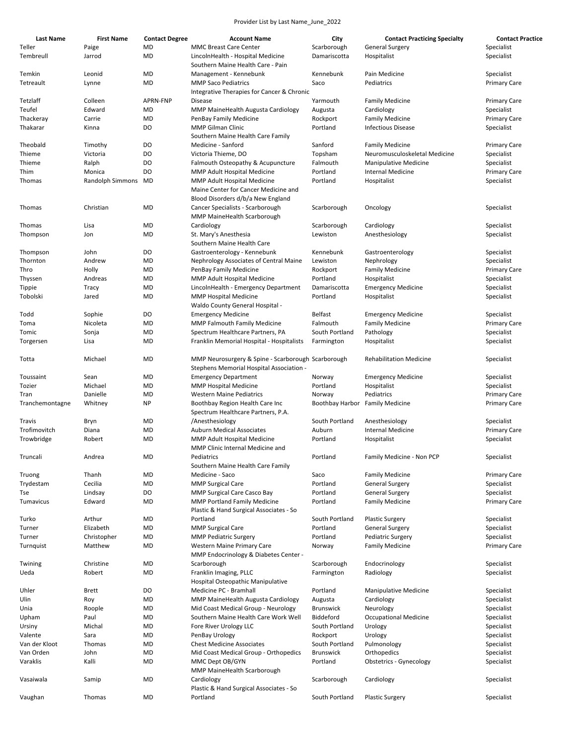| Last Name       | <b>First Name</b> | <b>Contact Degree</b> | <b>Account Name</b>                                                       | City             | <b>Contact Practicing Specialty</b> | <b>Contact Practice</b> |
|-----------------|-------------------|-----------------------|---------------------------------------------------------------------------|------------------|-------------------------------------|-------------------------|
| Teller          | Paige             | MD                    | <b>MMC Breast Care Center</b>                                             | Scarborough      | <b>General Surgery</b>              | Specialist              |
| Tembreull       | Jarrod            | MD                    | LincolnHealth - Hospital Medicine                                         | Damariscotta     | Hospitalist                         | Specialist              |
|                 |                   |                       | Southern Maine Health Care - Pain                                         |                  |                                     |                         |
| Temkin          | Leonid            | <b>MD</b>             | Management - Kennebunk                                                    | Kennebunk        | Pain Medicine                       | Specialist              |
| Tetreault       | Lynne             | MD                    | <b>MMP Saco Pediatrics</b>                                                | Saco             | Pediatrics                          | <b>Primary Care</b>     |
|                 |                   |                       | Integrative Therapies for Cancer & Chronic                                |                  |                                     |                         |
| Tetzlaff        | Colleen           | APRN-FNP              | Disease                                                                   | Yarmouth         | <b>Family Medicine</b>              | <b>Primary Care</b>     |
| Teufel          | Edward            | MD                    | MMP MaineHealth Augusta Cardiology                                        | Augusta          | Cardiology                          | Specialist              |
| Thackeray       | Carrie            | MD                    | PenBay Family Medicine                                                    | Rockport         | <b>Family Medicine</b>              | <b>Primary Care</b>     |
| Thakarar        | Kinna             | DO                    | <b>MMP Gilman Clinic</b>                                                  | Portland         | <b>Infectious Disease</b>           | Specialist              |
|                 |                   |                       | Southern Maine Health Care Family                                         |                  |                                     |                         |
| Theobald        | Timothy           | DO                    | Medicine - Sanford                                                        | Sanford          | <b>Family Medicine</b>              | <b>Primary Care</b>     |
| Thieme          | Victoria          | DO                    | Victoria Thieme, DO                                                       | Topsham          | Neuromusculoskeletal Medicine       | Specialist              |
| Thieme          | Ralph             | DO                    | Falmouth Osteopathy & Acupuncture                                         | Falmouth         | <b>Manipulative Medicine</b>        | Specialist              |
| Thim            | Monica            | DO                    | MMP Adult Hospital Medicine                                               | Portland         | Internal Medicine                   | <b>Primary Care</b>     |
| Thomas          | Randolph Simmons  | MD                    | MMP Adult Hospital Medicine                                               | Portland         | Hospitalist                         | Specialist              |
|                 |                   |                       | Maine Center for Cancer Medicine and<br>Blood Disorders d/b/a New England |                  |                                     |                         |
| Thomas          | Christian         | MD                    | Cancer Specialists - Scarborough<br>MMP MaineHealth Scarborough           | Scarborough      | Oncology                            | Specialist              |
| Thomas          | Lisa              | MD                    | Cardiology                                                                | Scarborough      | Cardiology                          | Specialist              |
| Thompson        | Jon               | MD                    | St. Mary's Anesthesia                                                     | Lewiston         | Anesthesiology                      | Specialist              |
|                 |                   |                       | Southern Maine Health Care                                                |                  |                                     |                         |
|                 | John              | DO                    |                                                                           | Kennebunk        |                                     |                         |
| Thompson        |                   |                       | Gastroenterology - Kennebunk                                              |                  | Gastroenterology                    | Specialist              |
| Thornton        | Andrew            | MD                    | Nephrology Associates of Central Maine                                    | Lewiston         | Nephrology                          | Specialist              |
| Thro            | Holly             | MD                    | PenBay Family Medicine                                                    | Rockport         | <b>Family Medicine</b>              | <b>Primary Care</b>     |
| Thyssen         | Andreas           | MD                    | MMP Adult Hospital Medicine                                               | Portland         | Hospitalist                         | Specialist              |
| Tippie          | Tracy             | MD                    | LincolnHealth - Emergency Department                                      | Damariscotta     | <b>Emergency Medicine</b>           | Specialist              |
| Tobolski        | Jared             | MD                    | <b>MMP Hospital Medicine</b>                                              | Portland         | Hospitalist                         | Specialist              |
|                 |                   |                       | Waldo County General Hospital -                                           |                  |                                     |                         |
| Todd            | Sophie            | DO                    | <b>Emergency Medicine</b>                                                 | Belfast          | <b>Emergency Medicine</b>           | Specialist              |
| Toma            | Nicoleta          | MD                    | MMP Falmouth Family Medicine                                              | Falmouth         | <b>Family Medicine</b>              | <b>Primary Care</b>     |
| Tomic           | Sonja             | MD                    | Spectrum Healthcare Partners, PA                                          | South Portland   | Pathology                           | Specialist              |
| Torgersen       | Lisa              | MD                    | Franklin Memorial Hospital - Hospitalists                                 | Farmington       | Hospitalist                         | Specialist              |
| Totta           | Michael           | MD                    | MMP Neurosurgery & Spine - Scarborough Scarborough                        |                  | <b>Rehabilitation Medicine</b>      | Specialist              |
|                 |                   |                       | Stephens Memorial Hospital Association -                                  |                  |                                     |                         |
| Toussaint       | Sean              | MD                    | <b>Emergency Department</b>                                               | Norway           | <b>Emergency Medicine</b>           | Specialist              |
| Tozier          | Michael           | MD                    | <b>MMP Hospital Medicine</b>                                              | Portland         | Hospitalist                         | Specialist              |
| Tran            | Danielle          | MD                    | <b>Western Maine Pediatrics</b>                                           | Norway           | Pediatrics                          | <b>Primary Care</b>     |
| Tranchemontagne |                   | <b>NP</b>             | Boothbay Region Health Care Inc                                           | Boothbay Harbor  | <b>Family Medicine</b>              |                         |
|                 | Whitney           |                       |                                                                           |                  |                                     | <b>Primary Care</b>     |
|                 |                   | MD                    | Spectrum Healthcare Partners, P.A.                                        | South Portland   | Anesthesiology                      |                         |
| Travis          | Bryn              |                       | /Anesthesiology                                                           |                  |                                     | Specialist              |
| Trofimovitch    | Diana             | MD                    | <b>Auburn Medical Associates</b>                                          | Auburn           | Internal Medicine                   | <b>Primary Care</b>     |
| Trowbridge      | Robert            | <b>MD</b>             | MMP Adult Hospital Medicine                                               | Portland         | Hospitalist                         | Specialist              |
|                 |                   |                       | MMP Clinic Internal Medicine and                                          |                  |                                     |                         |
| Truncali        | Andrea            | MD                    | Pediatrics                                                                | Portland         | Family Medicine - Non PCP           | Specialist              |
|                 |                   |                       | Southern Maine Health Care Family                                         |                  |                                     |                         |
| Truong          | Thanh             | MD                    | Medicine - Saco                                                           | Saco             | <b>Family Medicine</b>              | <b>Primary Care</b>     |
| Trydestam       | Cecilia           | MD                    | <b>MMP Surgical Care</b>                                                  | Portland         | General Surgery                     | Specialist              |
| Tse             | Lindsay           | DO                    | MMP Surgical Care Casco Bay                                               | Portland         | <b>General Surgery</b>              | Specialist              |
| Tumavicus       | Edward            | MD                    | <b>MMP Portland Family Medicine</b>                                       | Portland         | <b>Family Medicine</b>              | Primary Care            |
|                 |                   |                       | Plastic & Hand Surgical Associates - So                                   |                  |                                     |                         |
| Turko           | Arthur            | MD                    | Portland                                                                  | South Portland   | <b>Plastic Surgery</b>              | Specialist              |
| Turner          | Elizabeth         | MD                    | <b>MMP Surgical Care</b>                                                  | Portland         | <b>General Surgery</b>              | Specialist              |
| Turner          | Christopher       | MD                    | <b>MMP Pediatric Surgery</b>                                              | Portland         | <b>Pediatric Surgery</b>            | Specialist              |
| Turnquist       | Matthew           | MD                    | Western Maine Primary Care                                                | Norway           | <b>Family Medicine</b>              | Primary Care            |
|                 |                   |                       | MMP Endocrinology & Diabetes Center -                                     |                  |                                     |                         |
| Twining         | Christine         | MD                    | Scarborough                                                               | Scarborough      | Endocrinology                       | Specialist              |
| Ueda            | Robert            | MD                    | Franklin Imaging, PLLC                                                    | Farmington       | Radiology                           | Specialist              |
|                 |                   |                       | Hospital Osteopathic Manipulative                                         |                  |                                     |                         |
| Uhler           | Brett             | DO                    | Medicine PC - Bramhall                                                    | Portland         | <b>Manipulative Medicine</b>        | Specialist              |
| Ulin            | Roy               | MD                    | MMP MaineHealth Augusta Cardiology                                        | Augusta          | Cardiology                          | Specialist              |
| Unia            | Roople            | MD                    | Mid Coast Medical Group - Neurology                                       | <b>Brunswick</b> | Neurology                           | Specialist              |
| Upham           | Paul              | MD                    | Southern Maine Health Care Work Well                                      | Biddeford        | <b>Occupational Medicine</b>        | Specialist              |
| Ursiny          | Michal            | MD                    | Fore River Urology LLC                                                    | South Portland   | Urology                             | Specialist              |
| Valente         | Sara              | MD                    | PenBay Urology                                                            | Rockport         | Urology                             | Specialist              |
| Van der Kloot   | Thomas            | MD                    | <b>Chest Medicine Associates</b>                                          | South Portland   | Pulmonology                         | Specialist              |
|                 |                   |                       |                                                                           |                  |                                     |                         |
| Van Orden       | John              | MD                    | Mid Coast Medical Group - Orthopedics                                     | <b>Brunswick</b> | Orthopedics                         | Specialist              |
| Varaklis        | Kalli             | MD                    | MMC Dept OB/GYN                                                           | Portland         | Obstetrics - Gynecology             | Specialist              |
|                 |                   |                       | MMP MaineHealth Scarborough                                               |                  |                                     |                         |
| Vasaiwala       | Samip             | MD                    | Cardiology                                                                | Scarborough      | Cardiology                          | Specialist              |
|                 |                   |                       | Plastic & Hand Surgical Associates - So                                   |                  |                                     |                         |
| Vaughan         | Thomas            | MD                    | Portland                                                                  | South Portland   | <b>Plastic Surgery</b>              | Specialist              |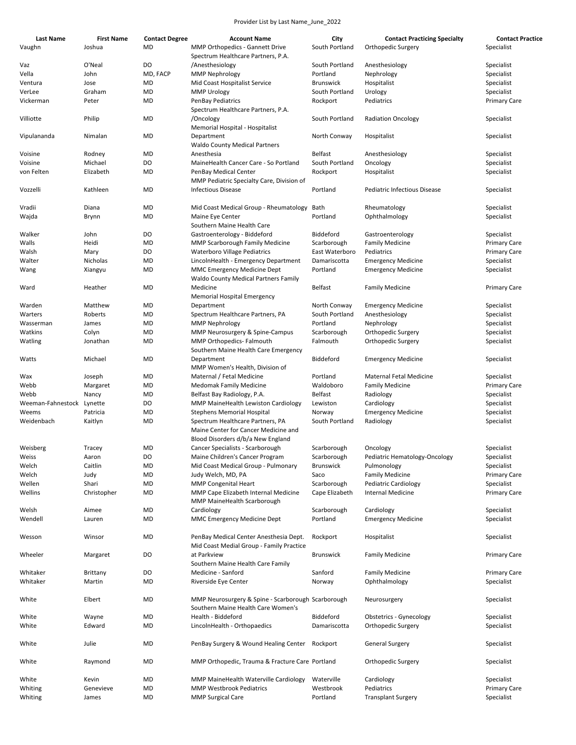| Last Name                 | <b>First Name</b> | <b>Contact Degree</b> | <b>Account Name</b>                                                                      | City             | <b>Contact Practicing Specialty</b> | <b>Contact Practice</b> |
|---------------------------|-------------------|-----------------------|------------------------------------------------------------------------------------------|------------------|-------------------------------------|-------------------------|
| Vaughn                    | Joshua            | MD                    | <b>MMP Orthopedics - Gannett Drive</b>                                                   | South Portland   | Orthopedic Surgery                  | Specialist              |
|                           |                   |                       | Spectrum Healthcare Partners, P.A.                                                       |                  |                                     |                         |
| Vaz                       | O'Neal            | DO                    | /Anesthesiology                                                                          | South Portland   | Anesthesiology                      | Specialist              |
| Vella                     | John              | MD, FACP              | MMP Nephrology                                                                           | Portland         | Nephrology                          | Specialist              |
| Ventura                   | Jose              | MD                    | Mid Coast Hospitalist Service                                                            | <b>Brunswick</b> | Hospitalist                         | Specialist              |
| VerLee                    | Graham            | MD                    | <b>MMP Urology</b>                                                                       | South Portland   | Urology                             | Specialist              |
| Vickerman                 | Peter             | MD                    | <b>PenBay Pediatrics</b>                                                                 | Rockport         | Pediatrics                          | <b>Primary Care</b>     |
|                           |                   |                       | Spectrum Healthcare Partners, P.A.                                                       |                  |                                     |                         |
| Villiotte                 | Philip            | MD                    | /Oncology                                                                                | South Portland   | <b>Radiation Oncology</b>           | Specialist              |
|                           |                   |                       | Memorial Hospital - Hospitalist                                                          |                  |                                     |                         |
| Vipulananda               | Nimalan           | MD                    | Department<br><b>Waldo County Medical Partners</b>                                       | North Conway     | Hospitalist                         | Specialist              |
| Voisine                   | Rodney            | MD                    | Anesthesia                                                                               | Belfast          | Anesthesiology                      | Specialist              |
| Voisine                   | Michael           | DO                    | MaineHealth Cancer Care - So Portland                                                    | South Portland   | Oncology                            | Specialist              |
| von Felten                | Elizabeth         | MD                    | PenBay Medical Center<br>MMP Pediatric Specialty Care, Division of                       | Rockport         | Hospitalist                         | Specialist              |
| Vozzelli                  | Kathleen          | MD                    | <b>Infectious Disease</b>                                                                | Portland         | Pediatric Infectious Disease        | Specialist              |
|                           |                   |                       |                                                                                          |                  |                                     |                         |
| Vradii                    | Diana             | MD                    | Mid Coast Medical Group - Rheumatology                                                   | Bath             | Rheumatology                        | Specialist              |
| Wajda                     | Brynn             | MD                    | Maine Eye Center<br>Southern Maine Health Care                                           | Portland         | Ophthalmology                       | Specialist              |
| Walker                    | John              | DO                    | Gastroenterology - Biddeford                                                             | Biddeford        | Gastroenterology                    | Specialist              |
| Walls                     | Heidi             | MD                    | MMP Scarborough Family Medicine                                                          | Scarborough      | <b>Family Medicine</b>              | <b>Primary Care</b>     |
| Walsh                     | Mary              | DO                    | <b>Waterboro Village Pediatrics</b>                                                      | East Waterboro   | Pediatrics                          | <b>Primary Care</b>     |
| Walter                    | Nicholas          | MD                    | LincolnHealth - Emergency Department                                                     | Damariscotta     | <b>Emergency Medicine</b>           | Specialist              |
| Wang                      | Xiangyu           | MD                    | MMC Emergency Medicine Dept                                                              | Portland         | <b>Emergency Medicine</b>           | Specialist              |
|                           |                   |                       | <b>Waldo County Medical Partners Family</b>                                              |                  |                                     |                         |
| Ward                      | Heather           | MD                    | Medicine                                                                                 | <b>Belfast</b>   | <b>Family Medicine</b>              | <b>Primary Care</b>     |
|                           |                   |                       | Memorial Hospital Emergency                                                              |                  |                                     |                         |
| Warden                    | Matthew           | MD                    | Department                                                                               | North Conway     | <b>Emergency Medicine</b>           | Specialist              |
| Warters                   | Roberts           | MD                    | Spectrum Healthcare Partners, PA                                                         | South Portland   | Anesthesiology                      | Specialist              |
| Wasserman                 | James             | MD                    | MMP Nephrology                                                                           | Portland         | Nephrology                          | Specialist              |
| Watkins                   | Colyn             | MD                    | MMP Neurosurgery & Spine-Campus                                                          | Scarborough      | Orthopedic Surgery                  | Specialist              |
| Watling                   | Jonathan          | MD                    | MMP Orthopedics- Falmouth                                                                | Falmouth         | Orthopedic Surgery                  | Specialist              |
|                           |                   |                       | Southern Maine Health Care Emergency                                                     |                  |                                     |                         |
| Watts                     | Michael           | MD                    | Department<br>MMP Women's Health, Division of                                            | Biddeford        | <b>Emergency Medicine</b>           | Specialist              |
| Wax                       | Joseph            | MD                    | Maternal / Fetal Medicine                                                                | Portland         | <b>Maternal Fetal Medicine</b>      | Specialist              |
| Webb                      | Margaret          | MD                    | Medomak Family Medicine                                                                  | Waldoboro        | <b>Family Medicine</b>              | Primary Care            |
| Webb                      | Nancy             | MD                    | Belfast Bay Radiology, P.A.                                                              | Belfast          | Radiology                           | Specialist              |
| Weeman-Fahnestock Lynette |                   | DO                    | MMP MaineHealth Lewiston Cardiology                                                      | Lewiston         | Cardiology                          | Specialist              |
| Weems                     | Patricia          | MD                    | <b>Stephens Memorial Hospital</b>                                                        | Norway           | <b>Emergency Medicine</b>           | Specialist              |
| Weidenbach                | Kaitlyn           | MD                    | Spectrum Healthcare Partners, PA                                                         | South Portland   |                                     | Specialist              |
|                           |                   |                       | Maine Center for Cancer Medicine and                                                     |                  | Radiology                           |                         |
|                           |                   |                       | Blood Disorders d/b/a New England                                                        |                  |                                     |                         |
| Weisberg                  | Tracey            | MD                    | Cancer Specialists - Scarborough                                                         | Scarborough      | Oncology                            | Specialist              |
|                           |                   |                       |                                                                                          |                  |                                     |                         |
| Weiss                     | Aaron             | DO                    | Maine Children's Cancer Program                                                          | Scarborough      | Pediatric Hematology-Oncology       | Specialist              |
| Welch                     | Caitlin           | MD                    | Mid Coast Medical Group - Pulmonary                                                      | <b>Brunswick</b> | Pulmonology                         | Specialist              |
| Welch                     | Judy              | MD                    | Judy Welch, MD, PA                                                                       | Saco             | <b>Family Medicine</b>              | Primary Care            |
| Wellen                    | Shari             | MD                    | <b>MMP Congenital Heart</b>                                                              | Scarborough      | Pediatric Cardiology                | Specialist              |
| Wellins                   | Christopher       | MD                    | MMP Cape Elizabeth Internal Medicine<br>MMP MaineHealth Scarborough                      | Cape Elizabeth   | <b>Internal Medicine</b>            | Primary Care            |
| Welsh                     | Aimee             | MD                    | Cardiology                                                                               | Scarborough      | Cardiology                          | Specialist              |
| Wendell                   | Lauren            | MD                    | <b>MMC Emergency Medicine Dept</b>                                                       | Portland         | <b>Emergency Medicine</b>           | Specialist              |
| Wesson                    | Winsor            | MD                    | PenBay Medical Center Anesthesia Dept.                                                   | Rockport         | Hospitalist                         | Specialist              |
|                           |                   |                       | Mid Coast Medial Group - Family Practice                                                 |                  |                                     |                         |
| Wheeler                   | Margaret          | DO                    | at Parkview<br>Southern Maine Health Care Family                                         | <b>Brunswick</b> | <b>Family Medicine</b>              | <b>Primary Care</b>     |
| Whitaker                  | Brittany          | DO                    | Medicine - Sanford                                                                       | Sanford          | <b>Family Medicine</b>              | Primary Care            |
| Whitaker                  | Martin            | MD                    | Riverside Eye Center                                                                     | Norway           | Ophthalmology                       | Specialist              |
| White                     | Elbert            | MD                    | MMP Neurosurgery & Spine - Scarborough Scarborough<br>Southern Maine Health Care Women's |                  | Neurosurgery                        | Specialist              |
| White                     | Wayne             | MD                    | Health - Biddeford                                                                       | Biddeford        | <b>Obstetrics - Gynecology</b>      | Specialist              |
| White                     | Edward            | MD                    | LincolnHealth - Orthopaedics                                                             | Damariscotta     | Orthopedic Surgery                  | Specialist              |
| White                     | Julie             | MD                    | PenBay Surgery & Wound Healing Center Rockport                                           |                  | <b>General Surgery</b>              | Specialist              |
| White                     | Raymond           | MD                    | MMP Orthopedic, Trauma & Fracture Care Portland                                          |                  | Orthopedic Surgery                  | Specialist              |
|                           |                   |                       |                                                                                          |                  |                                     |                         |
| White                     | Kevin             | MD                    | MMP MaineHealth Waterville Cardiology                                                    | Waterville       | Cardiology                          | Specialist              |
| Whiting                   | Genevieve         | MD                    | <b>MMP Westbrook Pediatrics</b>                                                          | Westbrook        | Pediatrics                          | Primary Care            |
| Whiting                   | James             | MD                    | <b>MMP Surgical Care</b>                                                                 | Portland         | <b>Transplant Surgery</b>           | Specialist              |
|                           |                   |                       |                                                                                          |                  |                                     |                         |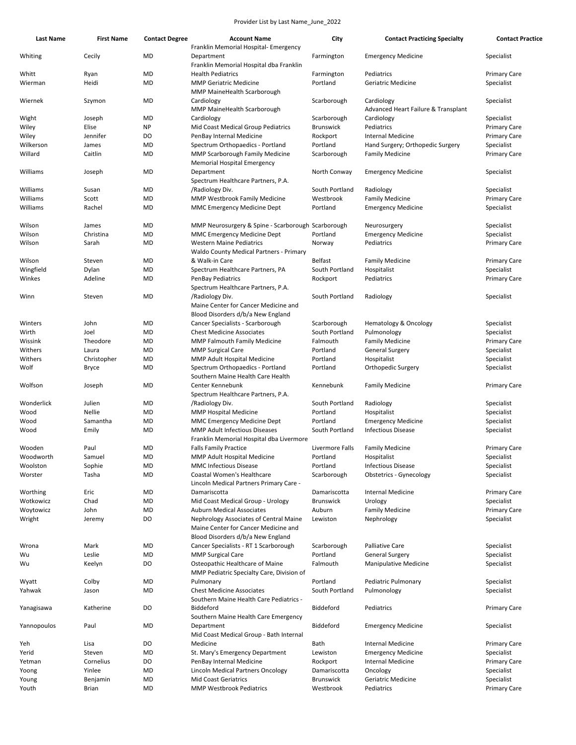| <b>Last Name</b> | <b>First Name</b> | <b>Contact Degree</b> | <b>Account Name</b><br>Franklin Memorial Hospital- Emergency                | City             | <b>Contact Practicing Specialty</b> | <b>Contact Practice</b> |
|------------------|-------------------|-----------------------|-----------------------------------------------------------------------------|------------------|-------------------------------------|-------------------------|
| Whiting          | Cecily            | MD                    | Department<br>Franklin Memorial Hospital dba Franklin                       | Farmington       | <b>Emergency Medicine</b>           | Specialist              |
| Whitt            | Ryan              | <b>MD</b>             | <b>Health Pediatrics</b>                                                    | Farmington       | Pediatrics                          | <b>Primary Care</b>     |
| Wierman          | Heidi             | MD                    | <b>MMP Geriatric Medicine</b>                                               | Portland         | Geriatric Medicine                  | Specialist              |
|                  |                   |                       |                                                                             |                  |                                     |                         |
|                  |                   |                       | MMP MaineHealth Scarborough                                                 |                  |                                     |                         |
| Wiernek          | Szymon            | <b>MD</b>             | Cardiology                                                                  | Scarborough      | Cardiology                          | Specialist              |
|                  |                   |                       | MMP MaineHealth Scarborough                                                 |                  | Advanced Heart Failure & Transplant |                         |
| Wight            | Joseph            | <b>MD</b>             | Cardiology                                                                  | Scarborough      | Cardiology                          | Specialist              |
| Wiley            | Elise             | <b>NP</b>             | Mid Coast Medical Group Pediatrics                                          | <b>Brunswick</b> | Pediatrics                          | <b>Primary Care</b>     |
| Wiley            | Jennifer          | DO                    | PenBay Internal Medicine                                                    | Rockport         | <b>Internal Medicine</b>            | <b>Primary Care</b>     |
| Wilkerson        | James             | MD                    | Spectrum Orthopaedics - Portland                                            | Portland         | Hand Surgery; Orthopedic Surgery    | Specialist              |
| Willard          | Caitlin           | <b>MD</b>             | MMP Scarborough Family Medicine<br><b>Memorial Hospital Emergency</b>       | Scarborough      | <b>Family Medicine</b>              | <b>Primary Care</b>     |
| Williams         | Joseph            | MD                    | Department<br>Spectrum Healthcare Partners, P.A.                            | North Conway     | <b>Emergency Medicine</b>           | Specialist              |
| Williams         | Susan             | MD                    | /Radiology Div.                                                             | South Portland   | Radiology                           | Specialist              |
| Williams         | Scott             | MD                    | <b>MMP Westbrook Family Medicine</b>                                        | Westbrook        | <b>Family Medicine</b>              | <b>Primary Care</b>     |
| Williams         | Rachel            | MD                    | MMC Emergency Medicine Dept                                                 | Portland         |                                     |                         |
|                  |                   |                       |                                                                             |                  | <b>Emergency Medicine</b>           | Specialist              |
| Wilson           | James             | MD                    | MMP Neurosurgery & Spine - Scarborough Scarborough                          |                  | Neurosurgery                        | Specialist              |
| Wilson           | Christina         | MD                    | MMC Emergency Medicine Dept                                                 | Portland         | <b>Emergency Medicine</b>           | Specialist              |
| Wilson           | Sarah             | <b>MD</b>             | <b>Western Maine Pediatrics</b>                                             | Norway           | Pediatrics                          | <b>Primary Care</b>     |
|                  |                   |                       | <b>Waldo County Medical Partners - Primary</b>                              |                  |                                     |                         |
| Wilson           | Steven            | MD                    | & Walk-in Care                                                              | <b>Belfast</b>   | <b>Family Medicine</b>              | <b>Primary Care</b>     |
| Wingfield        | Dylan             | MD                    | Spectrum Healthcare Partners, PA                                            | South Portland   | Hospitalist                         | Specialist              |
| Winkes           | Adeline           | <b>MD</b>             | PenBay Pediatrics                                                           | Rockport         | Pediatrics                          | <b>Primary Care</b>     |
|                  |                   |                       | Spectrum Healthcare Partners, P.A.                                          |                  |                                     |                         |
| Winn             | Steven            | <b>MD</b>             | /Radiology Div.                                                             | South Portland   | Radiology                           | Specialist              |
|                  |                   |                       | Maine Center for Cancer Medicine and                                        |                  |                                     |                         |
|                  |                   |                       | Blood Disorders d/b/a New England                                           |                  |                                     |                         |
| Winters          | John              | MD                    | Cancer Specialists - Scarborough                                            | Scarborough      |                                     | Specialist              |
|                  |                   | MD                    |                                                                             | South Portland   | Hematology & Oncology               |                         |
| Wirth            | Joel              |                       | <b>Chest Medicine Associates</b>                                            |                  | Pulmonology                         | Specialist              |
| Wissink          | Theodore          | MD                    | MMP Falmouth Family Medicine                                                | Falmouth         | <b>Family Medicine</b>              | <b>Primary Care</b>     |
| Withers          | Laura             | MD                    | <b>MMP Surgical Care</b>                                                    | Portland         | <b>General Surgery</b>              | Specialist              |
| Withers          | Christopher       | MD                    | MMP Adult Hospital Medicine                                                 | Portland         | Hospitalist                         | Specialist              |
| Wolf             | Bryce             | <b>MD</b>             | Spectrum Orthopaedics - Portland<br>Southern Maine Health Care Health       | Portland         | Orthopedic Surgery                  | Specialist              |
| Wolfson          | Joseph            | <b>MD</b>             | Center Kennebunk                                                            | Kennebunk        | <b>Family Medicine</b>              | <b>Primary Care</b>     |
|                  |                   |                       | Spectrum Healthcare Partners, P.A.                                          |                  |                                     |                         |
| Wonderlick       | Julien            | MD                    | /Radiology Div.                                                             | South Portland   | Radiology                           | Specialist              |
| Wood             | Nellie            | <b>MD</b>             | <b>MMP Hospital Medicine</b>                                                | Portland         | Hospitalist                         | Specialist              |
| Wood             | Samantha          | MD                    | MMC Emergency Medicine Dept                                                 | Portland         | <b>Emergency Medicine</b>           | Specialist              |
| Wood             | Emily             | MD                    | <b>MMP Adult Infectious Diseases</b>                                        | South Portland   | <b>Infectious Disease</b>           | Specialist              |
|                  |                   |                       | Franklin Memorial Hospital dba Livermore                                    |                  |                                     |                         |
| Wooden           | Paul              | <b>MD</b>             | <b>Falls Family Practice</b>                                                | Livermore Falls  | <b>Family Medicine</b>              | <b>Primary Care</b>     |
| Woodworth        | Samuel            | MD                    | MMP Adult Hospital Medicine                                                 | Portland         | Hospitalist                         | Specialist              |
| Woolston         | Sophie            | <b>MD</b>             | <b>MMC Infectious Disease</b>                                               | Portland         | <b>Infectious Disease</b>           | Specialist              |
| Worster          | Tasha             | <b>MD</b>             | Coastal Women's Healthcare                                                  | Scarborough      | <b>Obstetrics - Gynecology</b>      | Specialist              |
|                  |                   |                       |                                                                             |                  |                                     |                         |
|                  |                   |                       | Lincoln Medical Partners Primary Care -                                     |                  |                                     |                         |
| Worthing         | Eric              | MD                    | Damariscotta                                                                | Damariscotta     | <b>Internal Medicine</b>            | <b>Primary Care</b>     |
| Wotkowicz        | Chad              | MD                    | Mid Coast Medical Group - Urology                                           | <b>Brunswick</b> | Urology                             | Specialist              |
| Woytowicz        | John              | <b>MD</b>             | <b>Auburn Medical Associates</b>                                            | Auburn           | <b>Family Medicine</b>              | <b>Primary Care</b>     |
| Wright           | Jeremy            | DO                    | Nephrology Associates of Central Maine                                      | Lewiston         | Nephrology                          | Specialist              |
|                  |                   |                       | Maine Center for Cancer Medicine and                                        |                  |                                     |                         |
|                  |                   |                       | Blood Disorders d/b/a New England                                           |                  |                                     |                         |
| Wrona            | Mark              | MD                    | Cancer Specialists - RT 1 Scarborough                                       | Scarborough      | Palliative Care                     | Specialist              |
| Wu               | Leslie            | MD                    | <b>MMP Surgical Care</b>                                                    | Portland         | <b>General Surgery</b>              | Specialist              |
| Wu               | Keelyn            | DO                    | Osteopathic Healthcare of Maine                                             | Falmouth         | Manipulative Medicine               | Specialist              |
|                  |                   | <b>MD</b>             | MMP Pediatric Specialty Care, Division of<br>Pulmonary                      | Portland         | Pediatric Pulmonary                 | Specialist              |
| Wyatt            | Colby             |                       |                                                                             |                  |                                     |                         |
| Yahwak           | Jason             | MD                    | <b>Chest Medicine Associates</b><br>Southern Maine Health Care Pediatrics - | South Portland   | Pulmonology                         | Specialist              |
| Yanagisawa       | Katherine         | DO                    | Biddeford                                                                   | Biddeford        | Pediatrics                          | <b>Primary Care</b>     |
|                  |                   |                       | Southern Maine Health Care Emergency                                        |                  |                                     |                         |
| Yannopoulos      | Paul              | <b>MD</b>             | Department                                                                  | Biddeford        | <b>Emergency Medicine</b>           | Specialist              |
|                  |                   |                       | Mid Coast Medical Group - Bath Internal                                     |                  |                                     |                         |
| Yeh              | Lisa              | DO                    | Medicine                                                                    | Bath             | Internal Medicine                   | <b>Primary Care</b>     |
| Yerid            | Steven            | MD                    | St. Mary's Emergency Department                                             | Lewiston         | <b>Emergency Medicine</b>           | Specialist              |
| Yetman           | Cornelius         | DO                    | PenBay Internal Medicine                                                    | Rockport         | <b>Internal Medicine</b>            | <b>Primary Care</b>     |
| Yoong            | Yinlee            | <b>MD</b>             | Lincoln Medical Partners Oncology                                           | Damariscotta     | Oncology                            | Specialist              |
| Young            | Benjamin          | MD                    | <b>Mid Coast Geriatrics</b>                                                 | <b>Brunswick</b> | Geriatric Medicine                  | Specialist              |
| Youth            | <b>Brian</b>      | <b>MD</b>             | <b>MMP Westbrook Pediatrics</b>                                             | Westbrook        | Pediatrics                          | <b>Primary Care</b>     |
|                  |                   |                       |                                                                             |                  |                                     |                         |